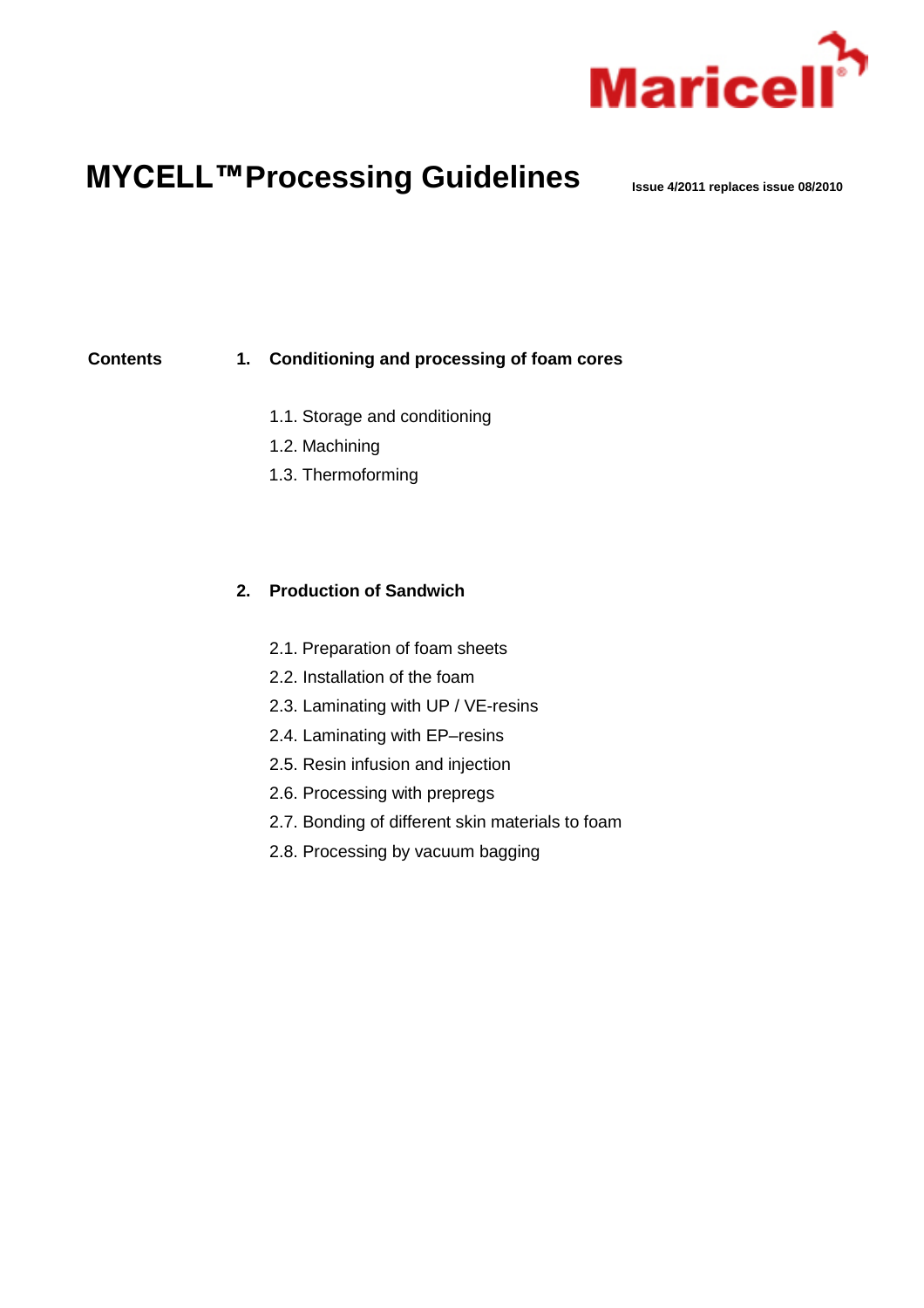

# **MYCELL™Processing Guidelines Issue 4/2011 replaces issue 08/2010**

### **Contents 1. Conditioning and processing of foam cores**

- 1.1. Storage and conditioning
- 1.2. Machining
- 1.3. Thermoforming

## **2. Production of Sandwich**

- 2.1. Preparation of foam sheets
- 2.2. Installation of the foam
- 2.3. Laminating with UP / VE-resins
- 2.4. Laminating with EP–resins
- 2.5. Resin infusion and injection
- 2.6. Processing with prepregs
- 2.7. Bonding of different skin materials to foam
- 2.8. Processing by vacuum bagging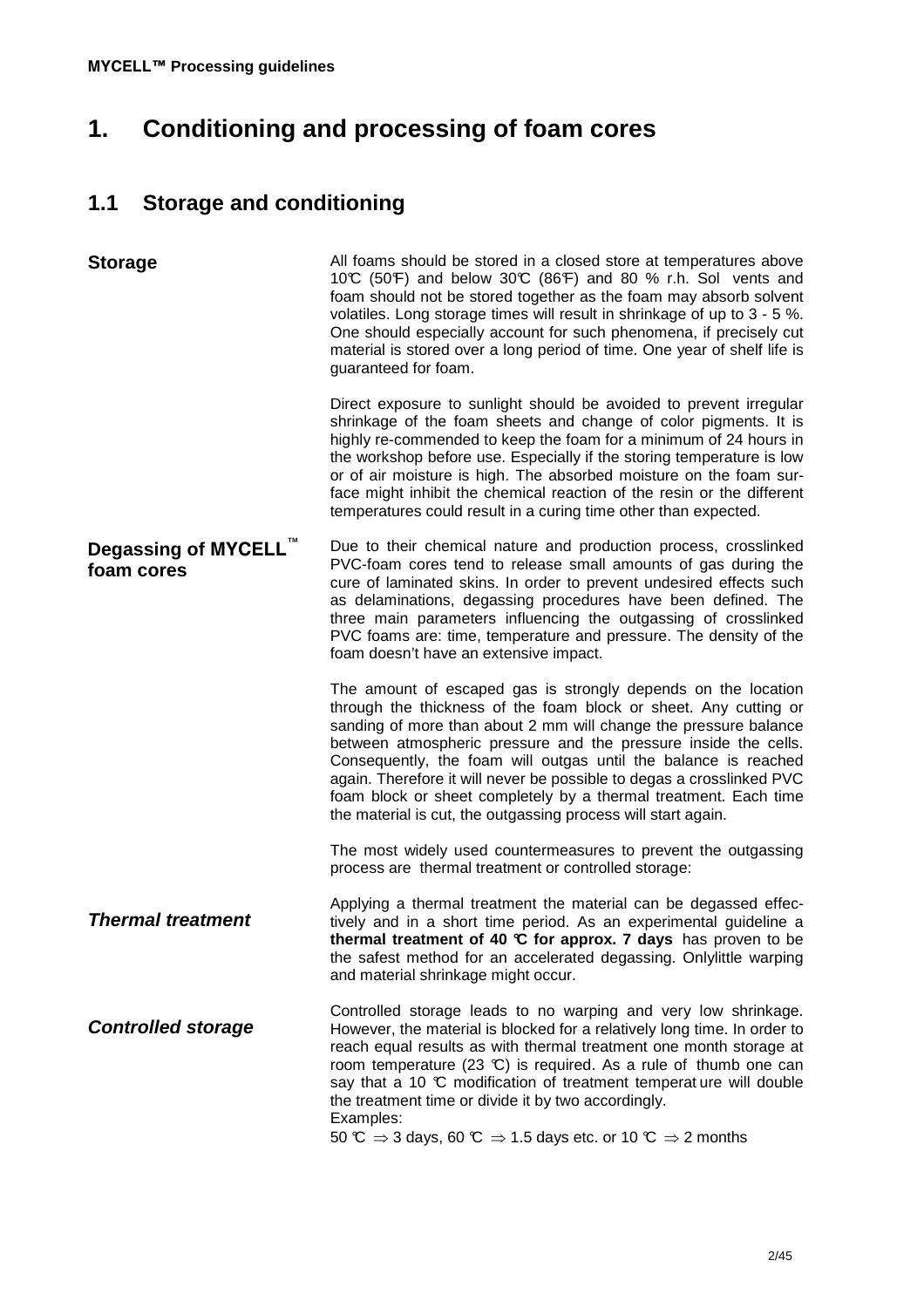# **1. Conditioning and processing of foam cores**

# **1.1 Storage and conditioning**

| <b>Storage</b>                                 | All foams should be stored in a closed store at temperatures above<br>10°C (50°F) and below 30°C (86°F) and 80 % r.h. Sol vents and<br>foam should not be stored together as the foam may absorb solvent<br>volatiles. Long storage times will result in shrinkage of up to 3 - 5 %.<br>One should especially account for such phenomena, if precisely cut<br>material is stored over a long period of time. One year of shelf life is<br>guaranteed for foam.<br>Direct exposure to sunlight should be avoided to prevent irregular<br>shrinkage of the foam sheets and change of color pigments. It is<br>highly re-commended to keep the foam for a minimum of 24 hours in |
|------------------------------------------------|-------------------------------------------------------------------------------------------------------------------------------------------------------------------------------------------------------------------------------------------------------------------------------------------------------------------------------------------------------------------------------------------------------------------------------------------------------------------------------------------------------------------------------------------------------------------------------------------------------------------------------------------------------------------------------|
|                                                | the workshop before use. Especially if the storing temperature is low<br>or of air moisture is high. The absorbed moisture on the foam sur-<br>face might inhibit the chemical reaction of the resin or the different<br>temperatures could result in a curing time other than expected.                                                                                                                                                                                                                                                                                                                                                                                      |
| Degassing of MYCELL <sup>™</sup><br>foam cores | Due to their chemical nature and production process, crosslinked<br>PVC-foam cores tend to release small amounts of gas during the<br>cure of laminated skins. In order to prevent undesired effects such<br>as delaminations, degassing procedures have been defined. The<br>three main parameters influencing the outgassing of crosslinked<br>PVC foams are: time, temperature and pressure. The density of the<br>foam doesn't have an extensive impact.                                                                                                                                                                                                                  |
|                                                | The amount of escaped gas is strongly depends on the location<br>through the thickness of the foam block or sheet. Any cutting or<br>sanding of more than about 2 mm will change the pressure balance<br>between atmospheric pressure and the pressure inside the cells.<br>Consequently, the foam will outgas until the balance is reached<br>again. Therefore it will never be possible to degas a crosslinked PVC<br>foam block or sheet completely by a thermal treatment. Each time<br>the material is cut, the outgassing process will start again.                                                                                                                     |
|                                                | The most widely used countermeasures to prevent the outgassing<br>process are thermal treatment or controlled storage:                                                                                                                                                                                                                                                                                                                                                                                                                                                                                                                                                        |
| <b>Thermal treatment</b>                       | Applying a thermal treatment the material can be degassed effec-<br>tively and in a short time period. As an experimental guideline a<br>thermal treatment of 40 °C for approx. 7 days has proven to be<br>the safest method for an accelerated degassing. Onlylittle warping<br>and material shrinkage might occur.                                                                                                                                                                                                                                                                                                                                                          |
| <b>Controlled storage</b>                      | Controlled storage leads to no warping and very low shrinkage.<br>However, the material is blocked for a relatively long time. In order to<br>reach equal results as with thermal treatment one month storage at<br>room temperature (23 $\mathbb{C}$ ) is required. As a rule of thumb one can<br>say that a 10 °C modification of treatment temperature will double<br>the treatment time or divide it by two accordingly.<br>Examples:<br>50 $\mathbb{C} \Rightarrow$ 3 days, 60 $\mathbb{C} \Rightarrow$ 1.5 days etc. or 10 $\mathbb{C} \Rightarrow$ 2 months                                                                                                            |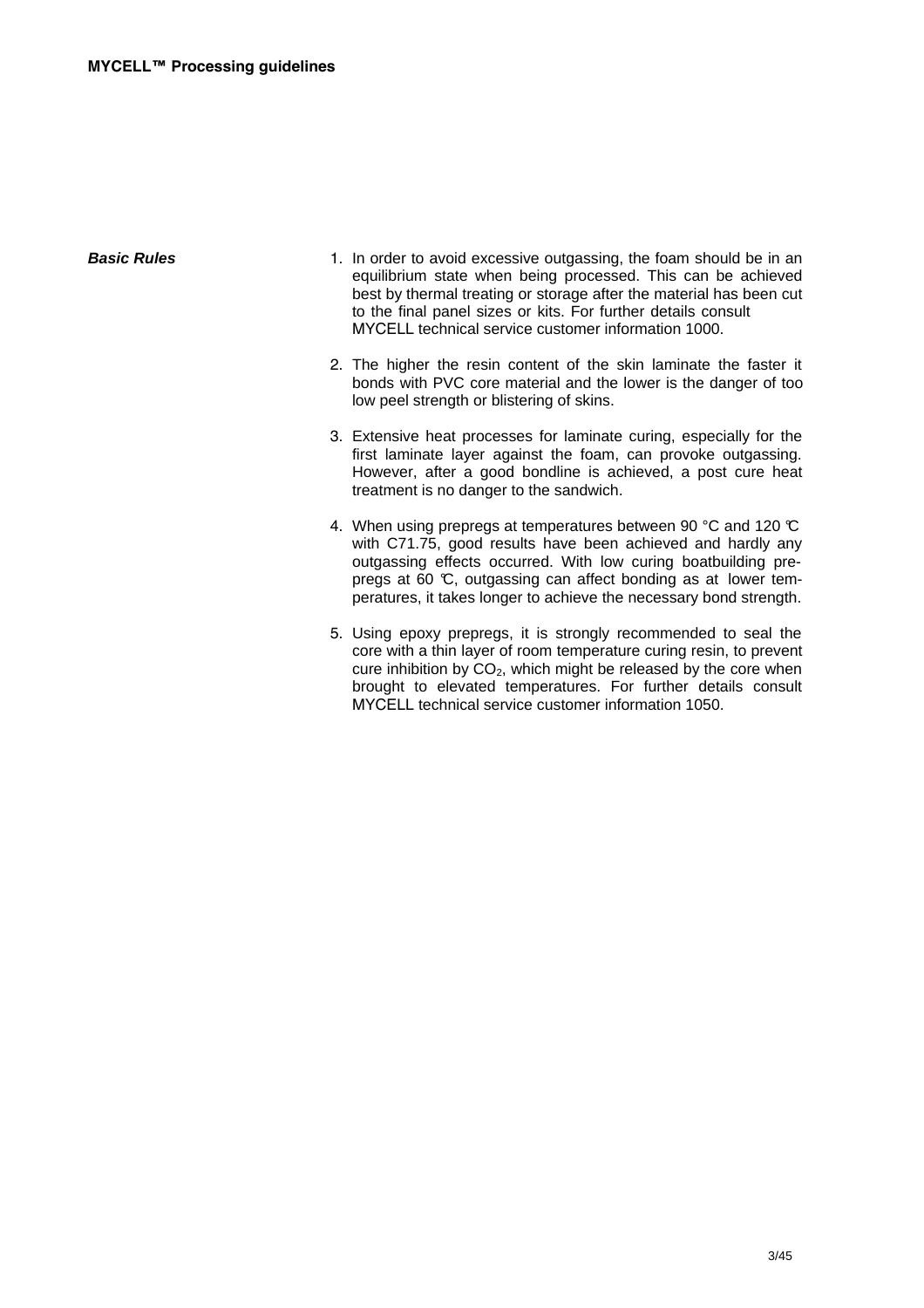| sic Rules | 1. In order |
|-----------|-------------|
|           | equilibri   |
|           | best by     |
|           | to the fi   |

- **Basic Rules 1.** In order to avoid excessive outgassing, the foam should be in an ium state when being processed. This can be achieved thermal treating or storage after the material has been cut the final panel sizes or kits. For further details consult MYCELL technical service customer information 1000.
	- 2. The higher the resin content of the skin laminate the faster it bonds with PVC core material and the lower is the danger of too low peel strength or blistering of skins.
	- 3. Extensive heat processes for laminate curing, especially for the first laminate layer against the foam, can provoke outgassing. However, after a good bondline is achieved, a post cure heat treatment is no danger to the sandwich.
	- 4. When using prepregs at temperatures between 90 °C and 120 °C with C71.75, good results have been achieved and hardly any outgassing effects occurred. With low curing boatbuilding prepregs at 60 °C, outgassing can affect bonding as at lower temperatures, it takes longer to achieve the necessary bond strength.
	- 5. Using epoxy prepregs, it is strongly recommended to seal the core with a thin layer of room temperature curing resin, to prevent cure inhibition by  $CO<sub>2</sub>$ , which might be released by the core when brought to elevated temperatures. For further details consult MYCELL technical service customer information 1050.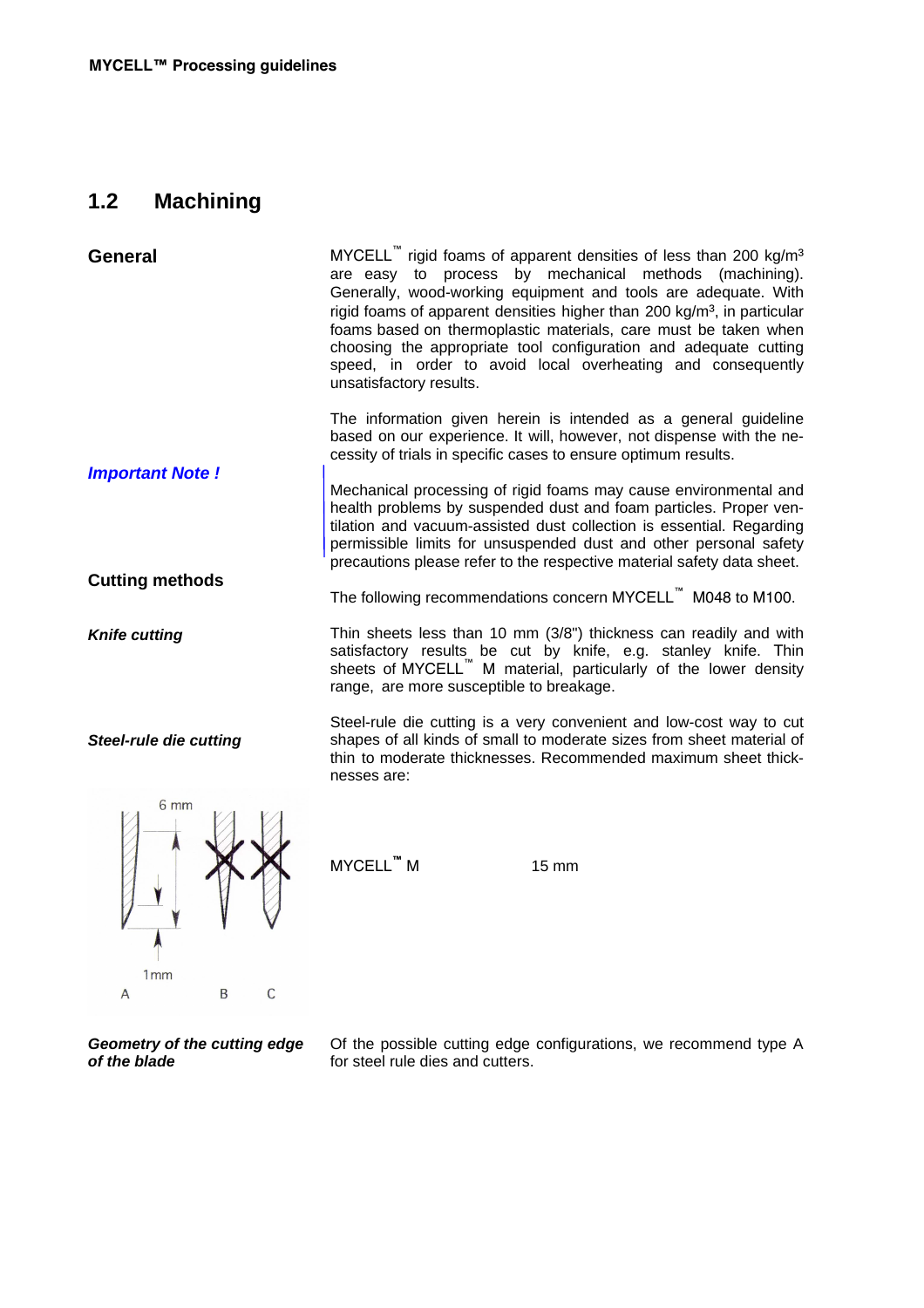# **1.2 Machining**

**Geometry of the cutting edge** 

**of the blade** 

| <b>General</b>                | MYCELL" rigid foams of apparent densities of less than 200 kg/m <sup>3</sup><br>are easy to process by mechanical methods (machining).<br>Generally, wood-working equipment and tools are adequate. With<br>rigid foams of apparent densities higher than 200 kg/m <sup>3</sup> , in particular<br>foams based on thermoplastic materials, care must be taken when<br>choosing the appropriate tool configuration and adequate cutting<br>speed, in order to avoid local overheating and consequently<br>unsatisfactory results. |
|-------------------------------|----------------------------------------------------------------------------------------------------------------------------------------------------------------------------------------------------------------------------------------------------------------------------------------------------------------------------------------------------------------------------------------------------------------------------------------------------------------------------------------------------------------------------------|
| <b>Important Note!</b>        | The information given herein is intended as a general guideline<br>based on our experience. It will, however, not dispense with the ne-<br>cessity of trials in specific cases to ensure optimum results.                                                                                                                                                                                                                                                                                                                        |
|                               | Mechanical processing of rigid foams may cause environmental and<br>health problems by suspended dust and foam particles. Proper ven-<br>tilation and vacuum-assisted dust collection is essential. Regarding<br>permissible limits for unsuspended dust and other personal safety<br>precautions please refer to the respective material safety data sheet.                                                                                                                                                                     |
| <b>Cutting methods</b>        | The following recommendations concern MYCELL <sup>"</sup> M048 to M100.                                                                                                                                                                                                                                                                                                                                                                                                                                                          |
| <b>Knife cutting</b>          | Thin sheets less than 10 mm (3/8") thickness can readily and with<br>satisfactory results be cut by knife, e.g. stanley knife. Thin<br>sheets of MYCELL <sup>"</sup> M material, particularly of the lower density<br>range, are more susceptible to breakage.                                                                                                                                                                                                                                                                   |
| <b>Steel-rule die cutting</b> | Steel-rule die cutting is a very convenient and low-cost way to cut<br>shapes of all kinds of small to moderate sizes from sheet material of<br>thin to moderate thicknesses. Recommended maximum sheet thick-<br>nesses are:                                                                                                                                                                                                                                                                                                    |
| 6 mm<br>1mm<br>C<br>B<br>A    | MYCELL™ M<br>15 mm                                                                                                                                                                                                                                                                                                                                                                                                                                                                                                               |
|                               |                                                                                                                                                                                                                                                                                                                                                                                                                                                                                                                                  |

for steel rule dies and cutters.

Of the possible cutting edge configurations, we recommend type A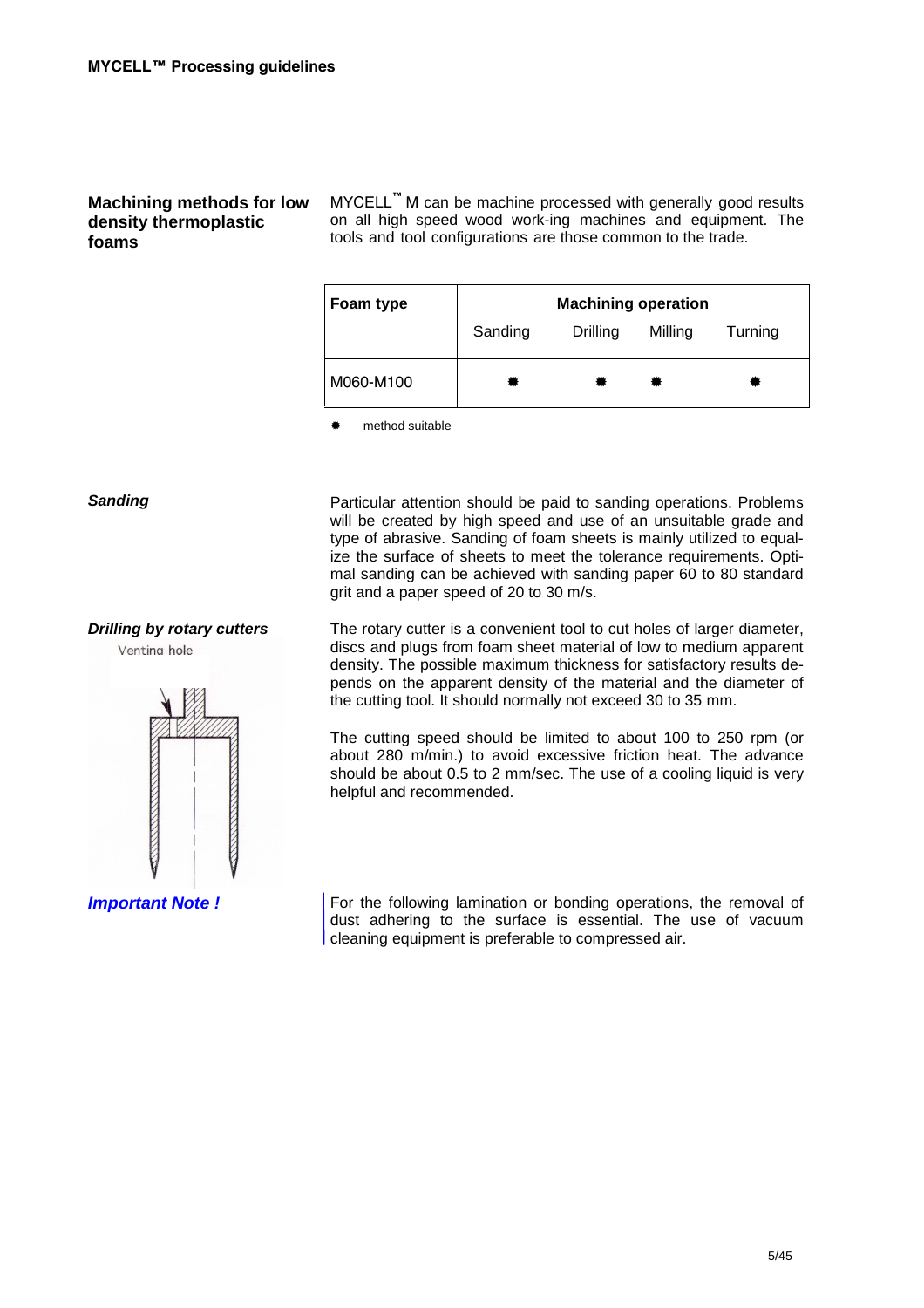### **Machining methods for low density thermoplastic foams**

MYCELL**™** M can be machine processed with generally good results on all high speed wood work-ing machines and equipment. The tools and tool configurations are those common to the trade.



**Sanding** Particular attention should be paid to sanding operations. Problems

will be created by high speed and use of an unsuitable grade and type of abrasive. Sanding of foam sheets is mainly utilized to equalize the surface of sheets to meet the tolerance requirements. Optimal sanding can be achieved with sanding paper 60 to 80 standard grit and a paper speed of 20 to 30 m/s.

**Drilling by rotary cutters** The rotary cutter is a convenient tool to cut holes of larger diameter, discs and plugs from foam sheet material of low to medium apparent density. The possible maximum thickness for satisfactory results depends on the apparent density of the material and the diameter of the cutting tool. It should normally not exceed 30 to 35 mm.

> The cutting speed should be limited to about 100 to 250 rpm (or about 280 m/min.) to avoid excessive friction heat. The advance should be about 0.5 to 2 mm/sec. The use of a cooling liquid is very helpful and recommended.

**Important Note ! For the following lamination or bonding operations, the removal of** dust adhering to the surface is essential. The use of vacuum cleaning equipment is preferable to compressed air.

Venting hole

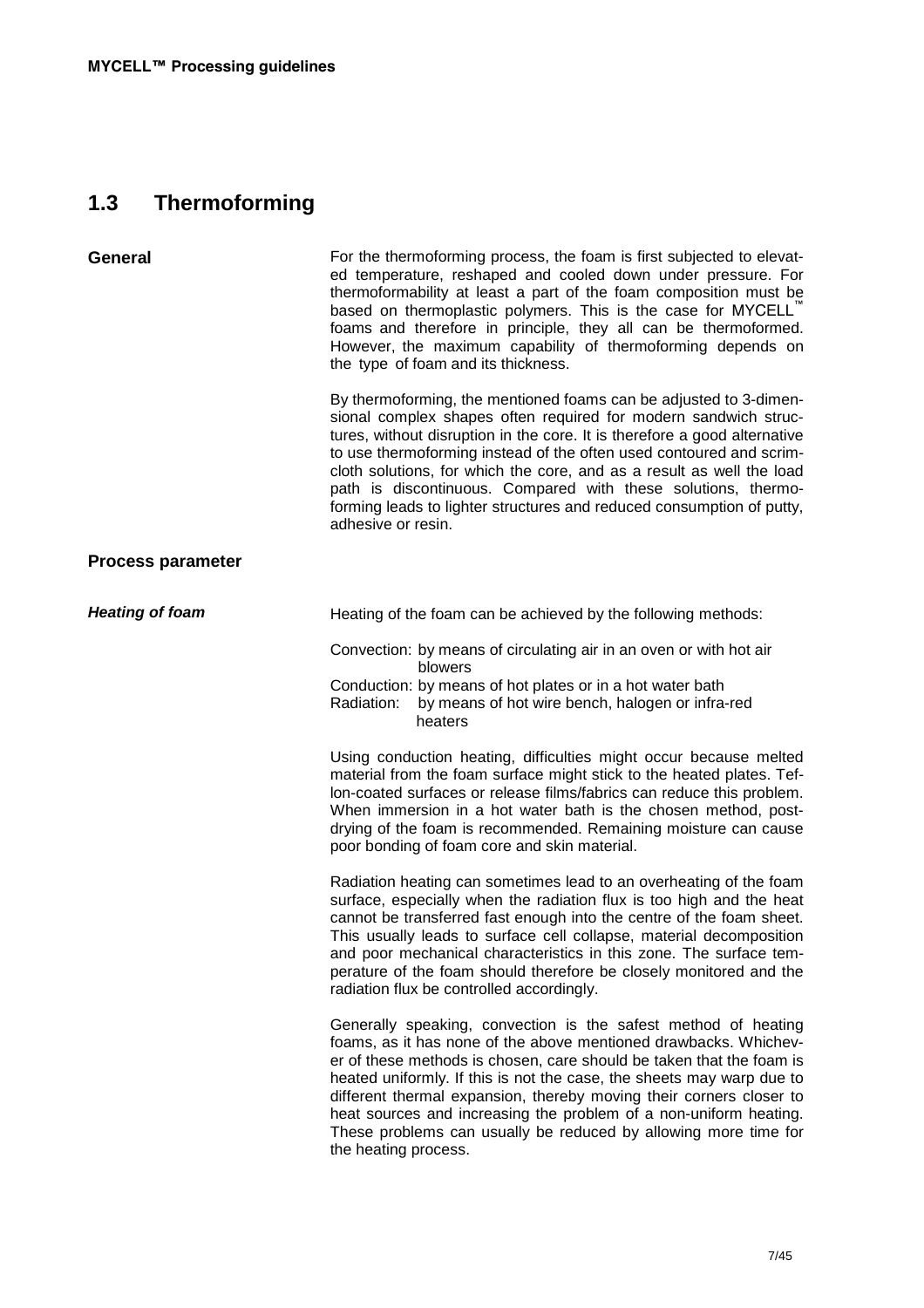# **1.3 Thermoforming**

| <b>General</b>           | For the thermoforming process, the foam is first subjected to elevat-<br>ed temperature, reshaped and cooled down under pressure. For<br>thermoformability at least a part of the foam composition must be<br>based on thermoplastic polymers. This is the case for MYCELL"<br>foams and therefore in principle, they all can be thermoformed.<br>However, the maximum capability of thermoforming depends on<br>the type of foam and its thickness.                                                                              |  |  |
|--------------------------|-----------------------------------------------------------------------------------------------------------------------------------------------------------------------------------------------------------------------------------------------------------------------------------------------------------------------------------------------------------------------------------------------------------------------------------------------------------------------------------------------------------------------------------|--|--|
|                          | By thermoforming, the mentioned foams can be adjusted to 3-dimen-<br>sional complex shapes often required for modern sandwich struc-<br>tures, without disruption in the core. It is therefore a good alternative<br>to use thermoforming instead of the often used contoured and scrim-<br>cloth solutions, for which the core, and as a result as well the load<br>path is discontinuous. Compared with these solutions, thermo-<br>forming leads to lighter structures and reduced consumption of putty,<br>adhesive or resin. |  |  |
| <b>Process parameter</b> |                                                                                                                                                                                                                                                                                                                                                                                                                                                                                                                                   |  |  |
| <b>Heating of foam</b>   | Heating of the foam can be achieved by the following methods:                                                                                                                                                                                                                                                                                                                                                                                                                                                                     |  |  |
|                          | Convection: by means of circulating air in an oven or with hot air                                                                                                                                                                                                                                                                                                                                                                                                                                                                |  |  |
|                          | blowers<br>Conduction: by means of hot plates or in a hot water bath<br>by means of hot wire bench, halogen or infra-red<br>Radiation:<br>heaters                                                                                                                                                                                                                                                                                                                                                                                 |  |  |
|                          | Using conduction heating, difficulties might occur because melted<br>material from the foam surface might stick to the heated plates. Tef-<br>lon-coated surfaces or release films/fabrics can reduce this problem.<br>When immersion in a hot water bath is the chosen method, post-<br>drying of the foam is recommended. Remaining moisture can cause<br>poor bonding of foam core and skin material.                                                                                                                          |  |  |
|                          | Radiation heating can sometimes lead to an overheating of the foam<br>surface, especially when the radiation flux is too high and the heat<br>cannot be transferred fast enough into the centre of the foam sheet.<br>This usually leads to surface cell collapse, material decomposition<br>and poor mechanical characteristics in this zone. The surface tem-<br>perature of the foam should therefore be closely monitored and the<br>radiation flux be controlled accordingly.                                                |  |  |
|                          | Generally speaking, convection is the safest method of heating<br>foams, as it has none of the above mentioned drawbacks. Whichev-<br>er of these methods is chosen, care should be taken that the foam is<br>heated uniformly. If this is not the case, the sheets may warp due to<br>different thermal expansion, thereby moving their corners closer to<br>heat sources and increasing the problem of a non-uniform heating.<br>These problems can usually be reduced by allowing more time for<br>the heating process.        |  |  |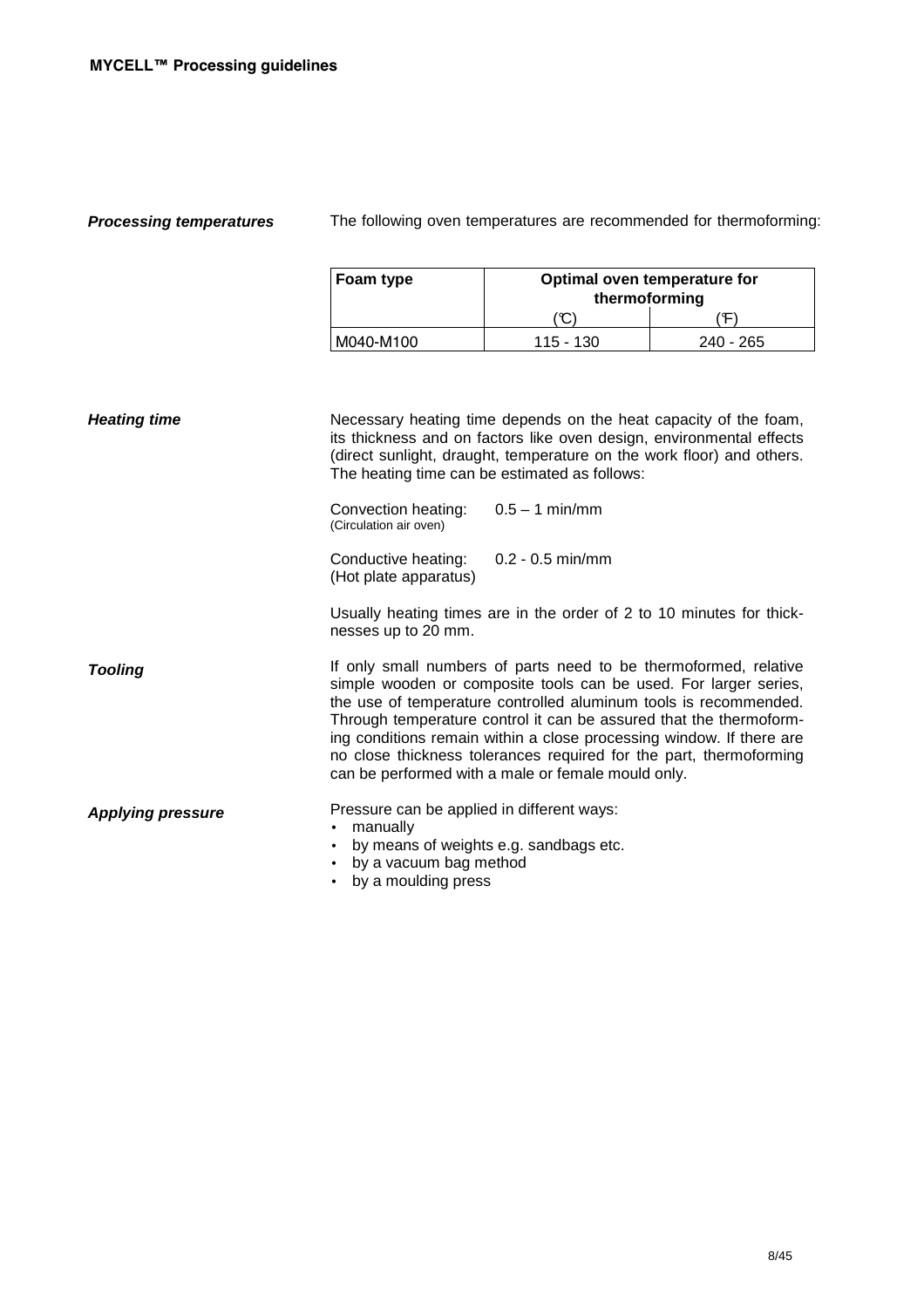**Processing temperatures** The following oven temperatures are recommended for thermoforming:

| Foam type | Optimal oven temperature for<br>thermoforming |           |  |  |
|-----------|-----------------------------------------------|-----------|--|--|
|           | C<br>. Ф                                      |           |  |  |
| M040-M100 | 115 - 130                                     | 240 - 265 |  |  |

| <b>Heating time</b>      | Necessary heating time depends on the heat capacity of the foam,<br>its thickness and on factors like oven design, environmental effects<br>(direct sunlight, draught, temperature on the work floor) and others.<br>The heating time can be estimated as follows:                                                                                                                                                                                                                 |  |  |
|--------------------------|------------------------------------------------------------------------------------------------------------------------------------------------------------------------------------------------------------------------------------------------------------------------------------------------------------------------------------------------------------------------------------------------------------------------------------------------------------------------------------|--|--|
|                          | $0.5 - 1$ min/mm<br>Convection heating:<br>(Circulation air oven)                                                                                                                                                                                                                                                                                                                                                                                                                  |  |  |
|                          | $0.2 - 0.5$ min/mm<br>Conductive heating:<br>(Hot plate apparatus)                                                                                                                                                                                                                                                                                                                                                                                                                 |  |  |
|                          | Usually heating times are in the order of 2 to 10 minutes for thick-<br>nesses up to 20 mm.                                                                                                                                                                                                                                                                                                                                                                                        |  |  |
| <b>Tooling</b>           | If only small numbers of parts need to be thermoformed, relative<br>simple wooden or composite tools can be used. For larger series,<br>the use of temperature controlled aluminum tools is recommended.<br>Through temperature control it can be assured that the thermoform-<br>ing conditions remain within a close processing window. If there are<br>no close thickness tolerances required for the part, thermoforming<br>can be performed with a male or female mould only. |  |  |
| <b>Applying pressure</b> | Pressure can be applied in different ways:<br>manually<br>$\bullet$<br>by means of weights e.g. sandbags etc.<br>$\bullet$<br>by a vacuum bag method<br>by a moulding press                                                                                                                                                                                                                                                                                                        |  |  |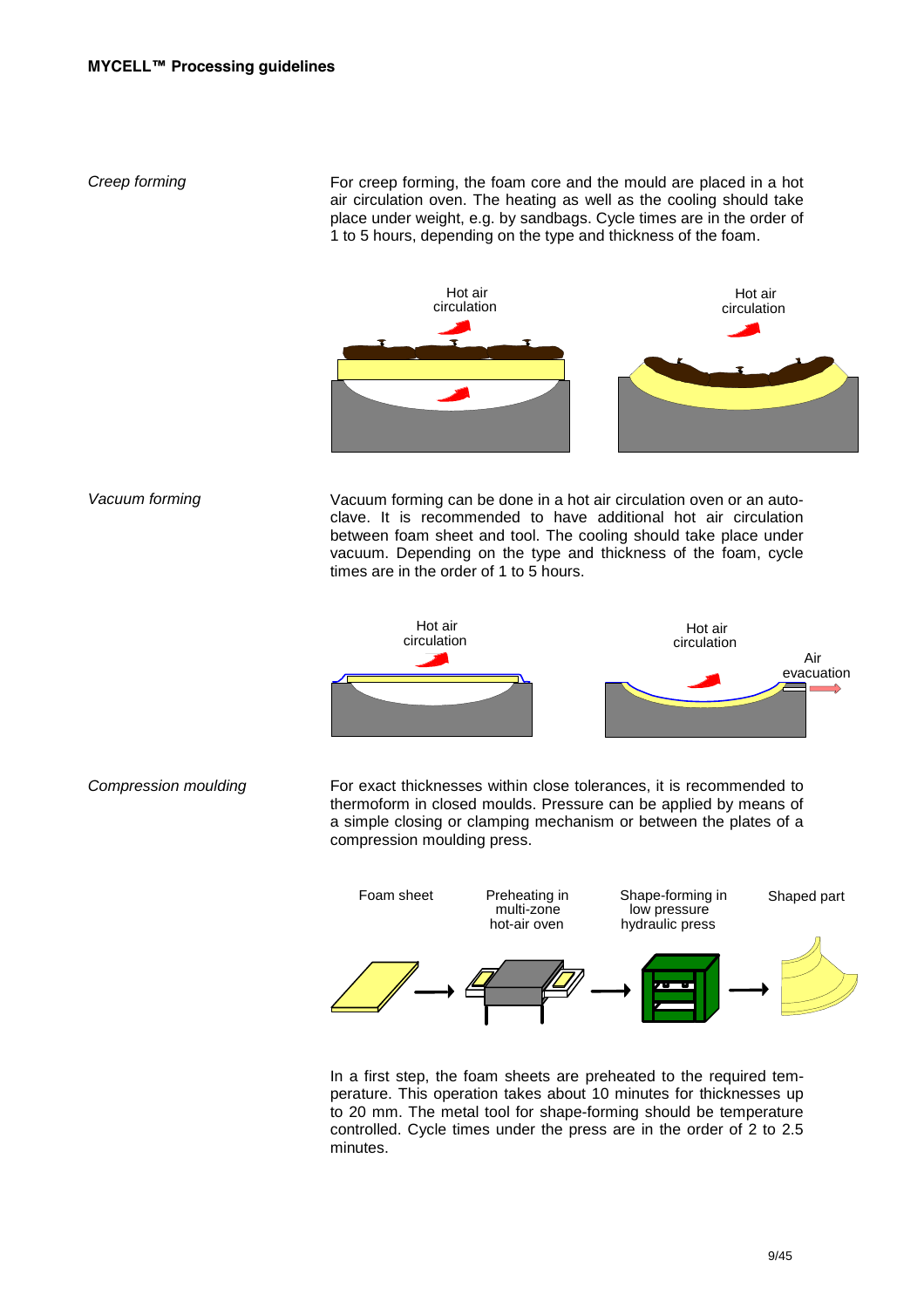Creep forming For creep forming, the foam core and the mould are placed in a hot air circulation oven. The heating as well as the cooling should take place under weight, e.g. by sandbags. Cycle times are in the order of 1 to 5 hours, depending on the type and thickness of the foam.



Vacuum forming Vacuum forming can be done in a hot air circulation oven or an autoclave. It is recommended to have additional hot air circulation between foam sheet and tool. The cooling should take place under vacuum. Depending on the type and thickness of the foam, cycle times are in the order of 1 to 5 hours.



Compression moulding For exact thicknesses within close tolerances, it is recommended to thermoform in closed moulds. Pressure can be applied by means of a simple closing or clamping mechanism or between the plates of a compression moulding press.



In a first step, the foam sheets are preheated to the required temperature. This operation takes about 10 minutes for thicknesses up to 20 mm. The metal tool for shape-forming should be temperature controlled. Cycle times under the press are in the order of 2 to 2.5 minutes.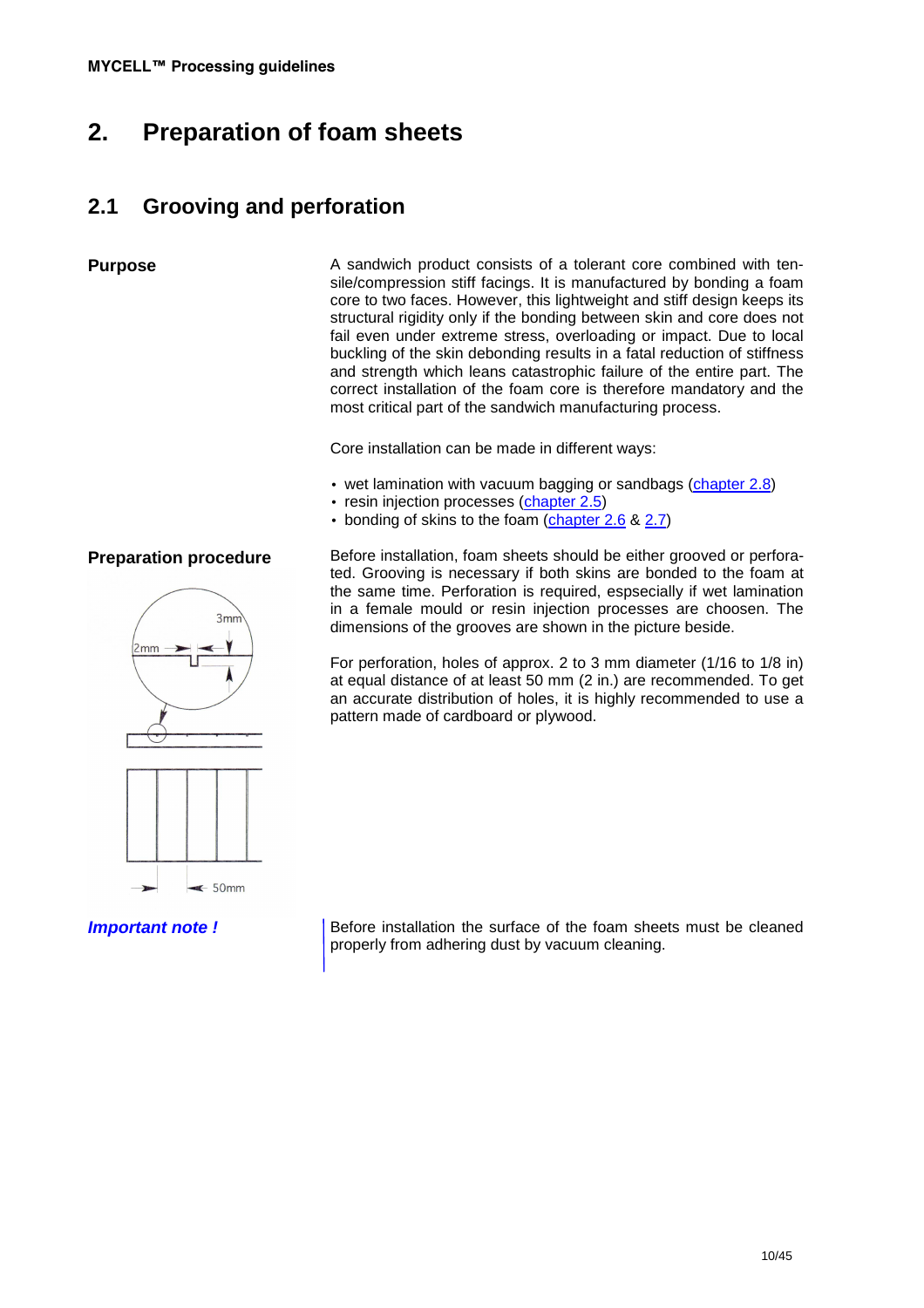# **2. Preparation of foam sheets**

## **2.1 Grooving and perforation**

**Purpose** A sandwich product consists of a tolerant core combined with tensile/compression stiff facings. It is manufactured by bonding a foam core to two faces. However, this lightweight and stiff design keeps its structural rigidity only if the bonding between skin and core does not fail even under extreme stress, overloading or impact. Due to local buckling of the skin debonding results in a fatal reduction of stiffness and strength which leans catastrophic failure of the entire part. The correct installation of the foam core is therefore mandatory and the most critical part of the sandwich manufacturing process.

Core installation can be made in different ways:

- wet lamination with vacuum bagging or sandbags (chapter 2.8)
- resin injection processes (chapter 2.5)
- bonding of skins to the foam (chapter 2.6 & 2.7)

## **Preparation procedure**



Before installation, foam sheets should be either grooved or perforated. Grooving is necessary if both skins are bonded to the foam at the same time. Perforation is required, espsecially if wet lamination in a female mould or resin injection processes are choosen. The dimensions of the grooves are shown in the picture beside.

For perforation, holes of approx. 2 to 3 mm diameter (1/16 to 1/8 in) at equal distance of at least 50 mm (2 in.) are recommended. To get an accurate distribution of holes, it is highly recommended to use a pattern made of cardboard or plywood.

**Important note ! Before installation the surface of the foam sheets must be cleaned** properly from adhering dust by vacuum cleaning.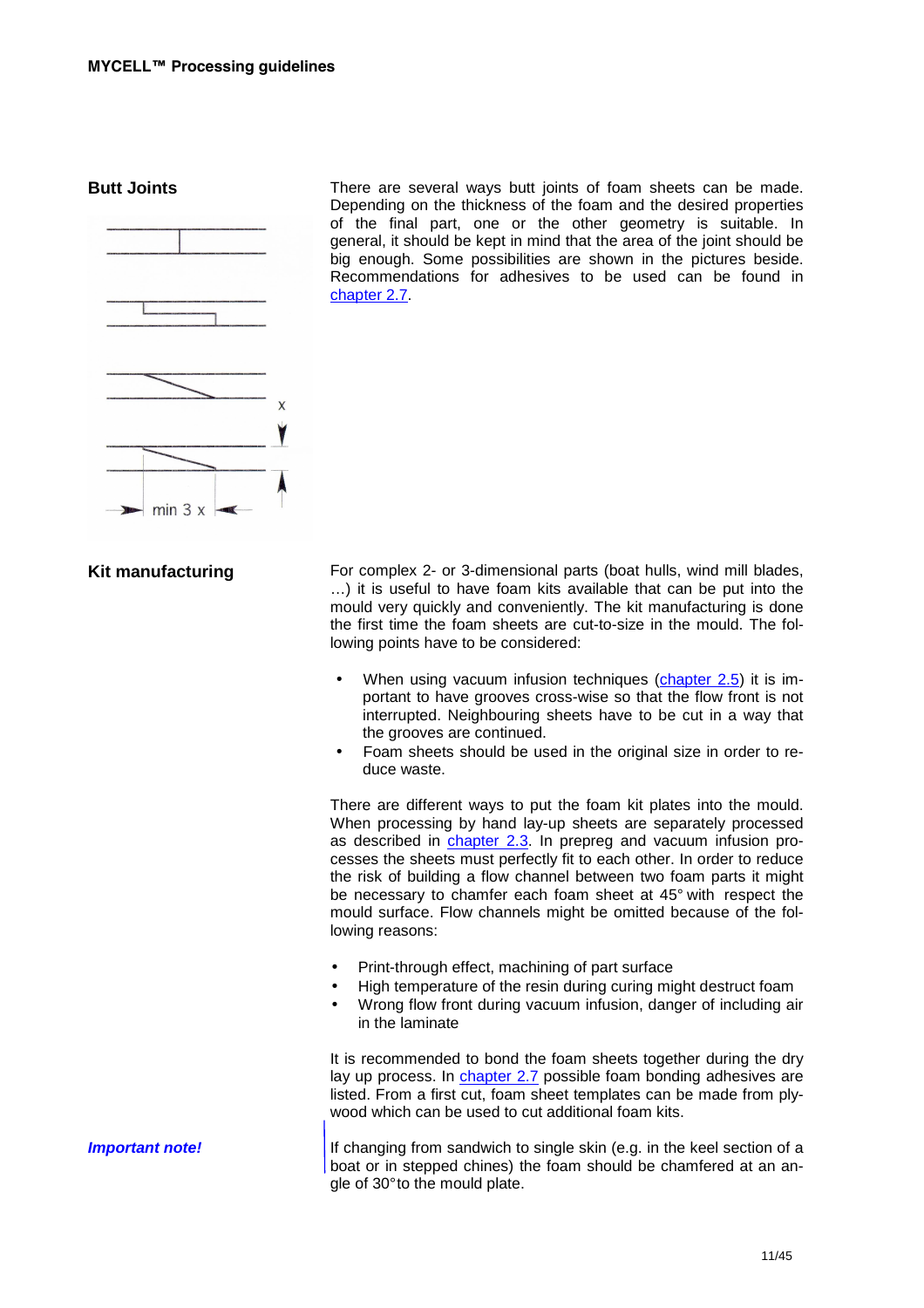

**Butt Joints** There are several ways butt joints of foam sheets can be made. Depending on the thickness of the foam and the desired properties of the final part, one or the other geometry is suitable. In general, it should be kept in mind that the area of the joint should be big enough. Some possibilities are shown in the pictures beside. Recommendations for adhesives to be used can be found in chapter 2.7.

**Kit manufacturing** For complex 2- or 3-dimensional parts (boat hulls, wind mill blades, …) it is useful to have foam kits available that can be put into the mould very quickly and conveniently. The kit manufacturing is done the first time the foam sheets are cut-to-size in the mould. The following points have to be considered:

- When using vacuum infusion techniques (chapter 2.5) it is important to have grooves cross-wise so that the flow front is not interrupted. Neighbouring sheets have to be cut in a way that the grooves are continued.
- Foam sheets should be used in the original size in order to reduce waste.

There are different ways to put the foam kit plates into the mould. When processing by hand lay-up sheets are separately processed as described in chapter 2.3. In prepreg and vacuum infusion processes the sheets must perfectly fit to each other. In order to reduce the risk of building a flow channel between two foam parts it might be necessary to chamfer each foam sheet at 45° with respect the mould surface. Flow channels might be omitted because of the following reasons:

- Print-through effect, machining of part surface
- High temperature of the resin during curing might destruct foam
- Wrong flow front during vacuum infusion, danger of including air in the laminate

It is recommended to bond the foam sheets together during the dry lay up process. In chapter 2.7 possible foam bonding adhesives are listed. From a first cut, foam sheet templates can be made from plywood which can be used to cut additional foam kits.

**Important note! If changing from sandwich to single skin (e.g. in the keel section of a** boat or in stepped chines) the foam should be chamfered at an angle of 30° to the mould plate.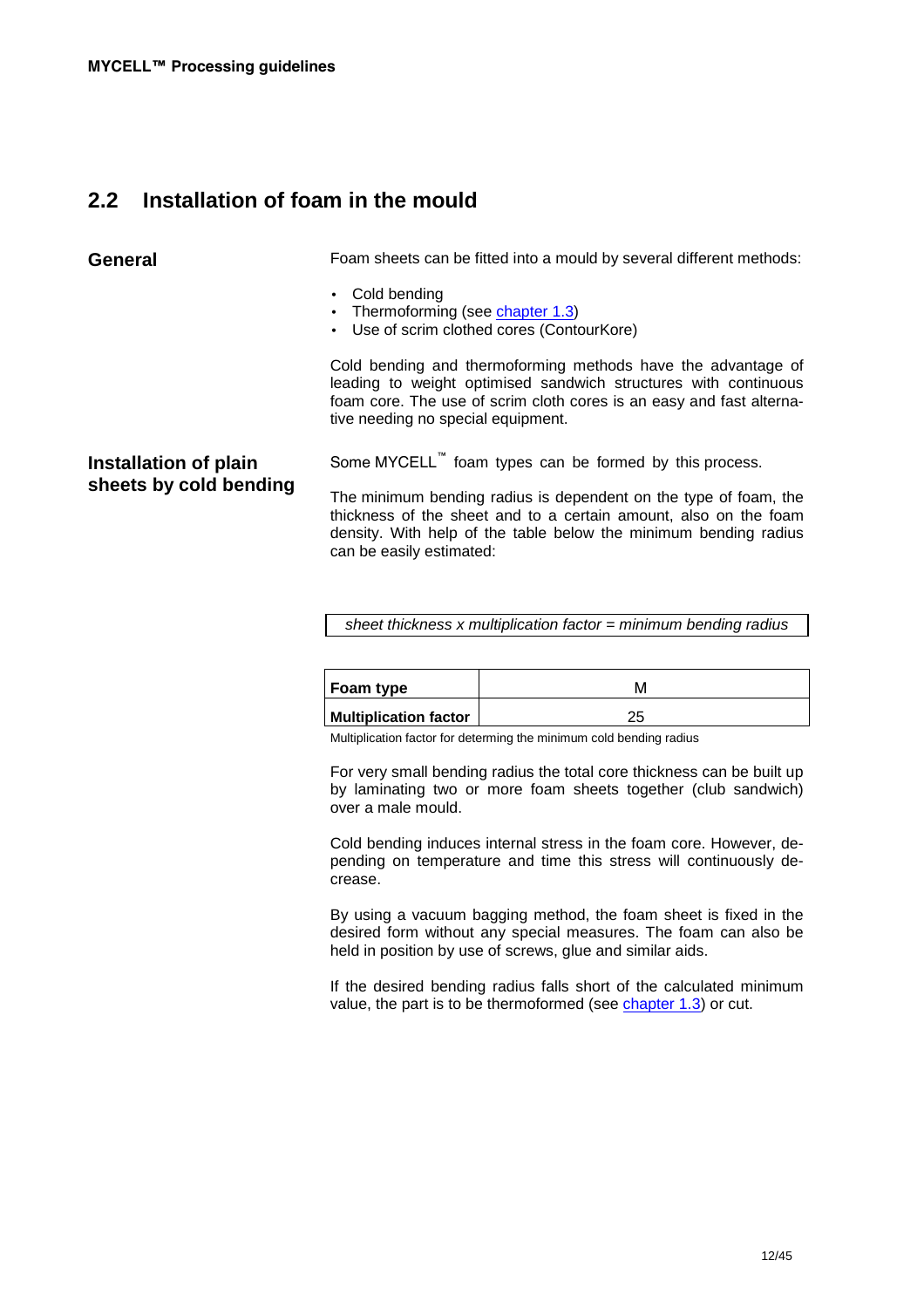## **2.2 Installation of foam in the mould**

**General** Foam sheets can be fitted into a mould by several different methods:

- Cold bending
- Thermoforming (see chapter 1.3)
- Use of scrim clothed cores (ContourKore)

Cold bending and thermoforming methods have the advantage of leading to weight optimised sandwich structures with continuous foam core. The use of scrim cloth cores is an easy and fast alternative needing no special equipment.

## **Installation of plain sheets by cold bending**

Some MYCELL™ foam types can be formed by this process.

The minimum bending radius is dependent on the type of foam, the thickness of the sheet and to a certain amount, also on the foam density. With help of the table below the minimum bending radius can be easily estimated:

sheet thickness  $x$  multiplication factor = minimum bending radius

| ∣Foam type                   | ΙVΙ |
|------------------------------|-----|
| <b>Multiplication factor</b> | ∼   |

Multiplication factor for determing the minimum cold bending radius

For very small bending radius the total core thickness can be built up by laminating two or more foam sheets together (club sandwich) over a male mould.

Cold bending induces internal stress in the foam core. However, depending on temperature and time this stress will continuously decrease.

By using a vacuum bagging method, the foam sheet is fixed in the desired form without any special measures. The foam can also be held in position by use of screws, glue and similar aids.

If the desired bending radius falls short of the calculated minimum value, the part is to be thermoformed (see chapter 1.3) or cut.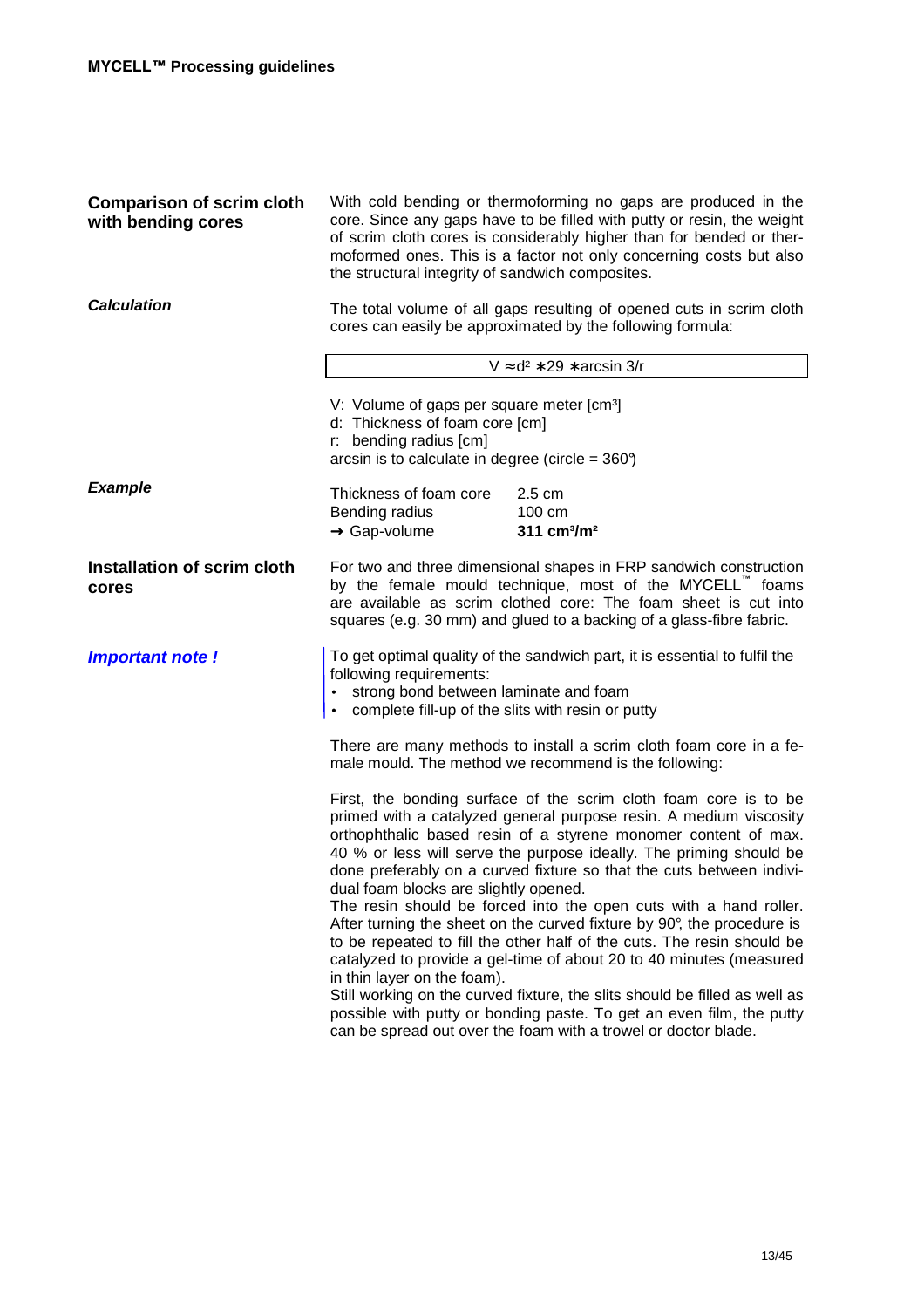| <b>Comparison of scrim cloth</b><br>with bending cores | With cold bending or thermoforming no gaps are produced in the<br>core. Since any gaps have to be filled with putty or resin, the weight<br>of scrim cloth cores is considerably higher than for bended or ther-<br>moformed ones. This is a factor not only concerning costs but also<br>the structural integrity of sandwich composites.                                                                                                                                                                                                                                                                                                                                                                                                                                                                  |  |  |
|--------------------------------------------------------|-------------------------------------------------------------------------------------------------------------------------------------------------------------------------------------------------------------------------------------------------------------------------------------------------------------------------------------------------------------------------------------------------------------------------------------------------------------------------------------------------------------------------------------------------------------------------------------------------------------------------------------------------------------------------------------------------------------------------------------------------------------------------------------------------------------|--|--|
| <b>Calculation</b>                                     | The total volume of all gaps resulting of opened cuts in scrim cloth<br>cores can easily be approximated by the following formula:                                                                                                                                                                                                                                                                                                                                                                                                                                                                                                                                                                                                                                                                          |  |  |
|                                                        | $V \approx d^2 * 29 * \arcsin 3/r$                                                                                                                                                                                                                                                                                                                                                                                                                                                                                                                                                                                                                                                                                                                                                                          |  |  |
|                                                        | V: Volume of gaps per square meter [cm <sup>3</sup> ]<br>d: Thickness of foam core [cm]<br>r: bending radius [cm]<br>arcsin is to calculate in degree (circle = $360^{\circ}$ )                                                                                                                                                                                                                                                                                                                                                                                                                                                                                                                                                                                                                             |  |  |
| <b>Example</b>                                         | Thickness of foam core<br>$2.5 \text{ cm}$<br>Bending radius<br>100 cm<br>311 cm <sup>3</sup> /m <sup>2</sup><br>$\rightarrow$ Gap-volume                                                                                                                                                                                                                                                                                                                                                                                                                                                                                                                                                                                                                                                                   |  |  |
| Installation of scrim cloth<br>cores                   | For two and three dimensional shapes in FRP sandwich construction<br>by the female mould technique, most of the MYCELL™ foams<br>are available as scrim clothed core: The foam sheet is cut into<br>squares (e.g. 30 mm) and glued to a backing of a glass-fibre fabric.                                                                                                                                                                                                                                                                                                                                                                                                                                                                                                                                    |  |  |
| Important note!                                        | To get optimal quality of the sandwich part, it is essential to fulfil the<br>following requirements:<br>strong bond between laminate and foam<br>$\bullet$<br>complete fill-up of the slits with resin or putty<br>$\bullet$                                                                                                                                                                                                                                                                                                                                                                                                                                                                                                                                                                               |  |  |
|                                                        | There are many methods to install a scrim cloth foam core in a fe-<br>male mould. The method we recommend is the following:                                                                                                                                                                                                                                                                                                                                                                                                                                                                                                                                                                                                                                                                                 |  |  |
|                                                        | First, the bonding surface of the scrim cloth foam core is to be<br>primed with a catalyzed general purpose resin. A medium viscosity<br>orthophthalic based resin of a styrene monomer content of max.<br>40 % or less will serve the purpose ideally. The priming should be<br>done preferably on a curved fixture so that the cuts between indivi-<br>dual foam blocks are slightly opened.<br>The resin should be forced into the open cuts with a hand roller.<br>After turning the sheet on the curved fixture by 90°, the procedure is<br>to be repeated to fill the other half of the cuts. The resin should be<br>catalyzed to provide a gel-time of about 20 to 40 minutes (measured<br>in thin layer on the foam).<br>Still working on the curved fixture, the slits should be filled as well as |  |  |
|                                                        | possible with putty or bonding paste. To get an even film, the putty<br>can be spread out over the foam with a trowel or doctor blade.                                                                                                                                                                                                                                                                                                                                                                                                                                                                                                                                                                                                                                                                      |  |  |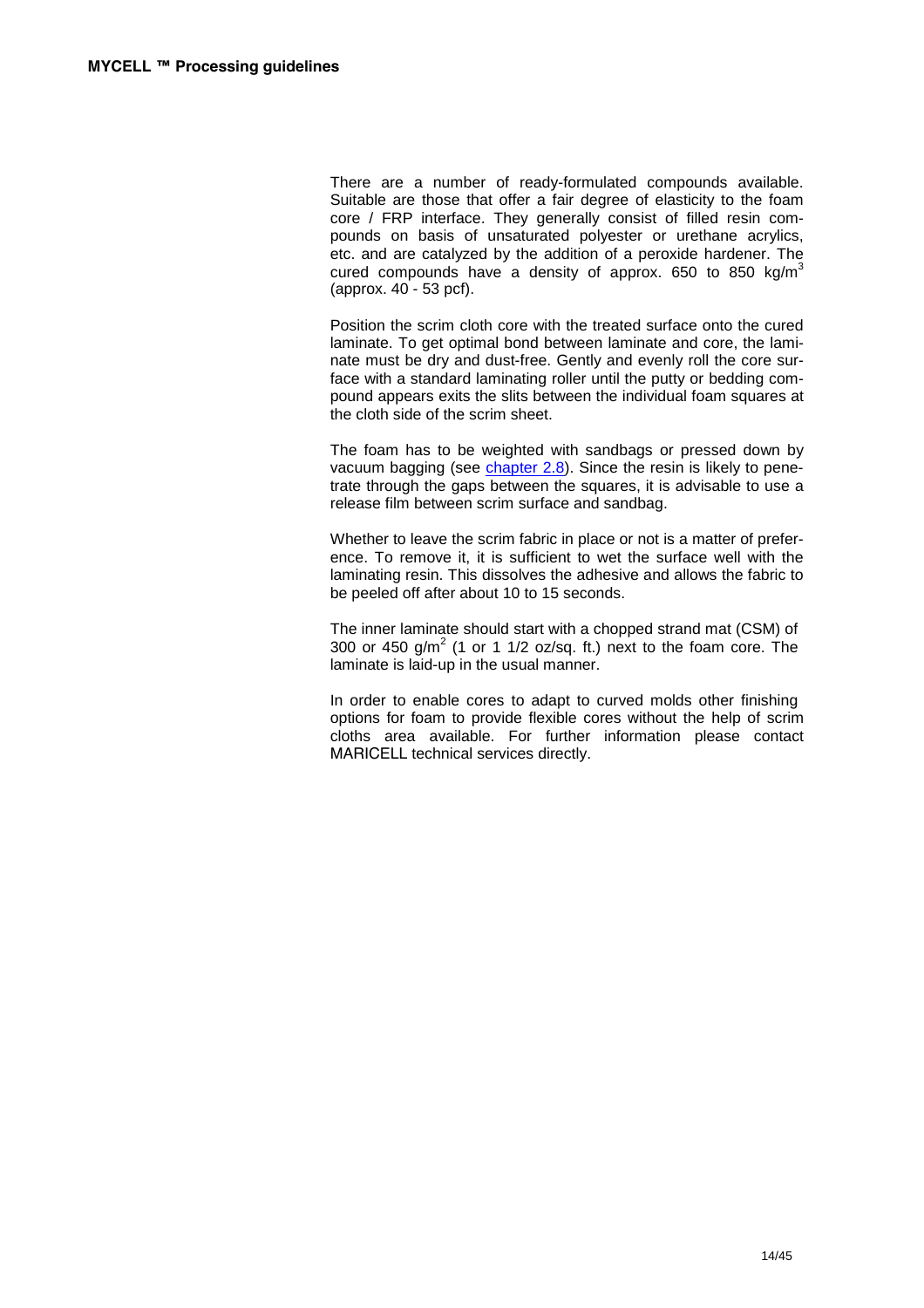There are a number of ready-formulated compounds available. Suitable are those that offer a fair degree of elasticity to the foam core / FRP interface. They generally consist of filled resin compounds on basis of unsaturated polyester or urethane acrylics, etc. and are catalyzed by the addition of a peroxide hardener. The cured compounds have a density of approx. 650 to 850 kg/m<sup>3</sup> (approx. 40 - 53 pcf).

Position the scrim cloth core with the treated surface onto the cured laminate. To get optimal bond between laminate and core, the laminate must be dry and dust-free. Gently and evenly roll the core surface with a standard laminating roller until the putty or bedding compound appears exits the slits between the individual foam squares at the cloth side of the scrim sheet.

The foam has to be weighted with sandbags or pressed down by vacuum bagging (see chapter 2.8). Since the resin is likely to penetrate through the gaps between the squares, it is advisable to use a release film between scrim surface and sandbag.

Whether to leave the scrim fabric in place or not is a matter of preference. To remove it, it is sufficient to wet the surface well with the laminating resin. This dissolves the adhesive and allows the fabric to be peeled off after about 10 to 15 seconds.

The inner laminate should start with a chopped strand mat (CSM) of 300 or 450 g/m<sup>2</sup> (1 or 1 1/2 oz/sq. ft.) next to the foam core. The laminate is laid-up in the usual manner.

In order to enable cores to adapt to curved molds other finishing options for foam to provide flexible cores without the help of scrim cloths area available. For further information please contact MARICELL technical services directly.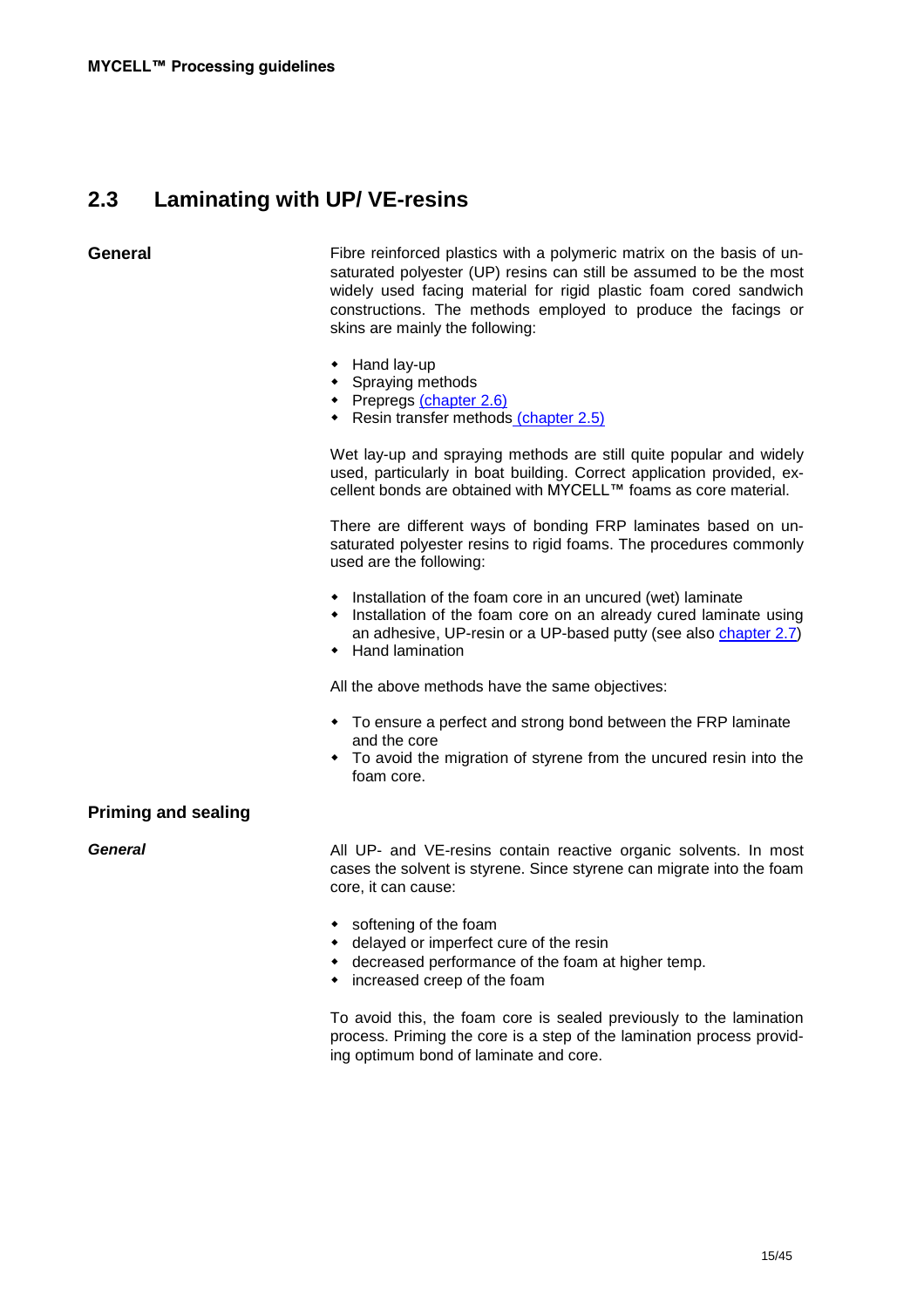# **2.3 Laminating with UP/ VE-resins**

**General** Fibre reinforced plastics with a polymeric matrix on the basis of unsaturated polyester (UP) resins can still be assumed to be the most widely used facing material for rigid plastic foam cored sandwich constructions. The methods employed to produce the facings or skins are mainly the following:

- Hand lay-up
- Spraying methods
- Prepregs (chapter 2.6)
- ◆ Resin transfer methods (chapter 2.5)

Wet lay-up and spraying methods are still quite popular and widely used, particularly in boat building. Correct application provided, excellent bonds are obtained with MYCELL™ foams as core material.

There are different ways of bonding FRP laminates based on unsaturated polyester resins to rigid foams. The procedures commonly used are the following:

- Installation of the foam core in an uncured (wet) laminate
- Installation of the foam core on an already cured laminate using an adhesive, UP-resin or a UP-based putty (see also chapter 2.7)
- Hand lamination

All the above methods have the same objectives:

- To ensure a perfect and strong bond between the FRP laminate and the core
- To avoid the migration of styrene from the uncured resin into the foam core.

## **Priming and sealing**

**General All UP-** and VE-resins contain reactive organic solvents. In most cases the solvent is styrene. Since styrene can migrate into the foam core, it can cause:

- softening of the foam
- delayed or imperfect cure of the resin
- decreased performance of the foam at higher temp.
- increased creep of the foam

To avoid this, the foam core is sealed previously to the lamination process. Priming the core is a step of the lamination process providing optimum bond of laminate and core.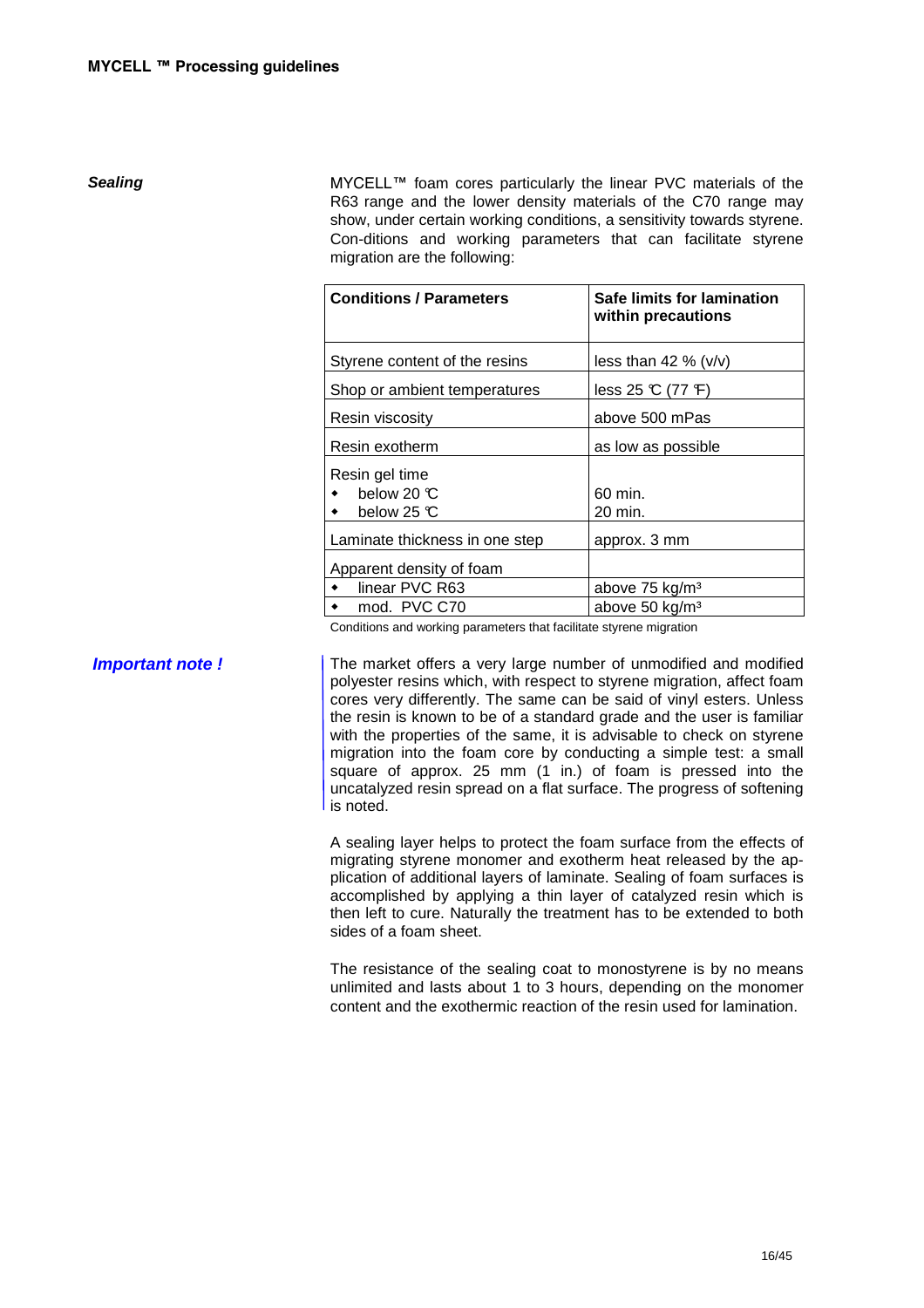**Sealing** Sealing **MYCELL™** foam cores particularly the linear PVC materials of the R63 range and the lower density materials of the C70 range may show, under certain working conditions, a sensitivity towards styrene. Con-ditions and working parameters that can facilitate styrene migration are the following:

| <b>Conditions / Parameters</b> | Safe limits for lamination<br>within precautions |  |  |
|--------------------------------|--------------------------------------------------|--|--|
| Styrene content of the resins  | less than 42 % $(v/v)$                           |  |  |
| Shop or ambient temperatures   | less $25 \text{ C}$ (77 F)                       |  |  |
| Resin viscosity                | above 500 mPas                                   |  |  |
| Resin exotherm                 | as low as possible                               |  |  |
| Resin gel time                 |                                                  |  |  |
| below 20 $\mathbb C$           | 60 min.                                          |  |  |
| below 25 $\mathbb C$           | 20 min.                                          |  |  |
| Laminate thickness in one step | approx. 3 mm                                     |  |  |
| Apparent density of foam       |                                                  |  |  |
| linear PVC R63                 | above 75 kg/m <sup>3</sup>                       |  |  |
| mod. PVC C70                   | above 50 kg/m <sup>3</sup>                       |  |  |

Conditions and working parameters that facilitate styrene migration

**Important note !** The market offers a very large number of unmodified and modified polyester resins which, with respect to styrene migration, affect foam cores very differently. The same can be said of vinyl esters. Unless the resin is known to be of a standard grade and the user is familiar with the properties of the same, it is advisable to check on styrene migration into the foam core by conducting a simple test: a small square of approx. 25 mm (1 in.) of foam is pressed into the uncatalyzed resin spread on a flat surface. The progress of softening is noted.

> A sealing layer helps to protect the foam surface from the effects of migrating styrene monomer and exotherm heat released by the application of additional layers of laminate. Sealing of foam surfaces is accomplished by applying a thin layer of catalyzed resin which is then left to cure. Naturally the treatment has to be extended to both sides of a foam sheet.

> The resistance of the sealing coat to monostyrene is by no means unlimited and lasts about 1 to 3 hours, depending on the monomer content and the exothermic reaction of the resin used for lamination.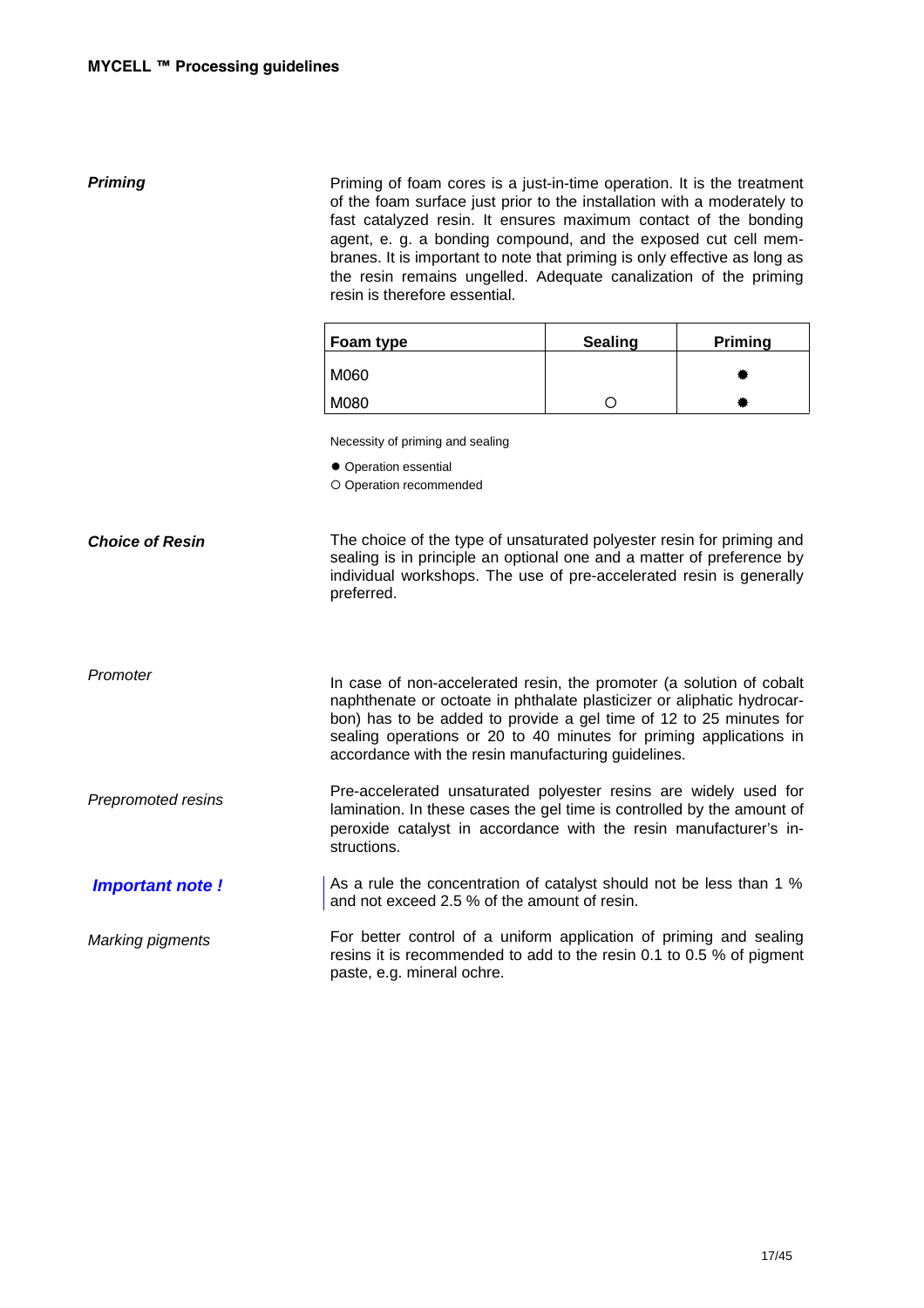**Priming** Priming of foam cores is a just-in-time operation. It is the treatment of the foam surface just prior to the installation with a moderately to fast catalyzed resin. It ensures maximum contact of the bonding agent, e. g. a bonding compound, and the exposed cut cell membranes. It is important to note that priming is only effective as long as the resin remains ungelled. Adequate canalization of the priming resin is therefore essential.

| Foam type | <b>Sealing</b> | <b>Priming</b> |
|-----------|----------------|----------------|
| M060      |                |                |
| M080      |                |                |

Necessity of priming and sealing

Operation essential

Operation recommended

**Choice of Resin**  The choice of the type of unsaturated polyester resin for priming and sealing is in principle an optional one and a matter of preference by individual workshops. The use of pre-accelerated resin is generally preferred.

Promoter

In case of non-accelerated resin, the promoter (a solution of cobalt naphthenate or octoate in phthalate plasticizer or aliphatic hydrocarbon) has to be added to provide a gel time of 12 to 25 minutes for sealing operations or 20 to 40 minutes for priming applications in accordance with the resin manufacturing guidelines.

Prepromoted resins Pre-accelerated unsaturated polyester resins are widely used for lamination. In these cases the gel time is controlled by the amount of peroxide catalyst in accordance with the resin manufacturer's instructions.

 **Important note !**  As a rule the concentration of catalyst should not be less than 1 % and not exceed 2.5 % of the amount of resin.

Marking pigments

For better control of a uniform application of priming and sealing resins it is recommended to add to the resin 0.1 to 0.5 % of pigment paste, e.g. mineral ochre.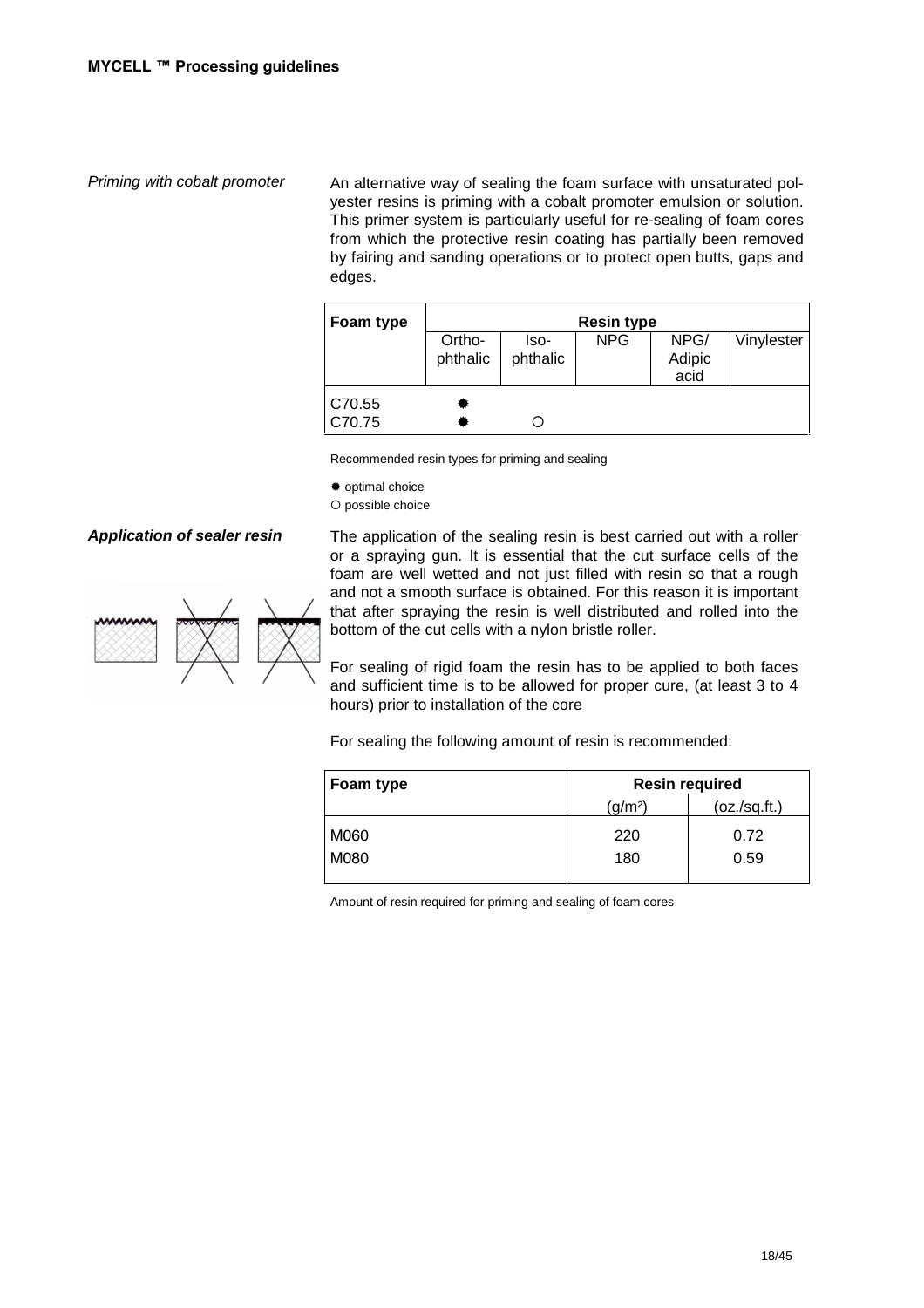Priming with cobalt promoter An alternative way of sealing the foam surface with unsaturated polyester resins is priming with a cobalt promoter emulsion or solution. This primer system is particularly useful for re-sealing of foam cores from which the protective resin coating has partially been removed by fairing and sanding operations or to protect open butts, gaps and edges.

| Foam type      | <b>Resin type</b> |          |            |        |            |
|----------------|-------------------|----------|------------|--------|------------|
|                | Ortho-            | lso-     | <b>NPG</b> | NPG/   | Vinylester |
|                | phthalic          | phthalic |            | Adipic |            |
|                |                   |          |            | acid   |            |
| $\vert$ C70.55 |                   |          |            |        |            |
| CC70.75        |                   |          |            |        |            |

Recommended resin types for priming and sealing

optimal choice

O possible choice



Application of sealer resin The application of the sealing resin is best carried out with a roller or a spraying gun. It is essential that the cut surface cells of the foam are well wetted and not just filled with resin so that a rough and not a smooth surface is obtained. For this reason it is important that after spraying the resin is well distributed and rolled into the bottom of the cut cells with a nylon bristle roller.

> For sealing of rigid foam the resin has to be applied to both faces and sufficient time is to be allowed for proper cure, (at least 3 to 4 hours) prior to installation of the core

For sealing the following amount of resin is recommended:

| Foam type | <b>Resin required</b> |               |  |
|-----------|-----------------------|---------------|--|
|           | (g/m <sup>2</sup> )   | (oz./sq.fit.) |  |
| M060      | 220                   | 0.72          |  |
| M080      | 180                   | 0.59          |  |

Amount of resin required for priming and sealing of foam cores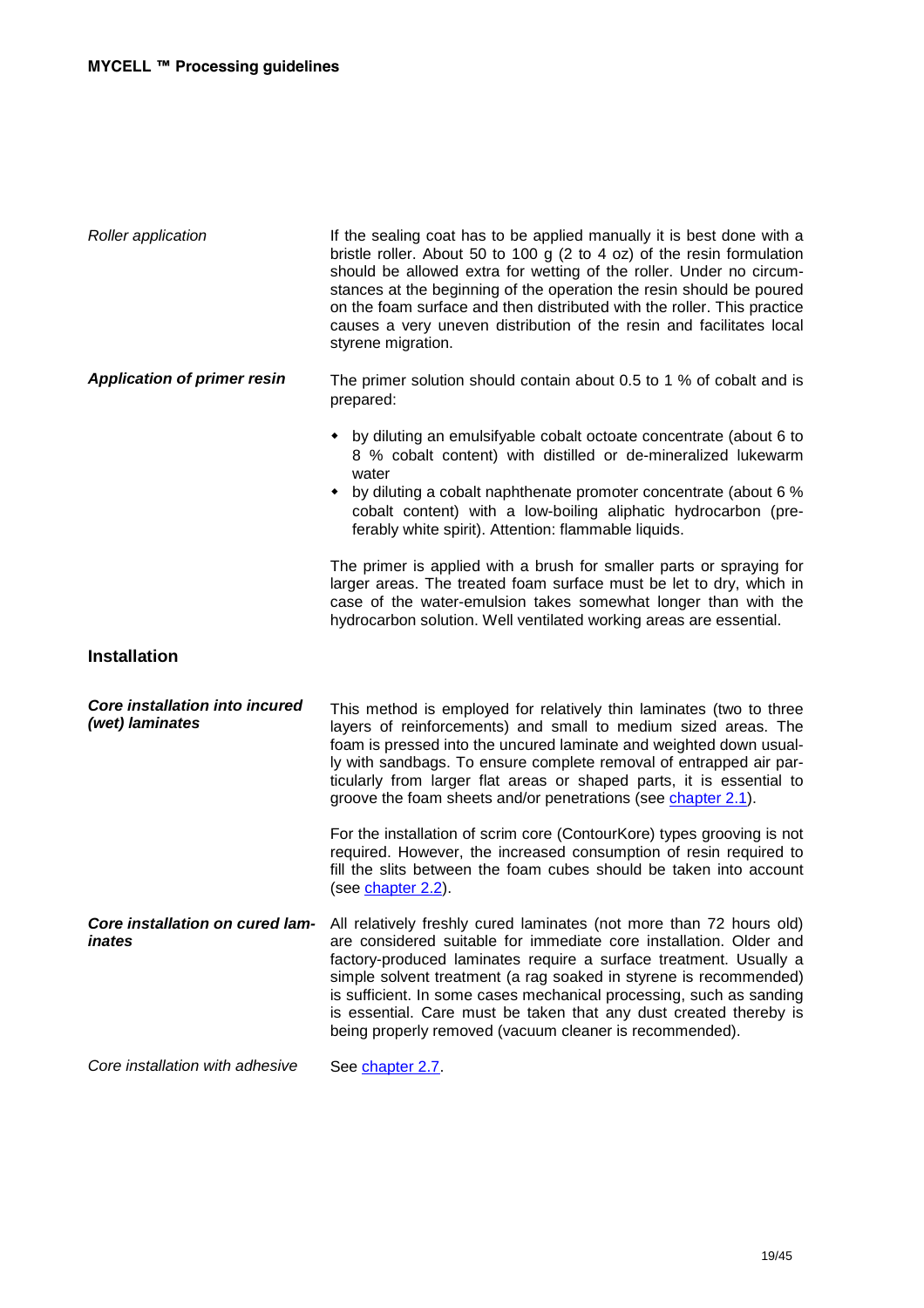| <b>Roller application</b>                         | If the sealing coat has to be applied manually it is best done with a<br>bristle roller. About 50 to 100 g (2 to 4 oz) of the resin formulation<br>should be allowed extra for wetting of the roller. Under no circum-<br>stances at the beginning of the operation the resin should be poured<br>on the foam surface and then distributed with the roller. This practice<br>causes a very uneven distribution of the resin and facilitates local<br>styrene migration.                    |
|---------------------------------------------------|--------------------------------------------------------------------------------------------------------------------------------------------------------------------------------------------------------------------------------------------------------------------------------------------------------------------------------------------------------------------------------------------------------------------------------------------------------------------------------------------|
| <b>Application of primer resin</b>                | The primer solution should contain about 0.5 to 1 % of cobalt and is<br>prepared:                                                                                                                                                                                                                                                                                                                                                                                                          |
|                                                   | by diluting an emulsifyable cobalt octoate concentrate (about 6 to<br>8 % cobalt content) with distilled or de-mineralized lukewarm<br>water<br>• by diluting a cobalt naphthenate promoter concentrate (about 6 %<br>cobalt content) with a low-boiling aliphatic hydrocarbon (pre-<br>ferably white spirit). Attention: flammable liquids.                                                                                                                                               |
|                                                   | The primer is applied with a brush for smaller parts or spraying for<br>larger areas. The treated foam surface must be let to dry, which in<br>case of the water-emulsion takes somewhat longer than with the<br>hydrocarbon solution. Well ventilated working areas are essential.                                                                                                                                                                                                        |
| <b>Installation</b>                               |                                                                                                                                                                                                                                                                                                                                                                                                                                                                                            |
| Core installation into incured<br>(wet) laminates | This method is employed for relatively thin laminates (two to three<br>layers of reinforcements) and small to medium sized areas. The<br>foam is pressed into the uncured laminate and weighted down usual-<br>ly with sandbags. To ensure complete removal of entrapped air par-<br>ticularly from larger flat areas or shaped parts, it is essential to<br>groove the foam sheets and/or penetrations (see chapter 2.1).                                                                 |
|                                                   | For the installation of scrim core (ContourKore) types grooving is not<br>required. However, the increased consumption of resin required to<br>fill the slits between the foam cubes should be taken into account<br>(see chapter 2.2).                                                                                                                                                                                                                                                    |
| Core installation on cured lam-<br>inates         | All relatively freshly cured laminates (not more than 72 hours old)<br>are considered suitable for immediate core installation. Older and<br>factory-produced laminates require a surface treatment. Usually a<br>simple solvent treatment (a rag soaked in styrene is recommended)<br>is sufficient. In some cases mechanical processing, such as sanding<br>is essential. Care must be taken that any dust created thereby is<br>being properly removed (vacuum cleaner is recommended). |
| Core installation with adhesive                   | See chapter 2.7.                                                                                                                                                                                                                                                                                                                                                                                                                                                                           |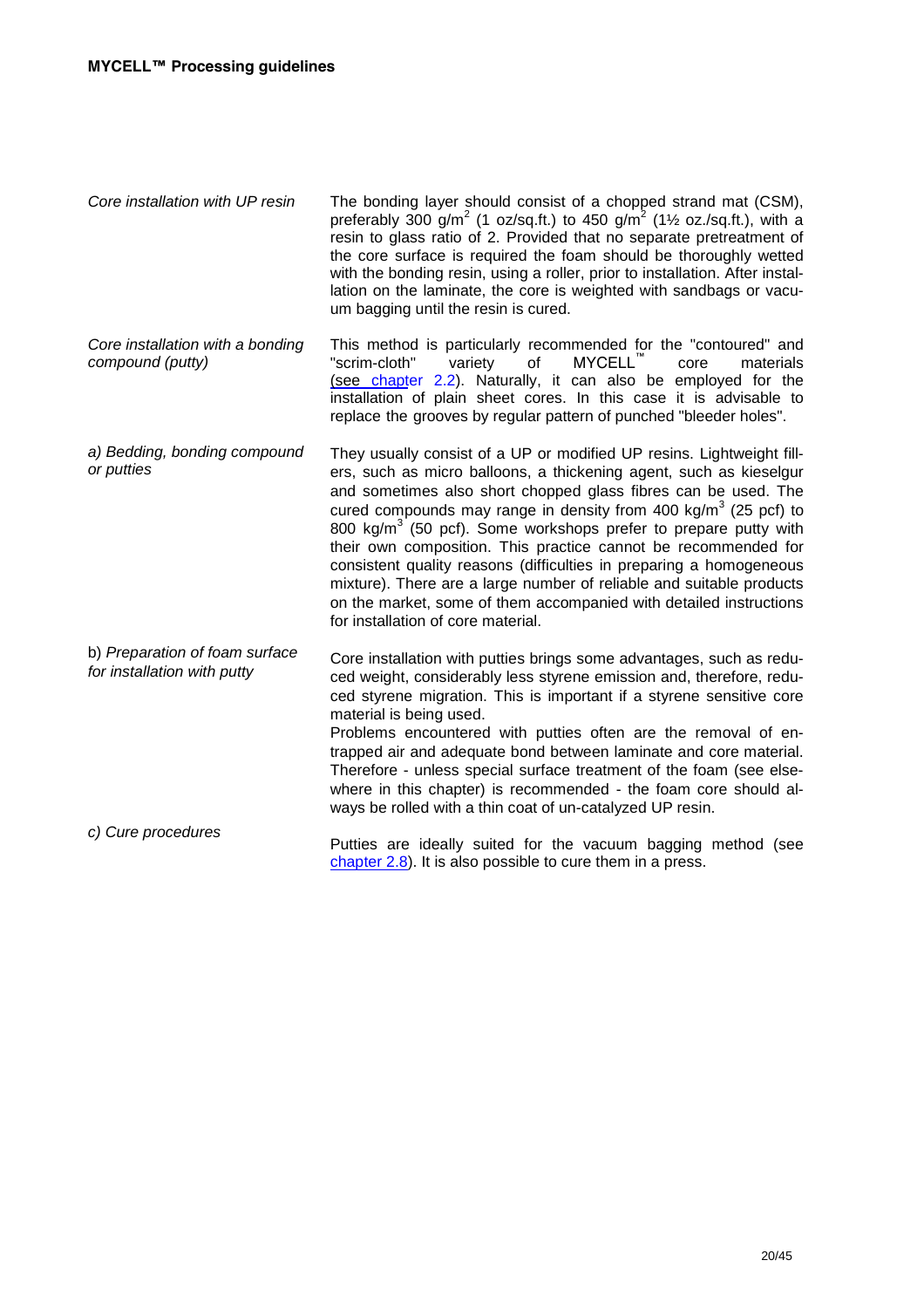| Core installation with UP resin                               | The bonding layer should consist of a chopped strand mat (CSM),<br>preferably 300 $g/m^2$ (1 oz/sq.ft.) to 450 $g/m^2$ (1½ oz./sq.ft.), with a<br>resin to glass ratio of 2. Provided that no separate pretreatment of<br>the core surface is required the foam should be thoroughly wetted<br>with the bonding resin, using a roller, prior to installation. After instal-<br>lation on the laminate, the core is weighted with sandbags or vacu-<br>um bagging until the resin is cured.                                                                                                                                                                                                               |
|---------------------------------------------------------------|----------------------------------------------------------------------------------------------------------------------------------------------------------------------------------------------------------------------------------------------------------------------------------------------------------------------------------------------------------------------------------------------------------------------------------------------------------------------------------------------------------------------------------------------------------------------------------------------------------------------------------------------------------------------------------------------------------|
| Core installation with a bonding<br>compound (putty)          | This method is particularly recommended for the "contoured" and<br>MYCELL <sup>™</sup><br>"scrim-cloth"<br>variety<br>of<br>core<br>materials<br>(see chapter 2.2). Naturally, it can also be employed for the<br>installation of plain sheet cores. In this case it is advisable to<br>replace the grooves by regular pattern of punched "bleeder holes".                                                                                                                                                                                                                                                                                                                                               |
| a) Bedding, bonding compound<br>or putties                    | They usually consist of a UP or modified UP resins. Lightweight fill-<br>ers, such as micro balloons, a thickening agent, such as kieselgur<br>and sometimes also short chopped glass fibres can be used. The<br>cured compounds may range in density from 400 kg/m <sup>3</sup> (25 pcf) to<br>800 kg/m <sup>3</sup> (50 pcf). Some workshops prefer to prepare putty with<br>their own composition. This practice cannot be recommended for<br>consistent quality reasons (difficulties in preparing a homogeneous<br>mixture). There are a large number of reliable and suitable products<br>on the market, some of them accompanied with detailed instructions<br>for installation of core material. |
| b) Preparation of foam surface<br>for installation with putty | Core installation with putties brings some advantages, such as redu-<br>ced weight, considerably less styrene emission and, therefore, redu-<br>ced styrene migration. This is important if a styrene sensitive core<br>material is being used.<br>Problems encountered with putties often are the removal of en-<br>trapped air and adequate bond between laminate and core material.<br>Therefore - unless special surface treatment of the foam (see else-<br>where in this chapter) is recommended - the foam core should al-<br>ways be rolled with a thin coat of un-catalyzed UP resin.                                                                                                           |
| c) Cure procedures                                            | Putties are ideally suited for the vacuum bagging method (see<br>chapter $2.8$ ). It is also possible to cure them in a press.                                                                                                                                                                                                                                                                                                                                                                                                                                                                                                                                                                           |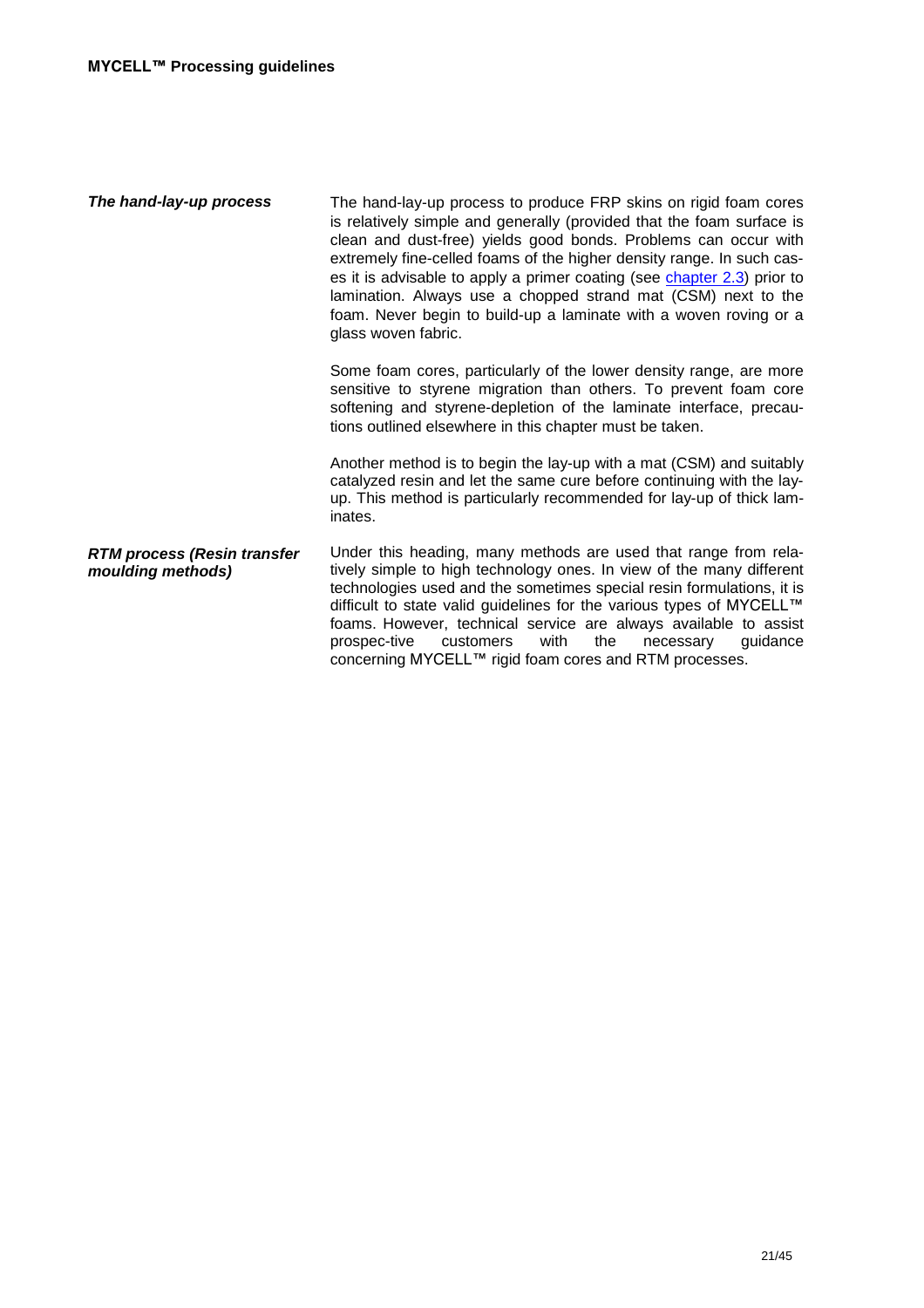| The hand-lay-up process                                 | The hand-lay-up process to produce FRP skins on rigid foam cores<br>is relatively simple and generally (provided that the foam surface is<br>clean and dust-free) yields good bonds. Problems can occur with<br>extremely fine-celled foams of the higher density range. In such cas-<br>es it is advisable to apply a primer coating (see chapter 2.3) prior to<br>lamination. Always use a chopped strand mat (CSM) next to the<br>foam. Never begin to build-up a laminate with a woven roving or a<br>glass woven fabric. |
|---------------------------------------------------------|-------------------------------------------------------------------------------------------------------------------------------------------------------------------------------------------------------------------------------------------------------------------------------------------------------------------------------------------------------------------------------------------------------------------------------------------------------------------------------------------------------------------------------|
|                                                         | Some foam cores, particularly of the lower density range, are more<br>sensitive to styrene migration than others. To prevent foam core<br>softening and styrene-depletion of the laminate interface, precau-<br>tions outlined elsewhere in this chapter must be taken.                                                                                                                                                                                                                                                       |
|                                                         | Another method is to begin the lay-up with a mat (CSM) and suitably<br>catalyzed resin and let the same cure before continuing with the lay-<br>up. This method is particularly recommended for lay-up of thick lam-<br>inates.                                                                                                                                                                                                                                                                                               |
| <b>RTM process (Resin transfer</b><br>moulding methods) | Under this heading, many methods are used that range from rela-<br>tively simple to high technology ones. In view of the many different<br>technologies used and the sometimes special resin formulations, it is<br>difficult to state valid guidelines for the various types of MYCELL™<br>foams. However, technical service are always available to assist<br>prospec-tive<br>the<br>guidance<br>customers<br>with<br>necessary<br>concerning MYCELL™ rigid foam cores and RTM processes.                                   |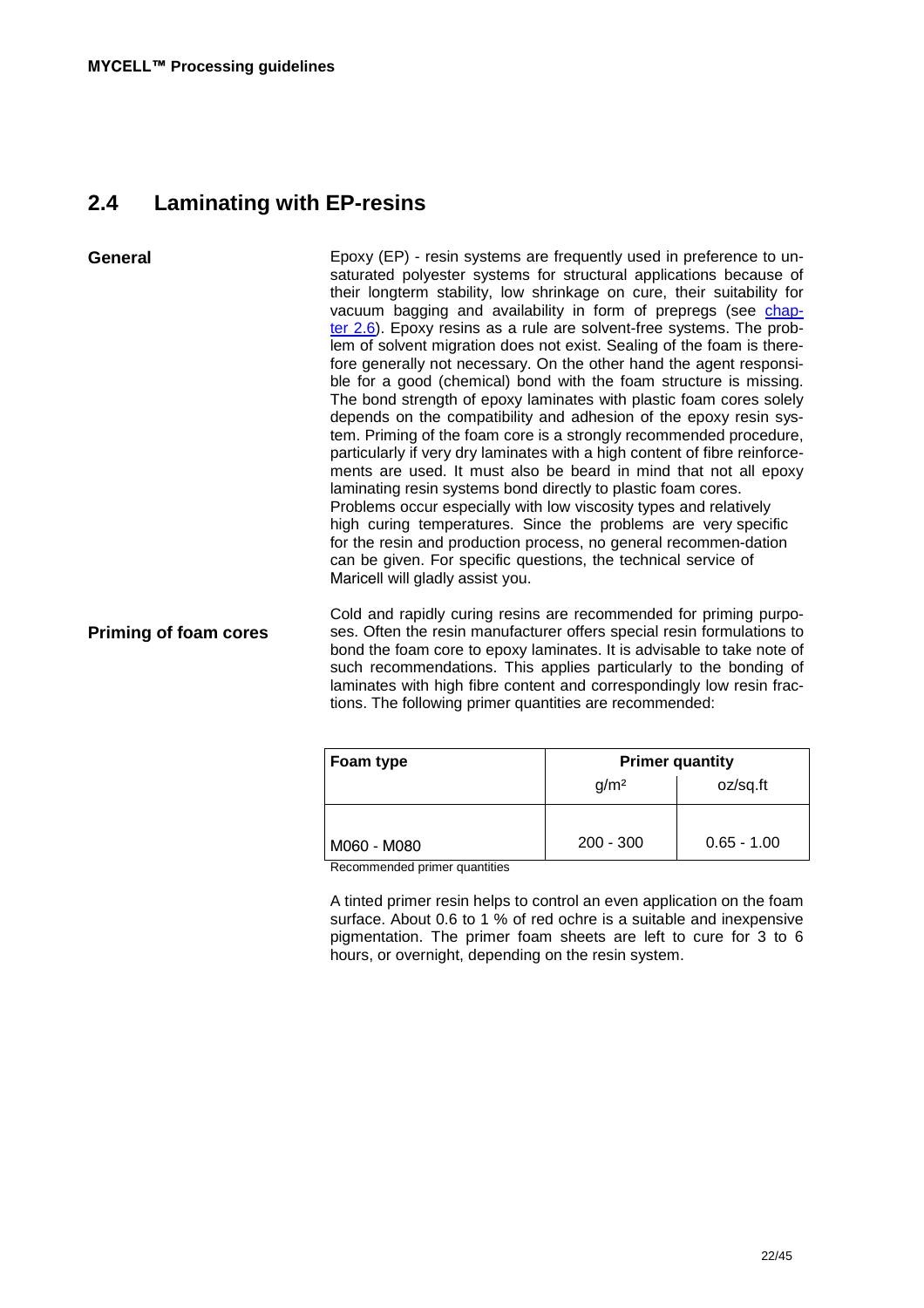# **2.4 Laminating with EP-resins**

**General Priming of foam cores** Epoxy (EP) - resin systems are frequently used in preference to unsaturated polyester systems for structural applications because of their longterm stability, low shrinkage on cure, their suitability for vacuum bagging and availability in form of prepregs (see chapter 2.6). Epoxy resins as a rule are solvent-free systems. The problem of solvent migration does not exist. Sealing of the foam is therefore generally not necessary. On the other hand the agent responsible for a good (chemical) bond with the foam structure is missing. The bond strength of epoxy laminates with plastic foam cores solely depends on the compatibility and adhesion of the epoxy resin system. Priming of the foam core is a strongly recommended procedure, particularly if very dry laminates with a high content of fibre reinforcements are used. It must also be beard in mind that not all epoxy laminating resin systems bond directly to plastic foam cores. Problems occur especially with low viscosity types and relatively high curing temperatures. Since the problems are very specific for the resin and production process, no general recommen-dation can be given. For specific questions, the technical service of Maricell will gladly assist you. Cold and rapidly curing resins are recommended for priming purposes. Often the resin manufacturer offers special resin formulations to

bond the foam core to epoxy laminates. It is advisable to take note of such recommendations. This applies particularly to the bonding of laminates with high fibre content and correspondingly low resin fractions. The following primer quantities are recommended:

| Foam type                                                                                                                                                                                                                                     | <b>Primer quantity</b> |               |
|-----------------------------------------------------------------------------------------------------------------------------------------------------------------------------------------------------------------------------------------------|------------------------|---------------|
|                                                                                                                                                                                                                                               | g/m <sup>2</sup>       | oz/sq.ft      |
|                                                                                                                                                                                                                                               |                        |               |
| M060 - M080<br>Production and the discussion of a control of the control of the control of the control of the control of the control of the control of the control of the control of the control of the control of the control of the control | $200 - 300$            | $0.65 - 1.00$ |

Recommended primer quantities

A tinted primer resin helps to control an even application on the foam surface. About 0.6 to 1 % of red ochre is a suitable and inexpensive pigmentation. The primer foam sheets are left to cure for 3 to 6 hours, or overnight, depending on the resin system.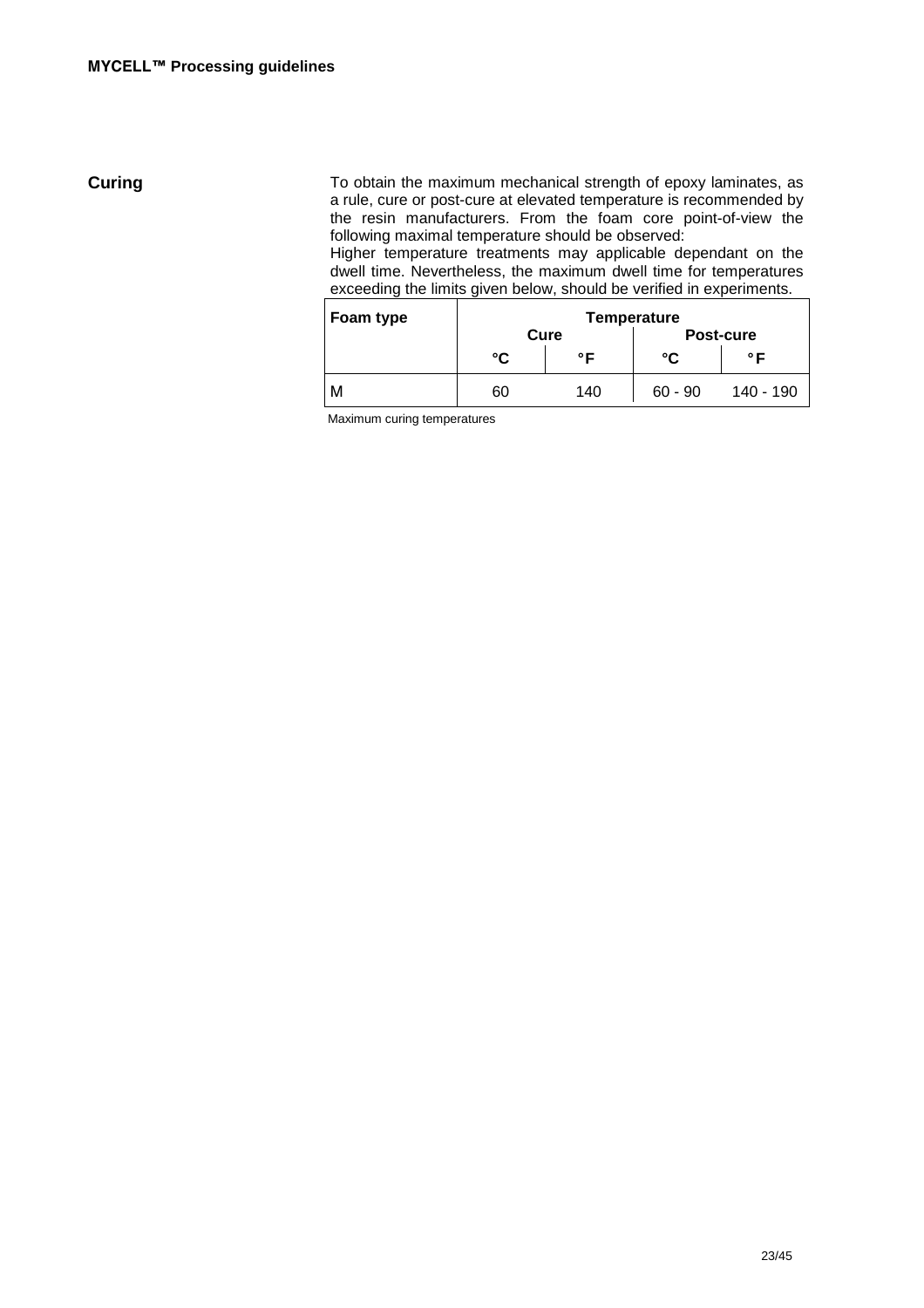**Curing** To obtain the maximum mechanical strength of epoxy laminates, as a rule, cure or post-cure at elevated temperature is recommended by the resin manufacturers. From the foam core point-of-view the following maximal temperature should be observed:

Higher temperature treatments may applicable dependant on the dwell time. Nevertheless, the maximum dwell time for temperatures exceeding the limits given below, should be verified in experiments.

| Foam type | Temperature |      |           |           |
|-----------|-------------|------|-----------|-----------|
|           |             | Cure |           | Post-cure |
|           | °۲          | ◦⊏   | °€        | ◦⊏        |
| М         | 60          | 140  | $60 - 90$ | 140 - 190 |

Maximum curing temperatures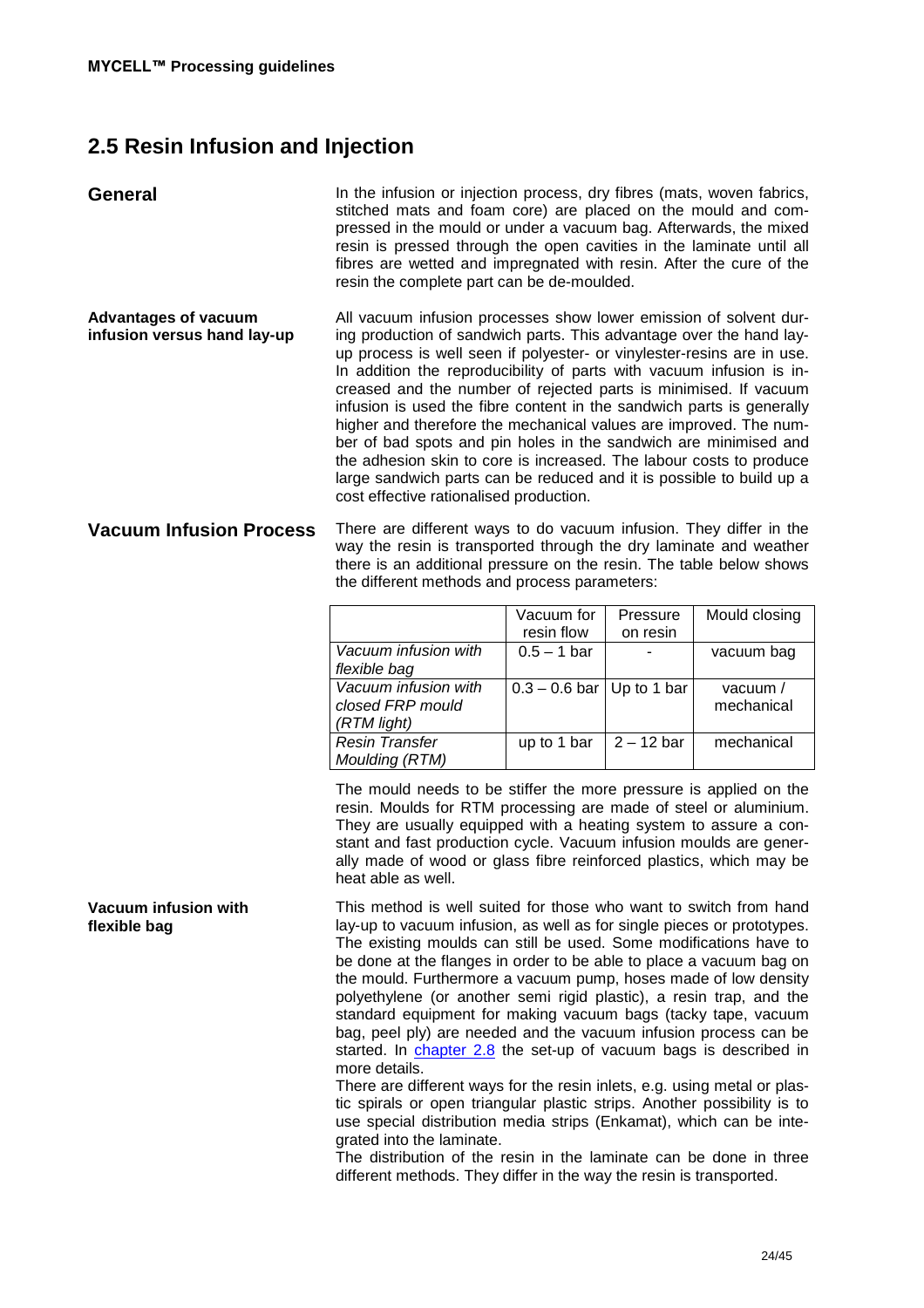# **2.5 Resin Infusion and Injection**

| General                                                    | In the infusion or injection process, dry fibres (mats, woven fabrics,<br>stitched mats and foam core) are placed on the mould and com-<br>pressed in the mould or under a vacuum bag. Afterwards, the mixed<br>resin is pressed through the open cavities in the laminate until all<br>fibres are wetted and impregnated with resin. After the cure of the<br>resin the complete part can be de-moulded.                                                                                                                                                                                                                                                                                                                                                                  |
|------------------------------------------------------------|----------------------------------------------------------------------------------------------------------------------------------------------------------------------------------------------------------------------------------------------------------------------------------------------------------------------------------------------------------------------------------------------------------------------------------------------------------------------------------------------------------------------------------------------------------------------------------------------------------------------------------------------------------------------------------------------------------------------------------------------------------------------------|
| <b>Advantages of vacuum</b><br>infusion versus hand lay-up | All vacuum infusion processes show lower emission of solvent dur-<br>ing production of sandwich parts. This advantage over the hand lay-<br>up process is well seen if polyester- or vinylester-resins are in use.<br>In addition the reproducibility of parts with vacuum infusion is in-<br>creased and the number of rejected parts is minimised. If vacuum<br>infusion is used the fibre content in the sandwich parts is generally<br>higher and therefore the mechanical values are improved. The num-<br>ber of bad spots and pin holes in the sandwich are minimised and<br>the adhesion skin to core is increased. The labour costs to produce<br>large sandwich parts can be reduced and it is possible to build up a<br>cost effective rationalised production. |
| <b>Vacuum Infusion Process</b>                             | There are different ways to do vacuum infusion. They differ in the<br>way the resin is transported through the dry laminate and weather<br>there is an additional pressure on the resin. The table below shows<br>the different methods and process parameters:                                                                                                                                                                                                                                                                                                                                                                                                                                                                                                            |

|                       | Vacuum for<br>resin flow      | Pressure<br>on resin | Mould closing |
|-----------------------|-------------------------------|----------------------|---------------|
|                       |                               |                      |               |
| Vacuum infusion with  | $0.5 - 1$ bar                 |                      | vacuum bag    |
| flexible bag          |                               |                      |               |
| Vacuum infusion with  | $0.3 - 0.6$ bar   Up to 1 bar |                      | vacuum $/$    |
| closed FRP mould      |                               |                      | mechanical    |
| (RTM light)           |                               |                      |               |
| <b>Resin Transfer</b> | up to 1 bar                   | $2 - 12$ bar         | mechanical    |
| Moulding (RTM)        |                               |                      |               |

The mould needs to be stiffer the more pressure is applied on the resin. Moulds for RTM processing are made of steel or aluminium. They are usually equipped with a heating system to assure a constant and fast production cycle. Vacuum infusion moulds are generally made of wood or glass fibre reinforced plastics, which may be heat able as well.

This method is well suited for those who want to switch from hand lay-up to vacuum infusion, as well as for single pieces or prototypes. The existing moulds can still be used. Some modifications have to be done at the flanges in order to be able to place a vacuum bag on the mould. Furthermore a vacuum pump, hoses made of low density polyethylene (or another semi rigid plastic), a resin trap, and the standard equipment for making vacuum bags (tacky tape, vacuum bag, peel ply) are needed and the vacuum infusion process can be started. In chapter 2.8 the set-up of vacuum bags is described in more details.

There are different ways for the resin inlets, e.g. using metal or plastic spirals or open triangular plastic strips. Another possibility is to use special distribution media strips (Enkamat), which can be integrated into the laminate.

The distribution of the resin in the laminate can be done in three different methods. They differ in the way the resin is transported.

### **Vacuum infusion with flexible bag**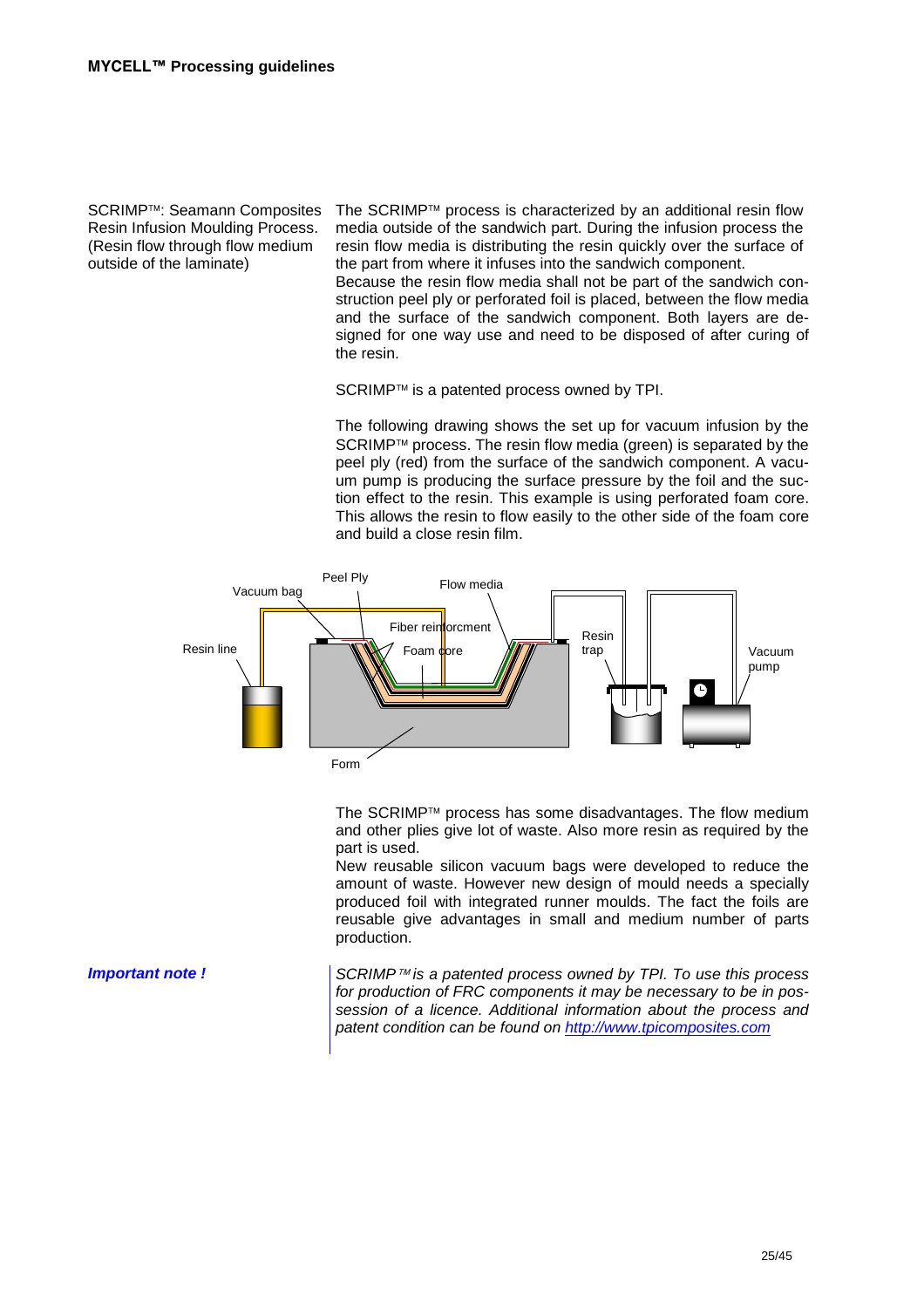Resin Infusion Moulding Process. (Resin flow through flow medium outside of the laminate)

SCRIMP<sup>™</sup>: Seamann Composites The SCRIMP<sup>™</sup> process is characterized by an additional resin flow media outside of the sandwich part. During the infusion process the resin flow media is distributing the resin quickly over the surface of the part from where it infuses into the sandwich component.

Because the resin flow media shall not be part of the sandwich construction peel ply or perforated foil is placed, between the flow media and the surface of the sandwich component. Both layers are designed for one way use and need to be disposed of after curing of the resin.

SCRIMP™ is a patented process owned by TPI.

The following drawing shows the set up for vacuum infusion by the SCRIMP™ process. The resin flow media (green) is separated by the peel ply (red) from the surface of the sandwich component. A vacuum pump is producing the surface pressure by the foil and the suction effect to the resin. This example is using perforated foam core. This allows the resin to flow easily to the other side of the foam core and build a close resin film.



The SCRIMP™ process has some disadvantages. The flow medium and other plies give lot of waste. Also more resin as required by the part is used.

New reusable silicon vacuum bags were developed to reduce the amount of waste. However new design of mould needs a specially produced foil with integrated runner moulds. The fact the foils are reusable give advantages in small and medium number of parts production.

**Important note !** SCRIMP™ is a patented process owned by TPI. To use this process for production of FRC components it may be necessary to be in possession of a licence. Additional information about the process and patent condition can be found on http://www.tpicomposites.com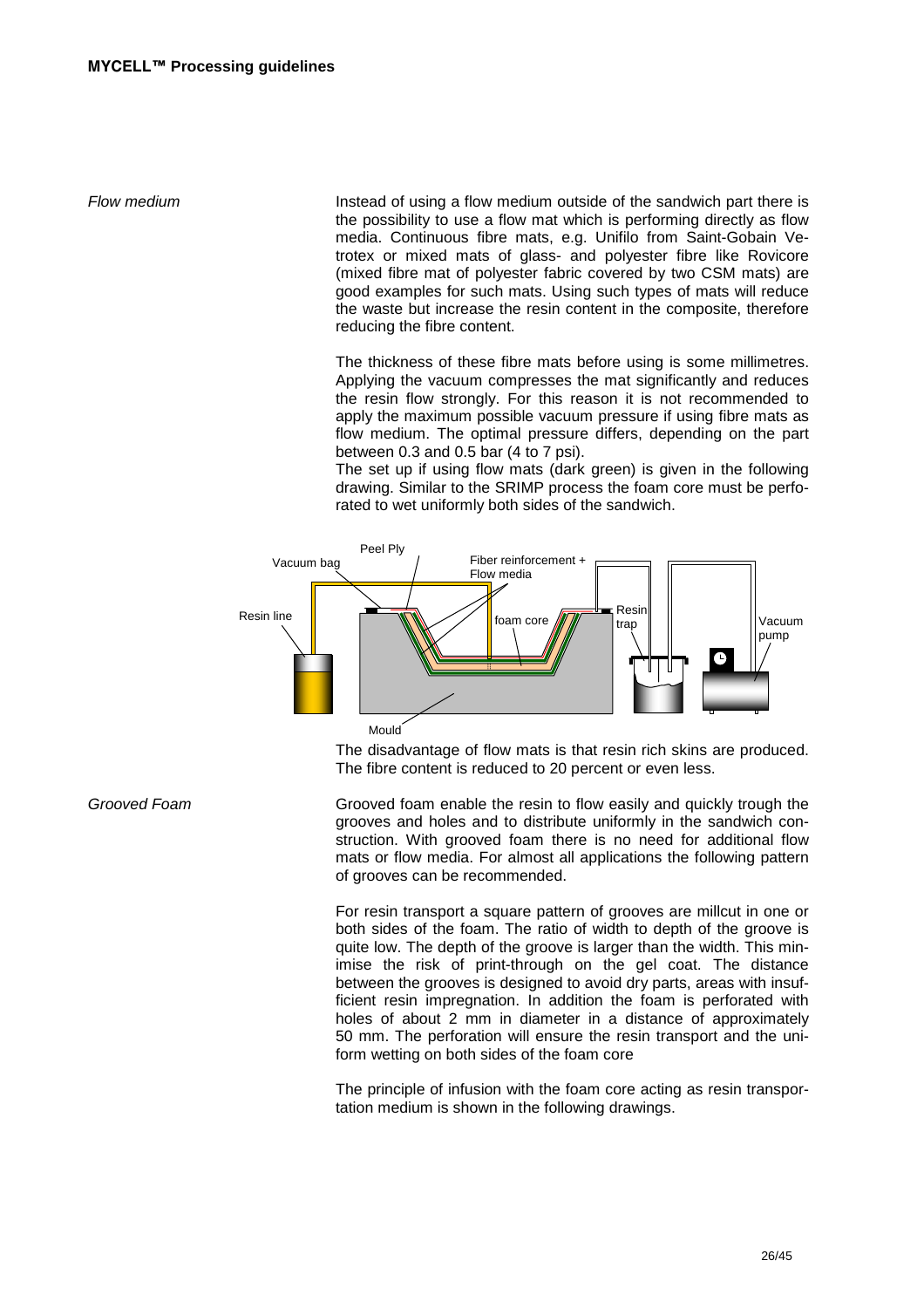Flow medium Theorem Instead of using a flow medium outside of the sandwich part there is the possibility to use a flow mat which is performing directly as flow media. Continuous fibre mats, e.g. Unifilo from Saint-Gobain Vetrotex or mixed mats of glass- and polyester fibre like Rovicore (mixed fibre mat of polyester fabric covered by two CSM mats) are good examples for such mats. Using such types of mats will reduce the waste but increase the resin content in the composite, therefore reducing the fibre content.

> The thickness of these fibre mats before using is some millimetres. Applying the vacuum compresses the mat significantly and reduces the resin flow strongly. For this reason it is not recommended to apply the maximum possible vacuum pressure if using fibre mats as flow medium. The optimal pressure differs, depending on the part between 0.3 and 0.5 bar (4 to 7 psi).

> The set up if using flow mats (dark green) is given in the following drawing. Similar to the SRIMP process the foam core must be perforated to wet uniformly both sides of the sandwich.



The disadvantage of flow mats is that resin rich skins are produced. The fibre content is reduced to 20 percent or even less.

Grooved Foam Grooved foam enable the resin to flow easily and quickly trough the grooves and holes and to distribute uniformly in the sandwich construction. With grooved foam there is no need for additional flow mats or flow media. For almost all applications the following pattern of grooves can be recommended.

> For resin transport a square pattern of grooves are millcut in one or both sides of the foam. The ratio of width to depth of the groove is quite low. The depth of the groove is larger than the width. This minimise the risk of print-through on the gel coat. The distance between the grooves is designed to avoid dry parts, areas with insufficient resin impregnation. In addition the foam is perforated with holes of about 2 mm in diameter in a distance of approximately 50 mm. The perforation will ensure the resin transport and the uniform wetting on both sides of the foam core

> The principle of infusion with the foam core acting as resin transportation medium is shown in the following drawings.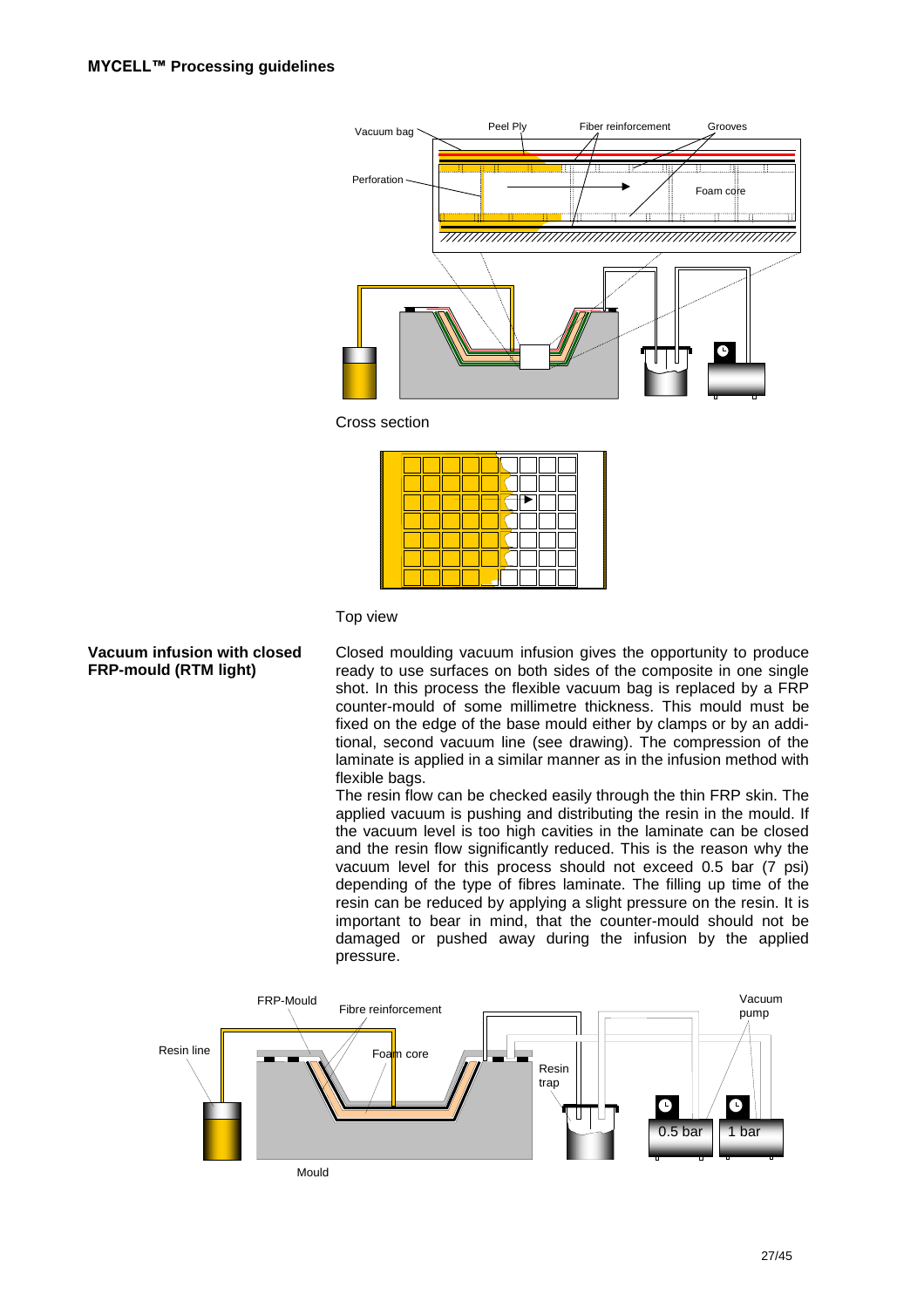

Cross section

### Top view

### **Vacuum infusion with closed FRP-mould (RTM light)**

Closed moulding vacuum infusion gives the opportunity to produce ready to use surfaces on both sides of the composite in one single shot. In this process the flexible vacuum bag is replaced by a FRP counter-mould of some millimetre thickness. This mould must be fixed on the edge of the base mould either by clamps or by an additional, second vacuum line (see drawing). The compression of the laminate is applied in a similar manner as in the infusion method with flexible bags.

The resin flow can be checked easily through the thin FRP skin. The applied vacuum is pushing and distributing the resin in the mould. If the vacuum level is too high cavities in the laminate can be closed and the resin flow significantly reduced. This is the reason why the vacuum level for this process should not exceed 0.5 bar (7 psi) depending of the type of fibres laminate. The filling up time of the resin can be reduced by applying a slight pressure on the resin. It is important to bear in mind, that the counter-mould should not be damaged or pushed away during the infusion by the applied pressure.

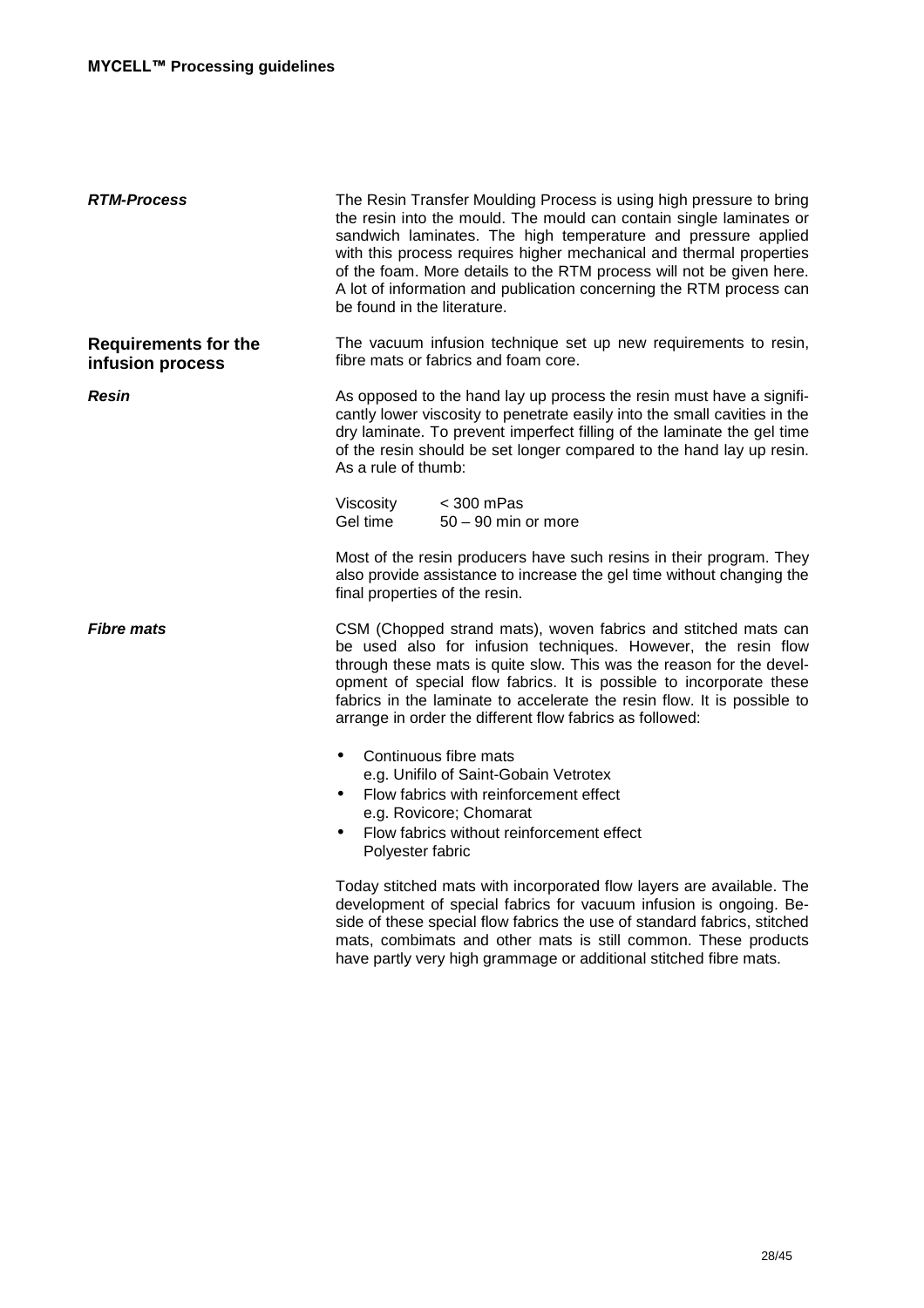| <b>RTM-Process</b>                              | The Resin Transfer Moulding Process is using high pressure to bring<br>the resin into the mould. The mould can contain single laminates or<br>sandwich laminates. The high temperature and pressure applied<br>with this process requires higher mechanical and thermal properties<br>of the foam. More details to the RTM process will not be given here.<br>A lot of information and publication concerning the RTM process can<br>be found in the literature. |  |
|-------------------------------------------------|------------------------------------------------------------------------------------------------------------------------------------------------------------------------------------------------------------------------------------------------------------------------------------------------------------------------------------------------------------------------------------------------------------------------------------------------------------------|--|
| <b>Requirements for the</b><br>infusion process | The vacuum infusion technique set up new requirements to resin,<br>fibre mats or fabrics and foam core.                                                                                                                                                                                                                                                                                                                                                          |  |
| <b>Resin</b>                                    | As opposed to the hand lay up process the resin must have a signifi-<br>cantly lower viscosity to penetrate easily into the small cavities in the<br>dry laminate. To prevent imperfect filling of the laminate the gel time<br>of the resin should be set longer compared to the hand lay up resin.<br>As a rule of thumb:                                                                                                                                      |  |
|                                                 | $<$ 300 mPas<br>Viscosity<br>Gel time<br>$50 - 90$ min or more                                                                                                                                                                                                                                                                                                                                                                                                   |  |
|                                                 | Most of the resin producers have such resins in their program. They<br>also provide assistance to increase the gel time without changing the<br>final properties of the resin.                                                                                                                                                                                                                                                                                   |  |
| <b>Fibre mats</b>                               | CSM (Chopped strand mats), woven fabrics and stitched mats can<br>be used also for infusion techniques. However, the resin flow<br>through these mats is quite slow. This was the reason for the devel-<br>opment of special flow fabrics. It is possible to incorporate these<br>fabrics in the laminate to accelerate the resin flow. It is possible to<br>arrange in order the different flow fabrics as followed:                                            |  |
|                                                 | Continuous fibre mats<br>$\bullet$<br>e.g. Unifilo of Saint-Gobain Vetrotex<br>Flow fabrics with reinforcement effect<br>$\bullet$<br>e.g. Rovicore; Chomarat<br>Flow fabrics without reinforcement effect<br>Polyester fabric                                                                                                                                                                                                                                   |  |
|                                                 | Today stitched mats with incorporated flow layers are available. The<br>development of special fabrics for vacuum infusion is ongoing. Be-<br>side of these special flow fabrics the use of standard fabrics, stitched<br>mats, combimats and other mats is still common. These products<br>have partly very high grammage or additional stitched fibre mats.                                                                                                    |  |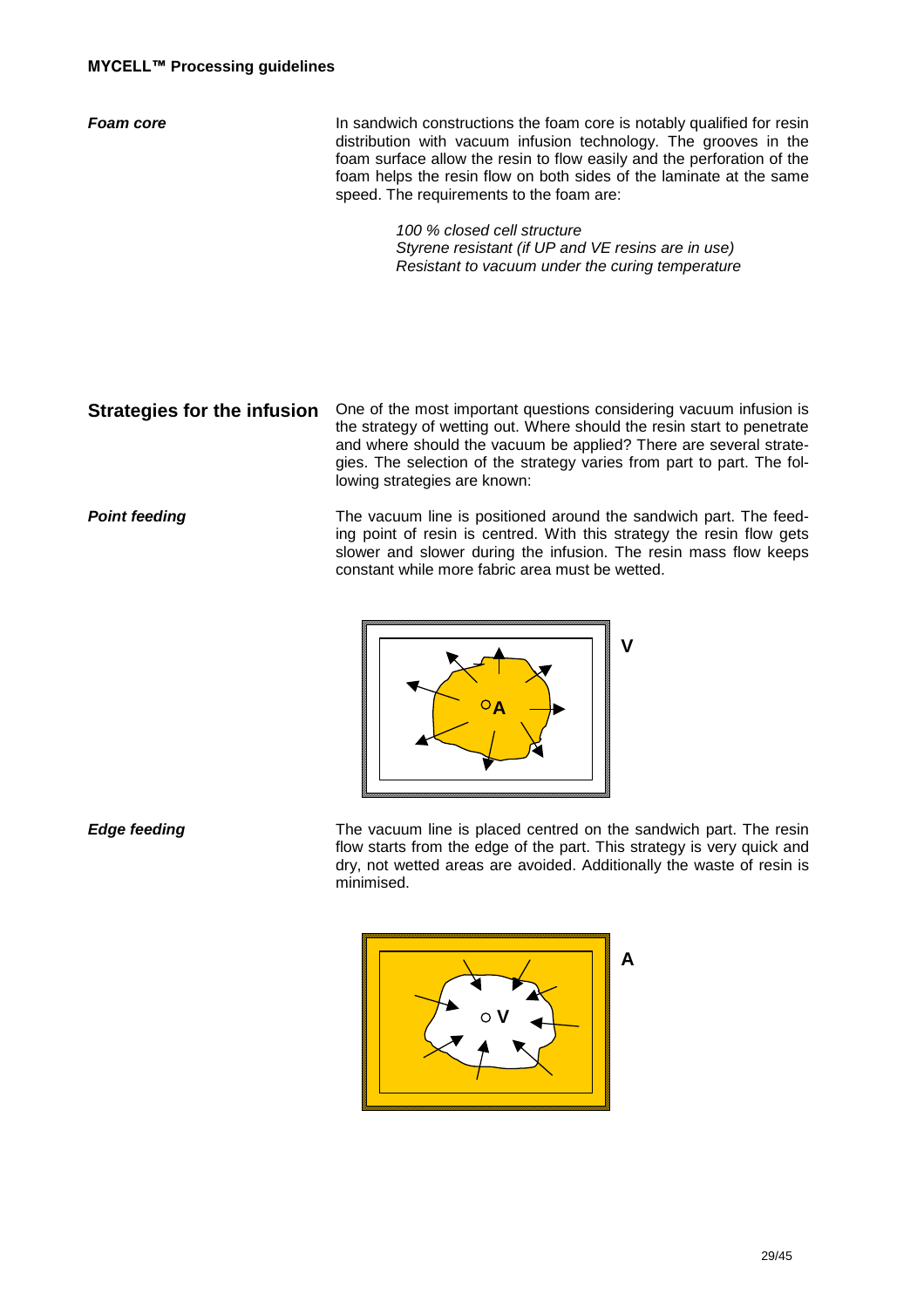**Foam core In sandwich constructions the foam core is notably qualified for resin** distribution with vacuum infusion technology. The grooves in the foam surface allow the resin to flow easily and the perforation of the foam helps the resin flow on both sides of the laminate at the same speed. The requirements to the foam are:

> 100 % closed cell structure Styrene resistant (if UP and VE resins are in use) Resistant to vacuum under the curing temperature

**Strategies for the infusion** One of the most important questions considering vacuum infusion is the strategy of wetting out. Where should the resin start to penetrate and where should the vacuum be applied? There are several strategies. The selection of the strategy varies from part to part. The following strategies are known:

**Point feeding** The vacuum line is positioned around the sandwich part. The feeding point of resin is centred. With this strategy the resin flow gets slower and slower during the infusion. The resin mass flow keeps constant while more fabric area must be wetted.



**Edge feeding** The vacuum line is placed centred on the sandwich part. The resin flow starts from the edge of the part. This strategy is very quick and dry, not wetted areas are avoided. Additionally the waste of resin is minimised.

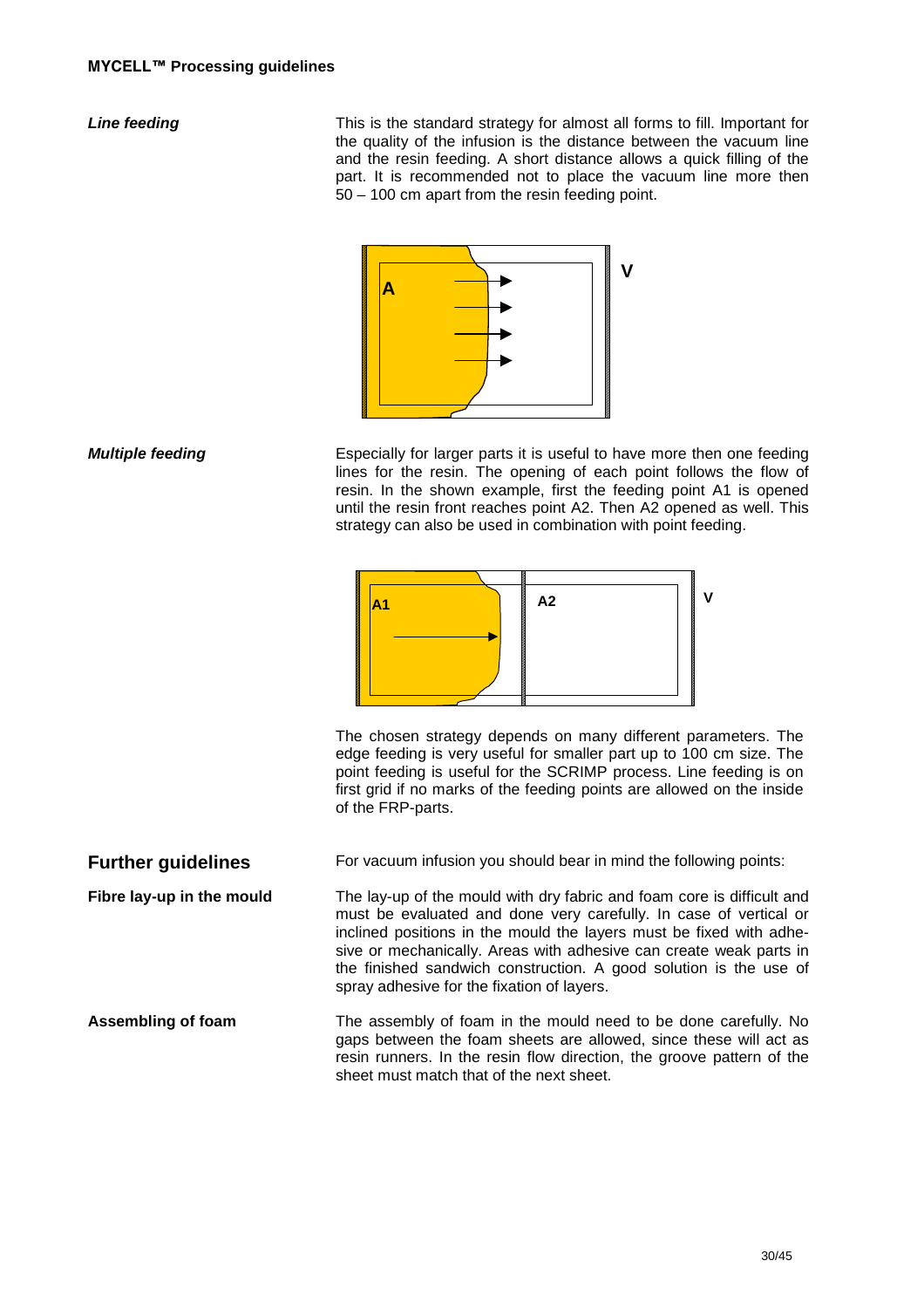**Line feeding** This is the standard strategy for almost all forms to fill. Important for the quality of the infusion is the distance between the vacuum line and the resin feeding. A short distance allows a quick filling of the part. It is recommended not to place the vacuum line more then 50 – 100 cm apart from the resin feeding point.



**Multiple feeding Especially for larger parts it is useful to have more then one feeding** lines for the resin. The opening of each point follows the flow of resin. In the shown example, first the feeding point A1 is opened until the resin front reaches point A2. Then A2 opened as well. This strategy can also be used in combination with point feeding.



The chosen strategy depends on many different parameters. The edge feeding is very useful for smaller part up to 100 cm size. The point feeding is useful for the SCRIMP process. Line feeding is on first grid if no marks of the feeding points are allowed on the inside of the FRP-parts.

**Further quidelines** For vacuum infusion you should bear in mind the following points:

**Fibre lay-up in the mould** The lay-up of the mould with dry fabric and foam core is difficult and must be evaluated and done very carefully. In case of vertical or inclined positions in the mould the layers must be fixed with adhesive or mechanically. Areas with adhesive can create weak parts in the finished sandwich construction. A good solution is the use of spray adhesive for the fixation of layers.

**Assembling of foam** The assembly of foam in the mould need to be done carefully. No gaps between the foam sheets are allowed, since these will act as resin runners. In the resin flow direction, the groove pattern of the sheet must match that of the next sheet.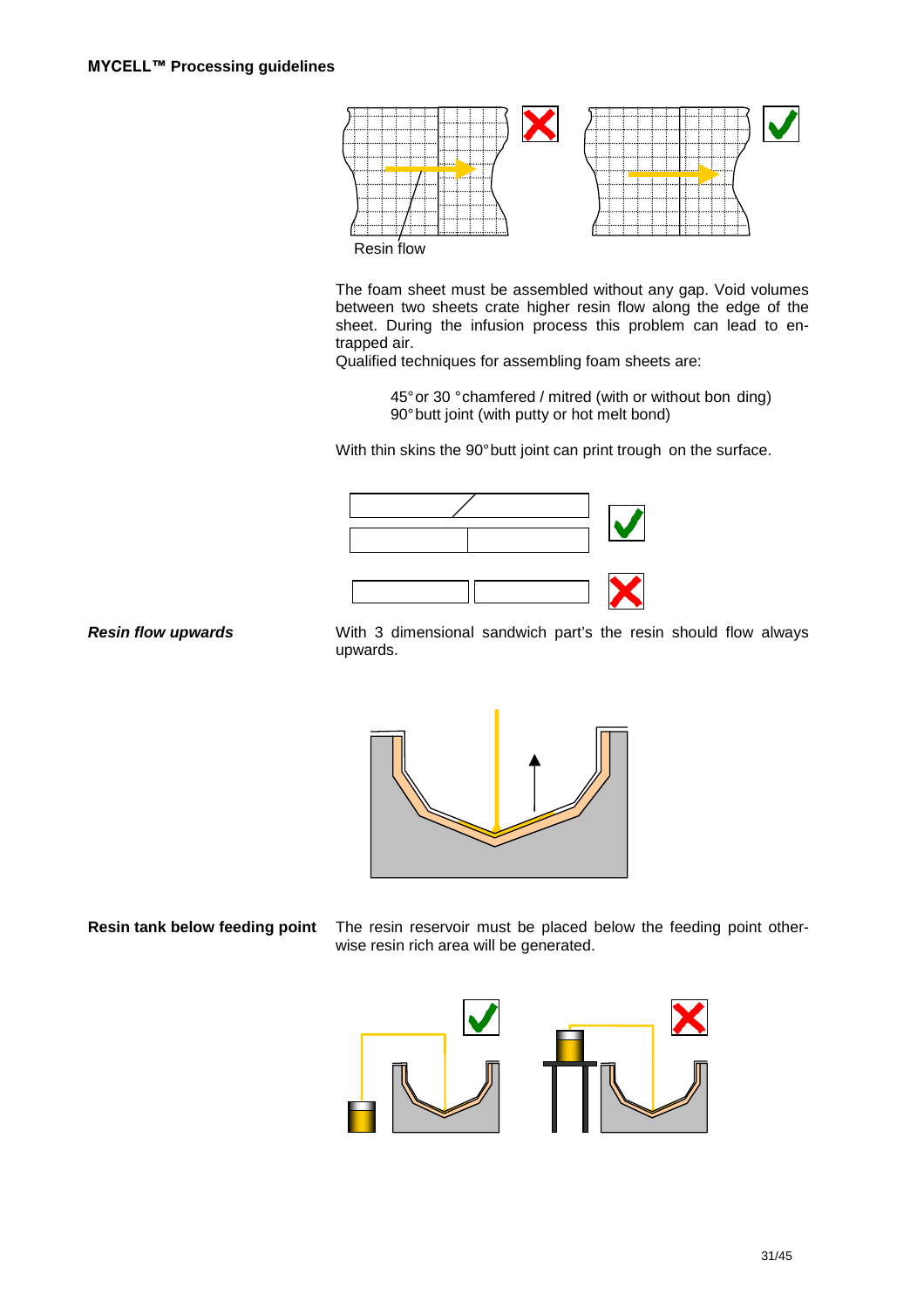

The foam sheet must be assembled without any gap. Void volumes between two sheets crate higher resin flow along the edge of the sheet. During the infusion process this problem can lead to entrapped air.

Qualified techniques for assembling foam sheets are:

45° or 30 ° chamfered / mitred (with or without bon ding) 90° butt joint (with putty or hot melt bond)

With thin skins the 90° butt joint can print trough on the surface.



**Resin flow upwards** With 3 dimensional sandwich part's the resin should flow always upwards.



**Resin tank below feeding point** The resin reservoir must be placed below the feeding point otherwise resin rich area will be generated.

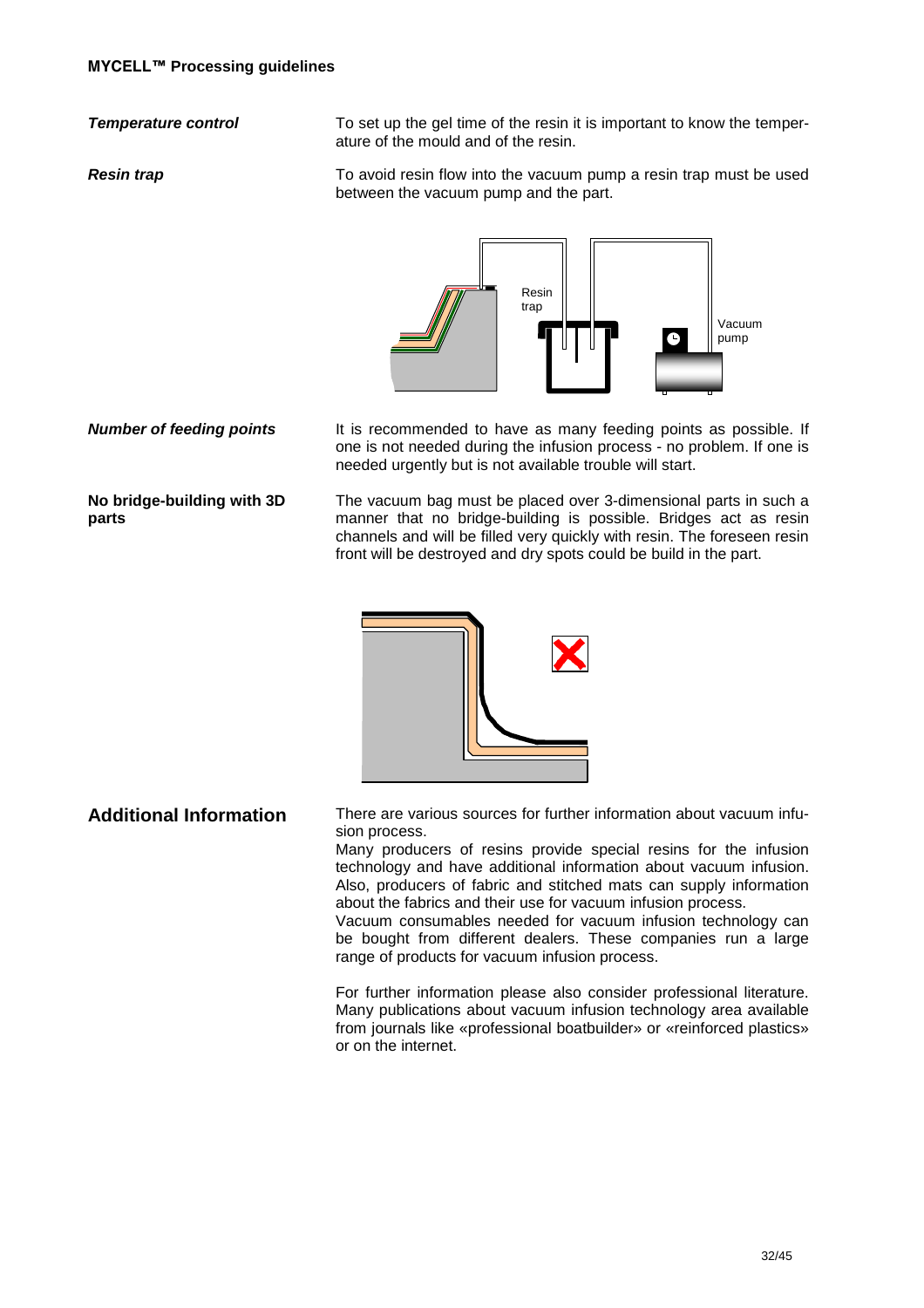**Temperature control** To set up the gel time of the resin it is important to know the temperature of the mould and of the resin.

**Resin trap To avoid resin flow into the vacuum pump a resin trap must be used** between the vacuum pump and the part.



**No bridge-building with 3D parts** 

**Number of feeding points** It is recommended to have as many feeding points as possible. If one is not needed during the infusion process - no problem. If one is needed urgently but is not available trouble will start.

> The vacuum bag must be placed over 3-dimensional parts in such a manner that no bridge-building is possible. Bridges act as resin channels and will be filled very quickly with resin. The foreseen resin front will be destroyed and dry spots could be build in the part.



**Additional Information** There are various sources for further information about vacuum infusion process.

> Many producers of resins provide special resins for the infusion technology and have additional information about vacuum infusion. Also, producers of fabric and stitched mats can supply information about the fabrics and their use for vacuum infusion process.

> Vacuum consumables needed for vacuum infusion technology can be bought from different dealers. These companies run a large range of products for vacuum infusion process.

> For further information please also consider professional literature. Many publications about vacuum infusion technology area available from journals like «professional boatbuilder» or «reinforced plastics» or on the internet.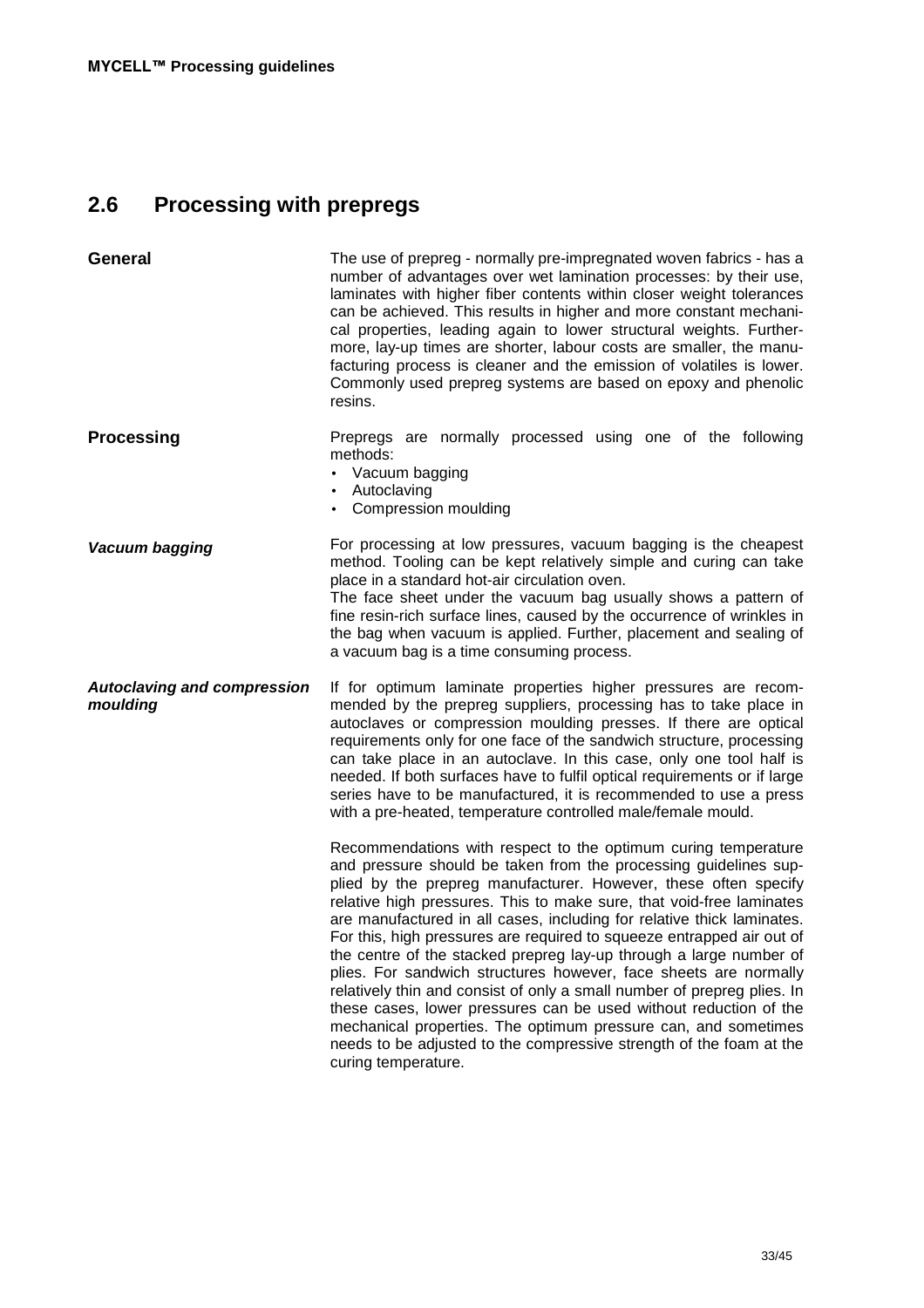# **2.6 Processing with prepregs**

| <b>General</b>                                 | The use of prepreg - normally pre-impregnated woven fabrics - has a<br>number of advantages over wet lamination processes: by their use,<br>laminates with higher fiber contents within closer weight tolerances<br>can be achieved. This results in higher and more constant mechani-<br>cal properties, leading again to lower structural weights. Further-<br>more, lay-up times are shorter, labour costs are smaller, the manu-<br>facturing process is cleaner and the emission of volatiles is lower.<br>Commonly used prepreg systems are based on epoxy and phenolic<br>resins.                                                                                                                                                                                                                                                                                                   |
|------------------------------------------------|--------------------------------------------------------------------------------------------------------------------------------------------------------------------------------------------------------------------------------------------------------------------------------------------------------------------------------------------------------------------------------------------------------------------------------------------------------------------------------------------------------------------------------------------------------------------------------------------------------------------------------------------------------------------------------------------------------------------------------------------------------------------------------------------------------------------------------------------------------------------------------------------|
| <b>Processing</b>                              | Prepregs are normally processed using one of the following<br>methods:<br>Vacuum bagging<br>Autoclaving<br>• Compression moulding                                                                                                                                                                                                                                                                                                                                                                                                                                                                                                                                                                                                                                                                                                                                                          |
| Vacuum bagging                                 | For processing at low pressures, vacuum bagging is the cheapest<br>method. Tooling can be kept relatively simple and curing can take<br>place in a standard hot-air circulation oven.<br>The face sheet under the vacuum bag usually shows a pattern of<br>fine resin-rich surface lines, caused by the occurrence of wrinkles in<br>the bag when vacuum is applied. Further, placement and sealing of<br>a vacuum bag is a time consuming process.                                                                                                                                                                                                                                                                                                                                                                                                                                        |
| <b>Autoclaving and compression</b><br>moulding | If for optimum laminate properties higher pressures are recom-<br>mended by the prepreg suppliers, processing has to take place in<br>autoclaves or compression moulding presses. If there are optical<br>requirements only for one face of the sandwich structure, processing<br>can take place in an autoclave. In this case, only one tool half is<br>needed. If both surfaces have to fulfil optical requirements or if large<br>series have to be manufactured, it is recommended to use a press<br>with a pre-heated, temperature controlled male/female mould.                                                                                                                                                                                                                                                                                                                      |
|                                                | Recommendations with respect to the optimum curing temperature<br>and pressure should be taken from the processing guidelines sup-<br>plied by the prepreg manufacturer. However, these often specify<br>relative high pressures. This to make sure, that void-free laminates<br>are manufactured in all cases, including for relative thick laminates.<br>For this, high pressures are required to squeeze entrapped air out of<br>the centre of the stacked prepreg lay-up through a large number of<br>plies. For sandwich structures however, face sheets are normally<br>relatively thin and consist of only a small number of prepreg plies. In<br>these cases, lower pressures can be used without reduction of the<br>mechanical properties. The optimum pressure can, and sometimes<br>needs to be adjusted to the compressive strength of the foam at the<br>curing temperature. |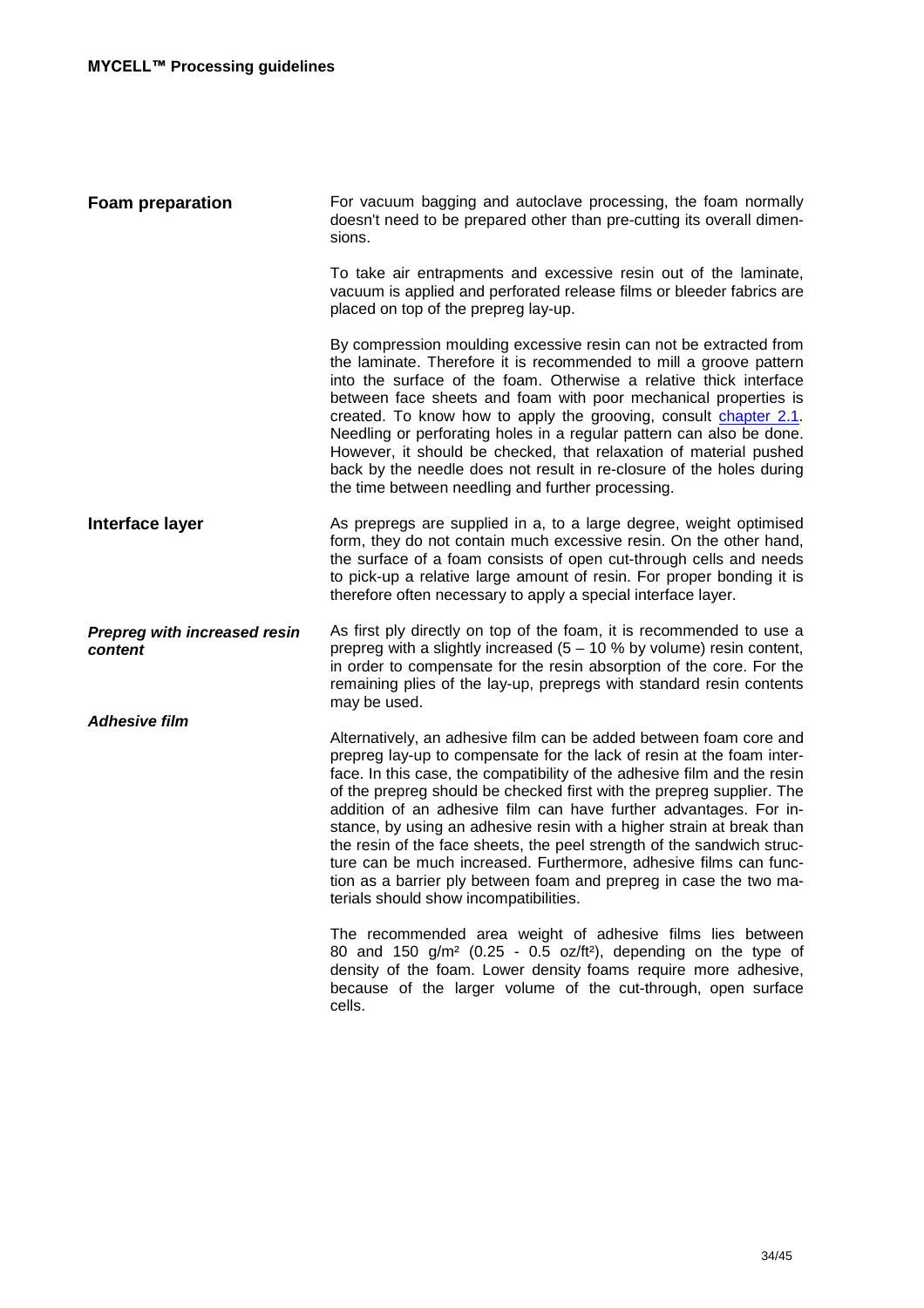| <b>Foam preparation</b>                        | For vacuum bagging and autoclave processing, the foam normally<br>doesn't need to be prepared other than pre-cutting its overall dimen-<br>sions.                                                                                                                                                                                                                                                                                                                                                                                                                                                                                                                                                             |
|------------------------------------------------|---------------------------------------------------------------------------------------------------------------------------------------------------------------------------------------------------------------------------------------------------------------------------------------------------------------------------------------------------------------------------------------------------------------------------------------------------------------------------------------------------------------------------------------------------------------------------------------------------------------------------------------------------------------------------------------------------------------|
|                                                | To take air entrapments and excessive resin out of the laminate,<br>vacuum is applied and perforated release films or bleeder fabrics are<br>placed on top of the prepreg lay-up.                                                                                                                                                                                                                                                                                                                                                                                                                                                                                                                             |
|                                                | By compression moulding excessive resin can not be extracted from<br>the laminate. Therefore it is recommended to mill a groove pattern<br>into the surface of the foam. Otherwise a relative thick interface<br>between face sheets and foam with poor mechanical properties is<br>created. To know how to apply the grooving, consult chapter 2.1.<br>Needling or perforating holes in a regular pattern can also be done.<br>However, it should be checked, that relaxation of material pushed<br>back by the needle does not result in re-closure of the holes during<br>the time between needling and further processing.                                                                                |
| Interface layer                                | As prepregs are supplied in a, to a large degree, weight optimised<br>form, they do not contain much excessive resin. On the other hand,<br>the surface of a foam consists of open cut-through cells and needs<br>to pick-up a relative large amount of resin. For proper bonding it is<br>therefore often necessary to apply a special interface layer.                                                                                                                                                                                                                                                                                                                                                      |
| <b>Prepreg with increased resin</b><br>content | As first ply directly on top of the foam, it is recommended to use a<br>prepreg with a slightly increased $(5 - 10 %$ by volume) resin content,<br>in order to compensate for the resin absorption of the core. For the<br>remaining plies of the lay-up, prepregs with standard resin contents<br>may be used.                                                                                                                                                                                                                                                                                                                                                                                               |
| <b>Adhesive film</b>                           | Alternatively, an adhesive film can be added between foam core and<br>prepreg lay-up to compensate for the lack of resin at the foam inter-<br>face. In this case, the compatibility of the adhesive film and the resin<br>of the prepreg should be checked first with the prepreg supplier. The<br>addition of an adhesive film can have further advantages. For in-<br>stance, by using an adhesive resin with a higher strain at break than<br>the resin of the face sheets, the peel strength of the sandwich struc-<br>ture can be much increased. Furthermore, adhesive films can func-<br>tion as a barrier ply between foam and prepreg in case the two ma-<br>terials should show incompatibilities. |
|                                                | The recommended area weight of adhesive films lies between<br>80 and 150 g/m <sup>2</sup> (0.25 - 0.5 oz/ft <sup>2</sup> ), depending on the type of<br>density of the foam. Lower density foams require more adhesive,<br>because of the larger volume of the cut-through, open surface<br>cells.                                                                                                                                                                                                                                                                                                                                                                                                            |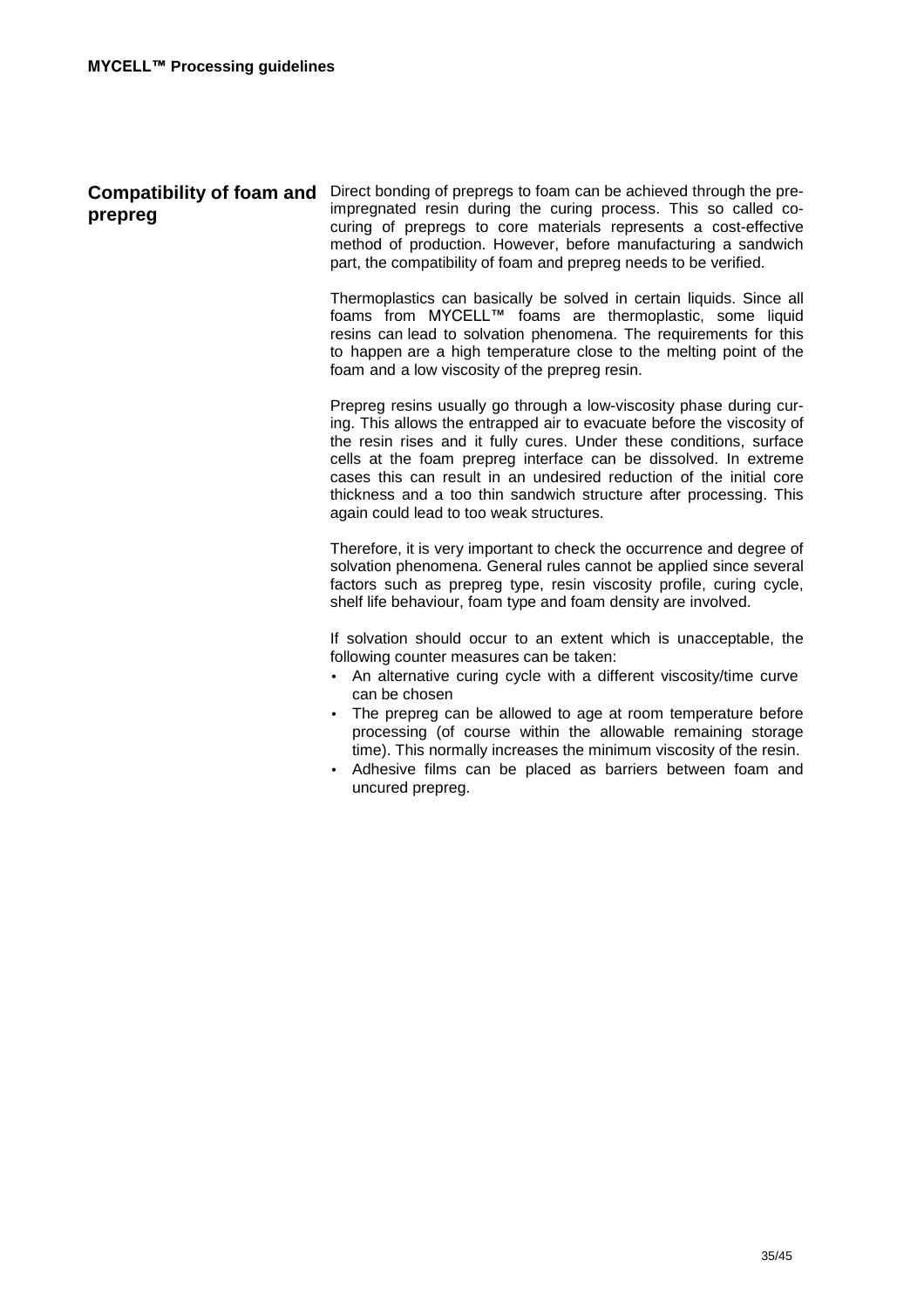| <b>Compatibility of foam and</b><br>prepreg | Direct bonding of prepregs to foam can be achieved through the pre-<br>impregnated resin during the curing process. This so called co-<br>curing of prepregs to core materials represents a cost-effective<br>method of production. However, before manufacturing a sandwich<br>part, the compatibility of foam and prepreg needs to be verified.                                                                                                                                                           |
|---------------------------------------------|-------------------------------------------------------------------------------------------------------------------------------------------------------------------------------------------------------------------------------------------------------------------------------------------------------------------------------------------------------------------------------------------------------------------------------------------------------------------------------------------------------------|
|                                             | Thermoplastics can basically be solved in certain liquids. Since all<br>foams from MYCELL™ foams are thermoplastic, some liquid<br>resins can lead to solvation phenomena. The requirements for this<br>to happen are a high temperature close to the melting point of the<br>foam and a low viscosity of the prepreg resin.                                                                                                                                                                                |
|                                             | Prepreg resins usually go through a low-viscosity phase during cur-<br>ing. This allows the entrapped air to evacuate before the viscosity of<br>the resin rises and it fully cures. Under these conditions, surface<br>cells at the foam prepreg interface can be dissolved. In extreme<br>cases this can result in an undesired reduction of the initial core<br>thickness and a too thin sandwich structure after processing. This<br>again could lead to too weak structures.                           |
|                                             | Therefore, it is very important to check the occurrence and degree of<br>solvation phenomena. General rules cannot be applied since several<br>factors such as prepreg type, resin viscosity profile, curing cycle,<br>shelf life behaviour, foam type and foam density are involved.                                                                                                                                                                                                                       |
|                                             | If solvation should occur to an extent which is unacceptable, the<br>following counter measures can be taken:<br>• An alternative curing cycle with a different viscosity/time curve<br>can be chosen<br>• The prepreg can be allowed to age at room temperature before<br>processing (of course within the allowable remaining storage<br>time). This normally increases the minimum viscosity of the resin.<br>Adhesive films can be placed as barriers between foam and<br>$\bullet$<br>uncured prepreg. |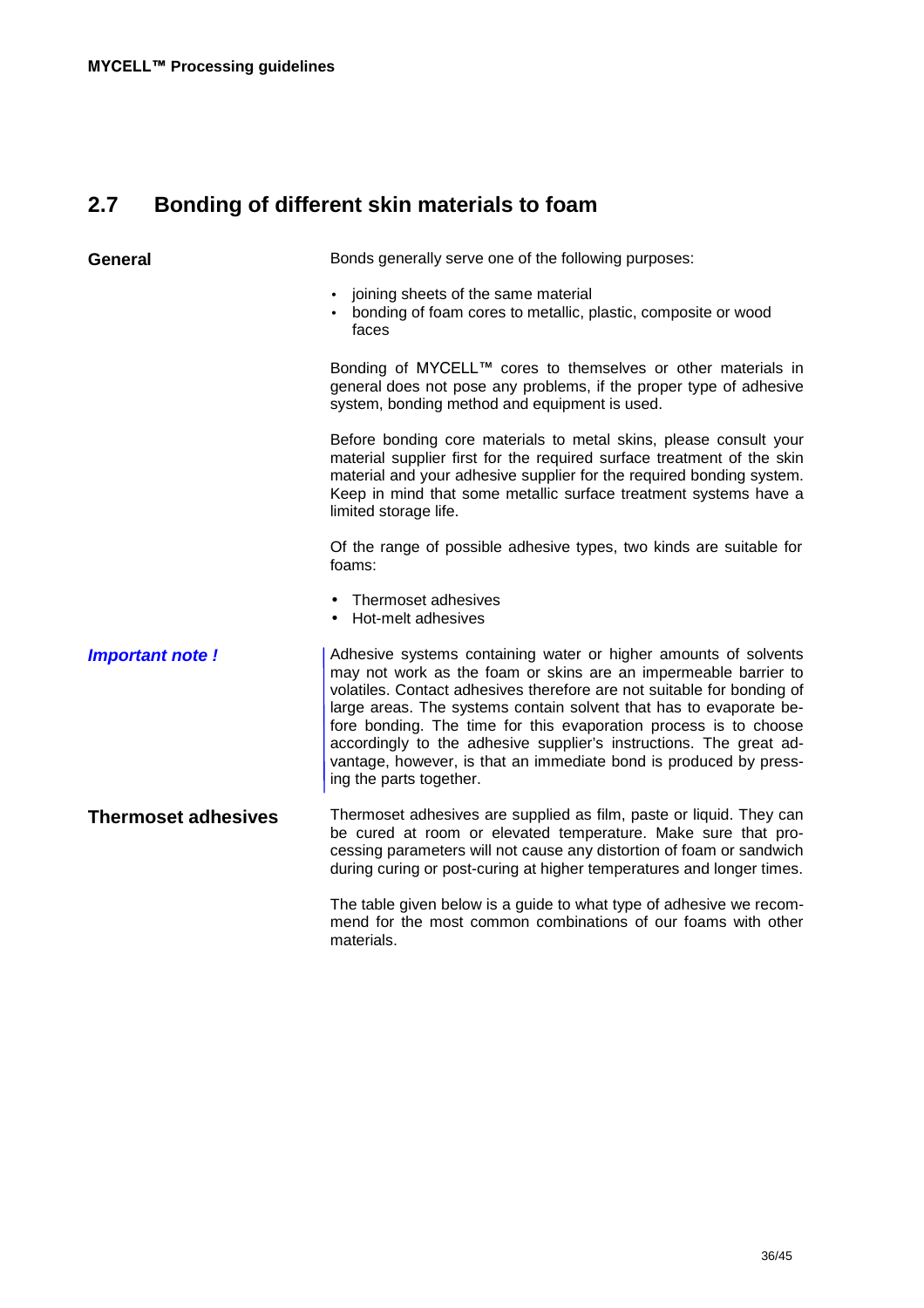# **2.7 Bonding of different skin materials to foam**

| <b>General</b>             | Bonds generally serve one of the following purposes:                                                                                                                                                                                                                                                                                                                                                                                                                                                                         |
|----------------------------|------------------------------------------------------------------------------------------------------------------------------------------------------------------------------------------------------------------------------------------------------------------------------------------------------------------------------------------------------------------------------------------------------------------------------------------------------------------------------------------------------------------------------|
|                            | joining sheets of the same material<br>$\bullet$<br>bonding of foam cores to metallic, plastic, composite or wood<br>faces                                                                                                                                                                                                                                                                                                                                                                                                   |
|                            | Bonding of MYCELL™ cores to themselves or other materials in<br>general does not pose any problems, if the proper type of adhesive<br>system, bonding method and equipment is used.                                                                                                                                                                                                                                                                                                                                          |
|                            | Before bonding core materials to metal skins, please consult your<br>material supplier first for the required surface treatment of the skin<br>material and your adhesive supplier for the required bonding system.<br>Keep in mind that some metallic surface treatment systems have a<br>limited storage life.                                                                                                                                                                                                             |
|                            | Of the range of possible adhesive types, two kinds are suitable for<br>foams:                                                                                                                                                                                                                                                                                                                                                                                                                                                |
|                            | Thermoset adhesives<br>• Hot-melt adhesives                                                                                                                                                                                                                                                                                                                                                                                                                                                                                  |
| <b>Important note!</b>     | Adhesive systems containing water or higher amounts of solvents<br>may not work as the foam or skins are an impermeable barrier to<br>volatiles. Contact adhesives therefore are not suitable for bonding of<br>large areas. The systems contain solvent that has to evaporate be-<br>fore bonding. The time for this evaporation process is to choose<br>accordingly to the adhesive supplier's instructions. The great ad-<br>vantage, however, is that an immediate bond is produced by press-<br>ing the parts together. |
| <b>Thermoset adhesives</b> | Thermoset adhesives are supplied as film, paste or liquid. They can<br>be cured at room or elevated temperature. Make sure that pro-<br>cessing parameters will not cause any distortion of foam or sandwich<br>during curing or post-curing at higher temperatures and longer times.                                                                                                                                                                                                                                        |
|                            | The table given below is a guide to what type of adhesive we recom-<br>mend for the most common combinations of our foams with other<br>materials.                                                                                                                                                                                                                                                                                                                                                                           |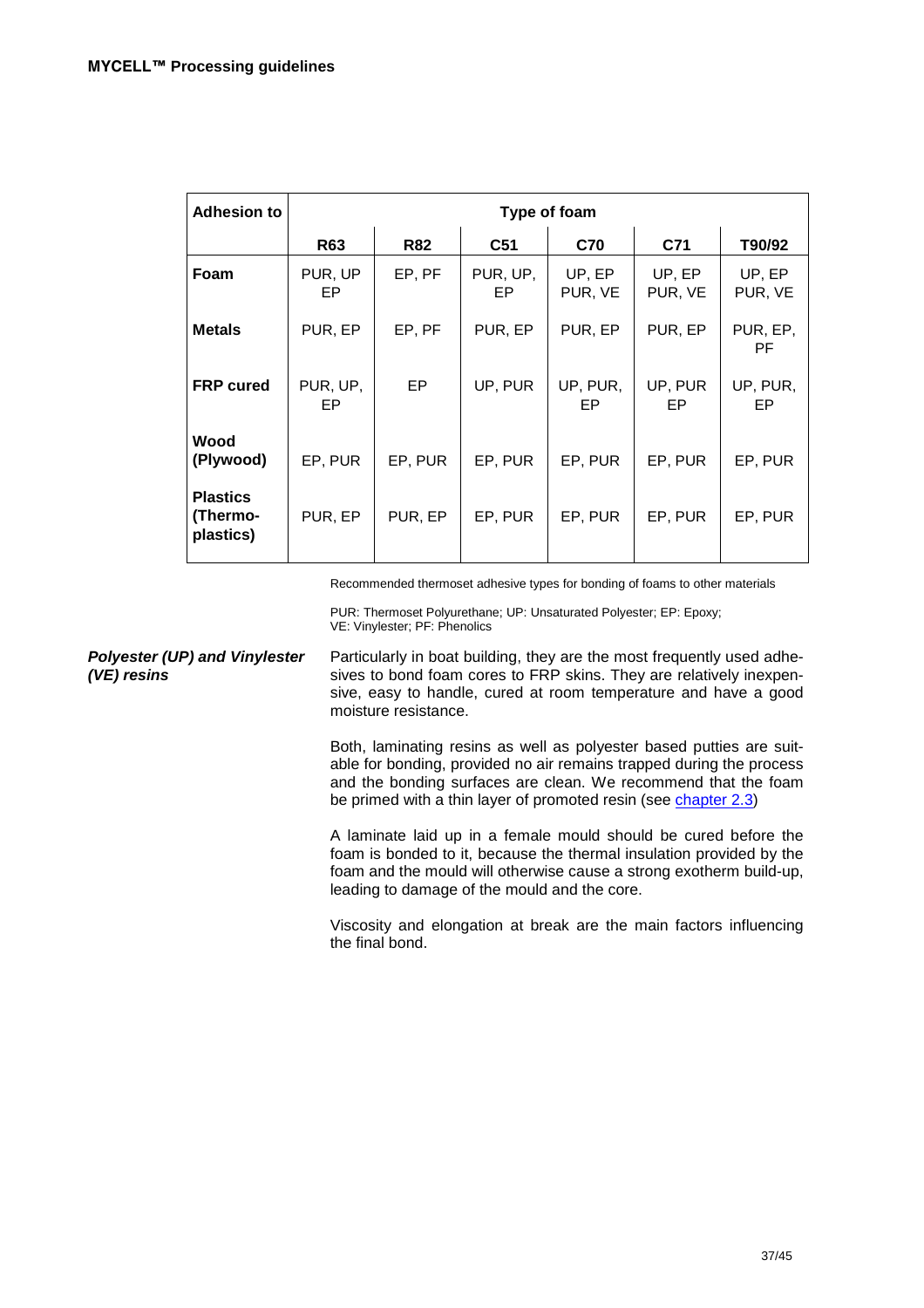| <b>Adhesion to</b>                       | Type of foam   |            |                 |                   |                   |                   |
|------------------------------------------|----------------|------------|-----------------|-------------------|-------------------|-------------------|
|                                          | <b>R63</b>     | <b>R82</b> | C <sub>51</sub> | <b>C70</b>        | C71               | T90/92            |
| Foam                                     | PUR, UP<br>EP. | EP, PF     | PUR, UP,<br>EP. | UP, EP<br>PUR, VE | UP, EP<br>PUR, VE | UP, EP<br>PUR, VE |
| <b>Metals</b>                            | PUR, EP        | EP, PF     | PUR, EP         | PUR, EP           | PUR, EP           | PUR, EP,<br>PF.   |
| <b>FRP</b> cured                         | PUR, UP,<br>EP | EP.        | UP, PUR         | UP, PUR,<br>EP    | UP, PUR<br>EP     | UP, PUR,<br>EP    |
| Wood<br>(Plywood)                        | EP, PUR        | EP, PUR    | EP, PUR         | EP, PUR           | EP, PUR           | EP, PUR           |
| <b>Plastics</b><br>(Thermo-<br>plastics) | PUR, EP        | PUR, EP    | EP, PUR         | EP, PUR           | EP, PUR           | EP, PUR           |

Recommended thermoset adhesive types for bonding of foams to other materials

PUR: Thermoset Polyurethane; UP: Unsaturated Polyester; EP: Epoxy; VE: Vinylester; PF: Phenolics

**Polyester (UP) and Vinylester (VE) resins** Particularly in boat building, they are the most frequently used adhesives to bond foam cores to FRP skins. They are relatively inexpensive, easy to handle, cured at room temperature and have a good moisture resistance.

> Both, laminating resins as well as polyester based putties are suitable for bonding, provided no air remains trapped during the process and the bonding surfaces are clean. We recommend that the foam be primed with a thin layer of promoted resin (see chapter 2.3)

> A laminate laid up in a female mould should be cured before the foam is bonded to it, because the thermal insulation provided by the foam and the mould will otherwise cause a strong exotherm build-up, leading to damage of the mould and the core.

> Viscosity and elongation at break are the main factors influencing the final bond.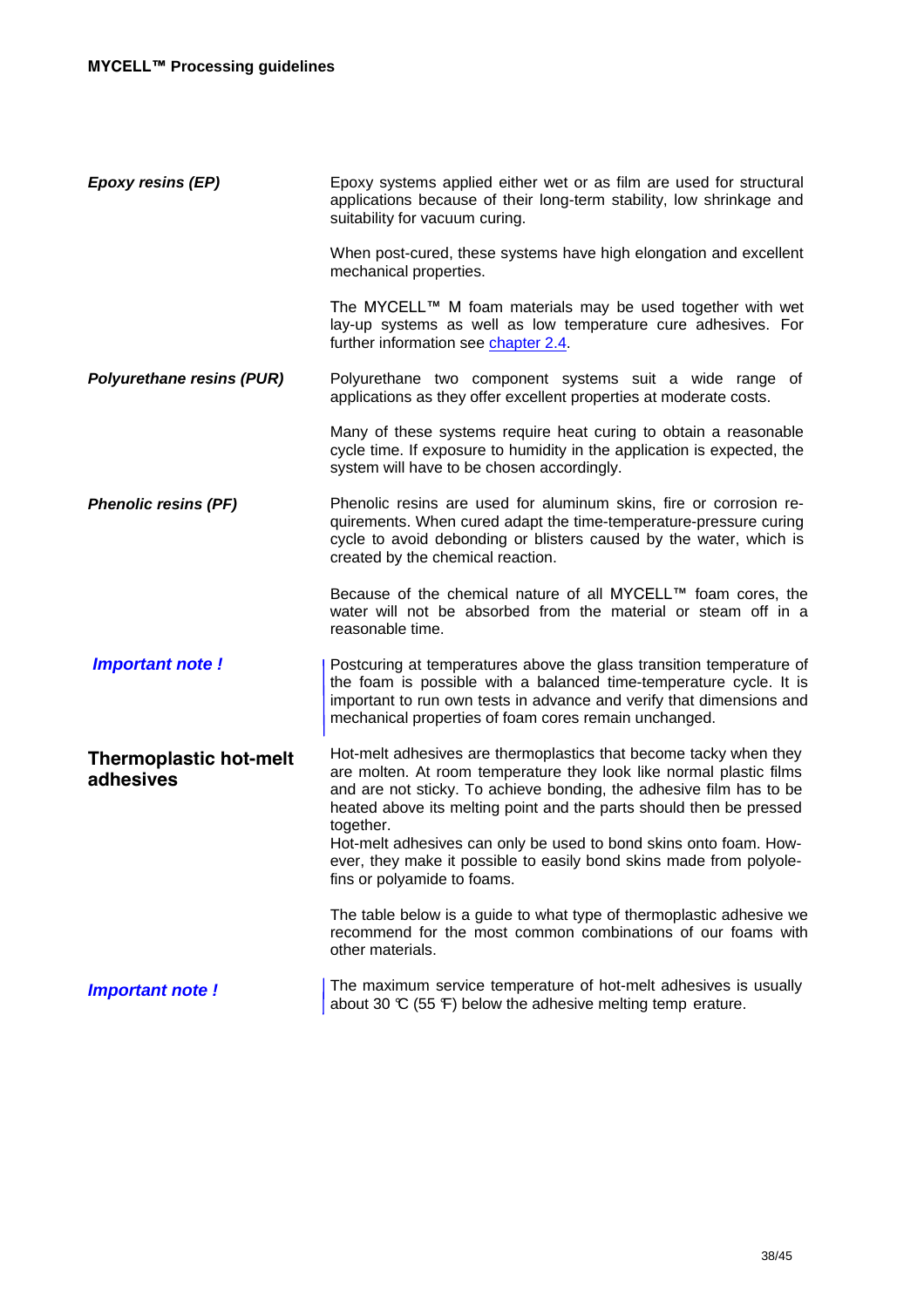| Epoxy resins (EP)                          | Epoxy systems applied either wet or as film are used for structural<br>applications because of their long-term stability, low shrinkage and<br>suitability for vacuum curing.                                                                                                                                                                                                                                                                                                  |
|--------------------------------------------|--------------------------------------------------------------------------------------------------------------------------------------------------------------------------------------------------------------------------------------------------------------------------------------------------------------------------------------------------------------------------------------------------------------------------------------------------------------------------------|
|                                            | When post-cured, these systems have high elongation and excellent<br>mechanical properties.                                                                                                                                                                                                                                                                                                                                                                                    |
|                                            | The MYCELL™ M foam materials may be used together with wet<br>lay-up systems as well as low temperature cure adhesives. For<br>further information see chapter 2.4.                                                                                                                                                                                                                                                                                                            |
| <b>Polyurethane resins (PUR)</b>           | Polyurethane two component systems suit a wide range of<br>applications as they offer excellent properties at moderate costs.                                                                                                                                                                                                                                                                                                                                                  |
|                                            | Many of these systems require heat curing to obtain a reasonable<br>cycle time. If exposure to humidity in the application is expected, the<br>system will have to be chosen accordingly.                                                                                                                                                                                                                                                                                      |
| <b>Phenolic resins (PF)</b>                | Phenolic resins are used for aluminum skins, fire or corrosion re-<br>quirements. When cured adapt the time-temperature-pressure curing<br>cycle to avoid debonding or blisters caused by the water, which is<br>created by the chemical reaction.                                                                                                                                                                                                                             |
|                                            | Because of the chemical nature of all MYCELL™ foam cores, the<br>water will not be absorbed from the material or steam off in a<br>reasonable time.                                                                                                                                                                                                                                                                                                                            |
| <b>Important note!</b>                     | Postcuring at temperatures above the glass transition temperature of<br>the foam is possible with a balanced time-temperature cycle. It is<br>important to run own tests in advance and verify that dimensions and<br>mechanical properties of foam cores remain unchanged.                                                                                                                                                                                                    |
| <b>Thermoplastic hot-melt</b><br>adhesives | Hot-melt adhesives are thermoplastics that become tacky when they<br>are molten. At room temperature they look like normal plastic films<br>and are not sticky. To achieve bonding, the adhesive film has to be<br>heated above its melting point and the parts should then be pressed<br>together.<br>Hot-melt adhesives can only be used to bond skins onto foam. How-<br>ever, they make it possible to easily bond skins made from polyole-<br>fins or polyamide to foams. |
|                                            | The table below is a guide to what type of thermoplastic adhesive we<br>recommend for the most common combinations of our foams with<br>other materials.                                                                                                                                                                                                                                                                                                                       |
| Important note!                            | The maximum service temperature of hot-melt adhesives is usually<br>about 30 $\mathbb C$ (55 F) below the adhesive melting temp erature.                                                                                                                                                                                                                                                                                                                                       |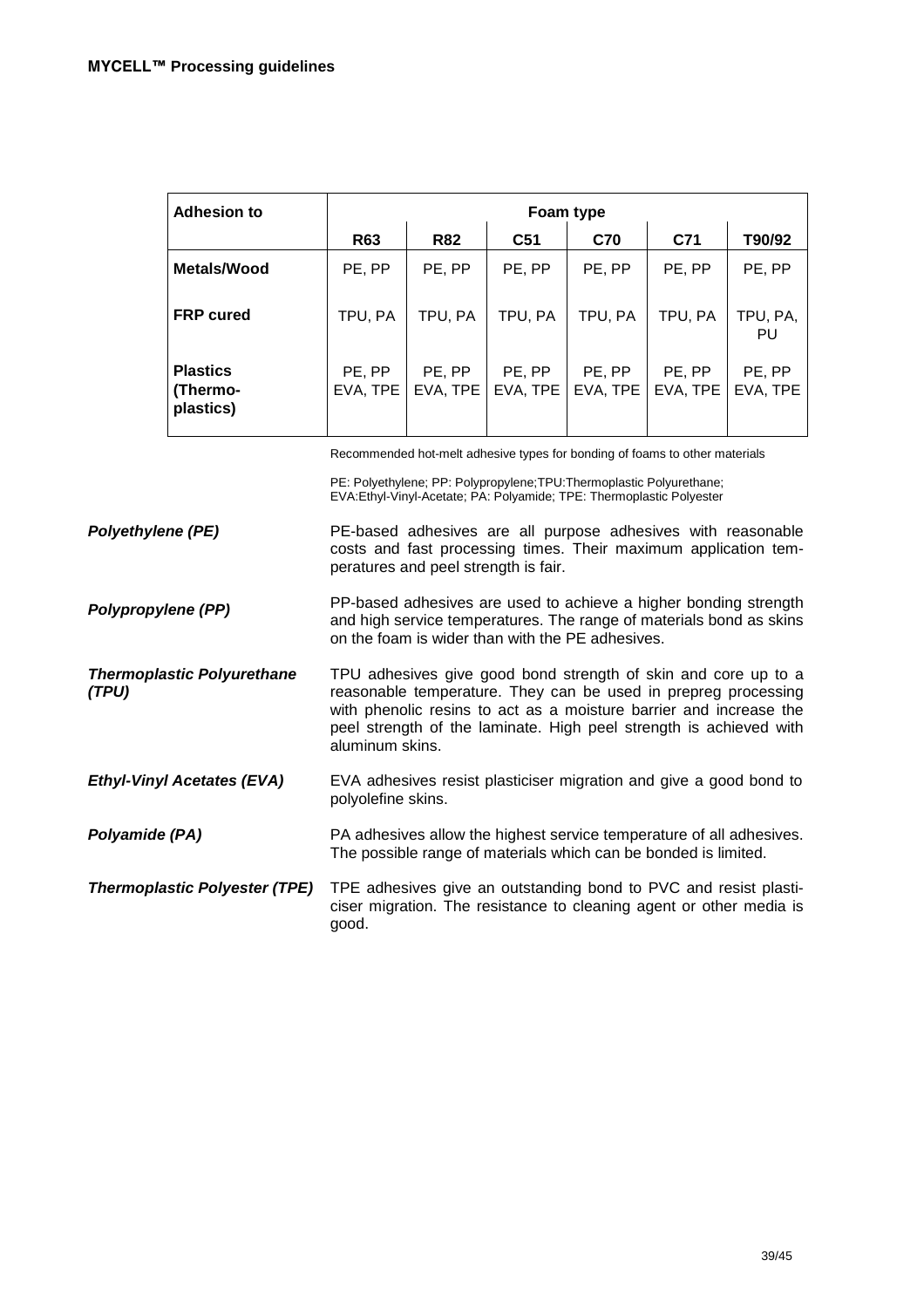| <b>Adhesion to</b>                       | Foam type          |                    |                    |                    |                    |                    |
|------------------------------------------|--------------------|--------------------|--------------------|--------------------|--------------------|--------------------|
|                                          | <b>R63</b>         | <b>R82</b>         | C <sub>51</sub>    | <b>C70</b>         | C71                | T90/92             |
| Metals/Wood                              | PE, PP             | PE, PP             | PE, PP             | PE, PP             | PE, PP             | PE, PP             |
| <b>FRP</b> cured                         | TPU, PA            | TPU. PA            | TPU, PA            | TPU, PA            | TPU. PA            | TPU, PA,<br>PU     |
| <b>Plastics</b><br>(Thermo-<br>plastics) | PE, PP<br>EVA, TPE | PE, PP<br>EVA, TPE | PE, PP<br>EVA, TPE | PE, PP<br>EVA, TPE | PE, PP<br>EVA, TPE | PE, PP<br>EVA, TPE |

Recommended hot-melt adhesive types for bonding of foams to other materials

PE: Polyethylene; PP: Polypropylene;TPU:Thermoplastic Polyurethane; EVA:Ethyl-Vinyl-Acetate; PA: Polyamide; TPE: Thermoplastic Polyester

**Polyethylene (PE)**  PE-based adhesives are all purpose adhesives with reasonable costs and fast processing times. Their maximum application temperatures and peel strength is fair.

**Polypropylene (PP)**  PP-based adhesives are used to achieve a higher bonding strength and high service temperatures. The range of materials bond as skins on the foam is wider than with the PE adhesives.

**Thermoplastic Polyurethane (TPU)**  TPU adhesives give good bond strength of skin and core up to a reasonable temperature. They can be used in prepreg processing with phenolic resins to act as a moisture barrier and increase the peel strength of the laminate. High peel strength is achieved with aluminum skins.

**Ethyl-Vinyl Acetates (EVA)**  EVA adhesives resist plasticiser migration and give a good bond to polyolefine skins.

**Polyamide (PA)**  PA adhesives allow the highest service temperature of all adhesives. The possible range of materials which can be bonded is limited.

**Thermoplastic Polyester (TPE)** TPE adhesives give an outstanding bond to PVC and resist plasticiser migration. The resistance to cleaning agent or other media is good.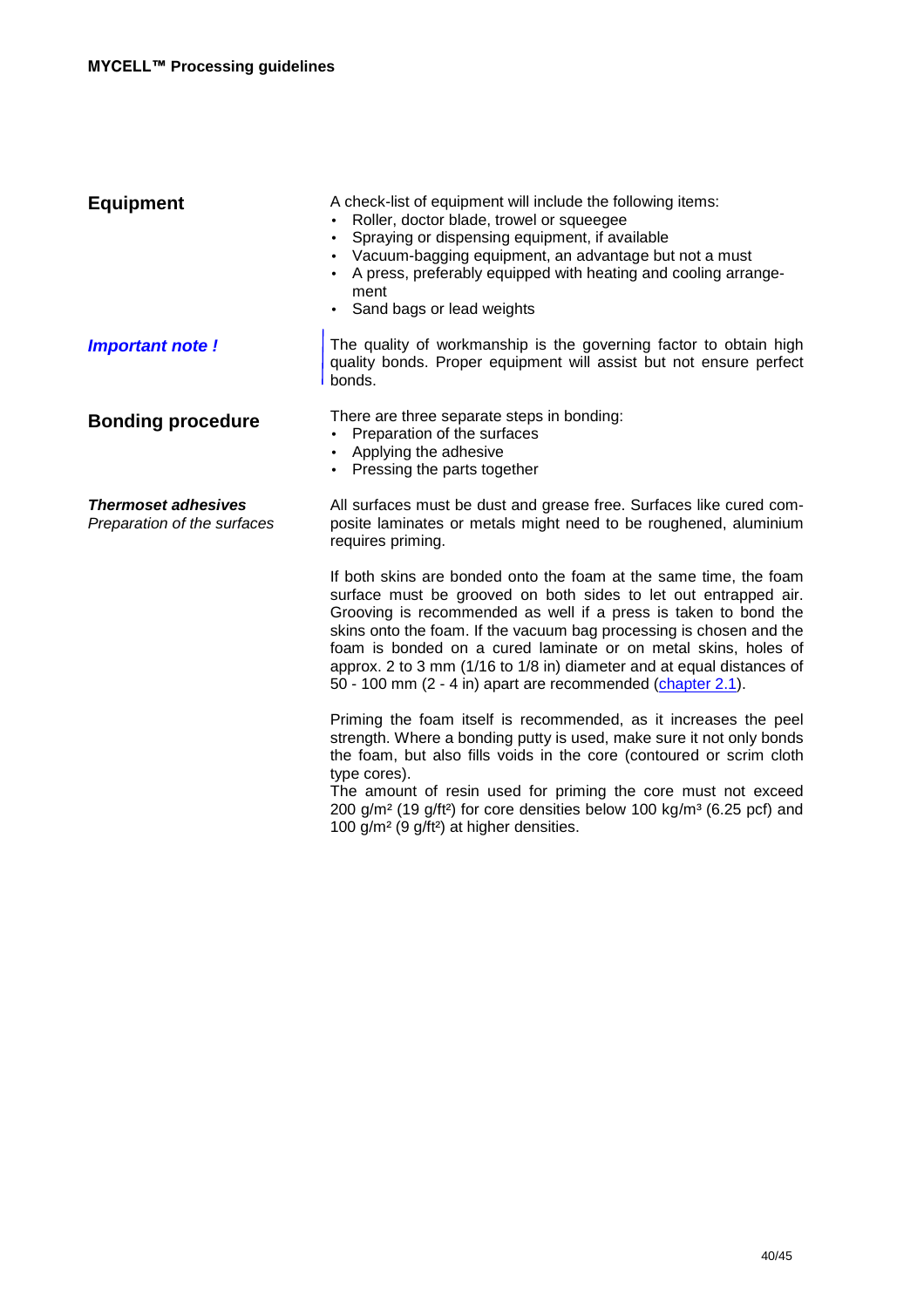| <b>Equipment</b>                                          | A check-list of equipment will include the following items:<br>Roller, doctor blade, trowel or squeegee<br>Spraying or dispensing equipment, if available<br>$\bullet$<br>Vacuum-bagging equipment, an advantage but not a must<br>$\bullet$<br>A press, preferably equipped with heating and cooling arrange-<br>ment<br>• Sand bags or lead weights                                                                                                                                    |
|-----------------------------------------------------------|------------------------------------------------------------------------------------------------------------------------------------------------------------------------------------------------------------------------------------------------------------------------------------------------------------------------------------------------------------------------------------------------------------------------------------------------------------------------------------------|
| Important note!                                           | The quality of workmanship is the governing factor to obtain high<br>quality bonds. Proper equipment will assist but not ensure perfect<br>bonds.                                                                                                                                                                                                                                                                                                                                        |
| <b>Bonding procedure</b>                                  | There are three separate steps in bonding:<br>Preparation of the surfaces<br>$\bullet$<br>Applying the adhesive<br>$\bullet$<br>• Pressing the parts together                                                                                                                                                                                                                                                                                                                            |
| <b>Thermoset adhesives</b><br>Preparation of the surfaces | All surfaces must be dust and grease free. Surfaces like cured com-<br>posite laminates or metals might need to be roughened, aluminium<br>requires priming.                                                                                                                                                                                                                                                                                                                             |
|                                                           | If both skins are bonded onto the foam at the same time, the foam<br>surface must be grooved on both sides to let out entrapped air.<br>Grooving is recommended as well if a press is taken to bond the<br>skins onto the foam. If the vacuum bag processing is chosen and the<br>foam is bonded on a cured laminate or on metal skins, holes of<br>approx. 2 to 3 mm (1/16 to 1/8 in) diameter and at equal distances of<br>50 - 100 mm (2 - 4 in) apart are recommended (chapter 2.1). |
|                                                           | Priming the foam itself is recommended, as it increases the peel<br>strength. Where a bonding putty is used, make sure it not only bonds<br>the foam, but also fills voids in the core (contoured or scrim cloth<br>type cores).<br>The amount of resin used for priming the core must not exceed<br>200 g/m <sup>2</sup> (19 g/ft <sup>2</sup> ) for core densities below 100 kg/m <sup>3</sup> (6.25 pcf) and<br>100 g/m <sup>2</sup> (9 g/ft <sup>2</sup> ) at higher densities.      |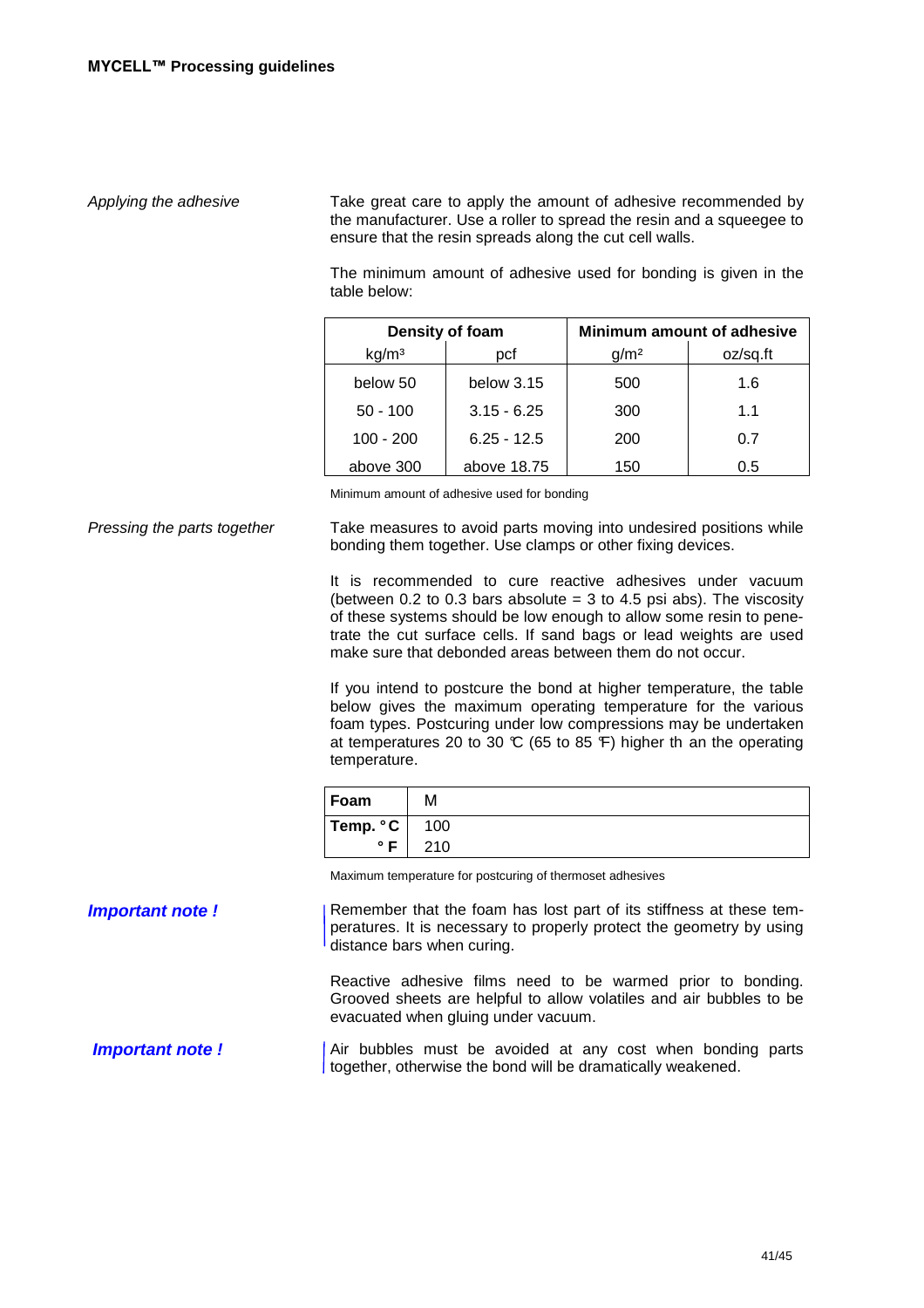Applying the adhesive Take great care to apply the amount of adhesive recommended by the manufacturer. Use a roller to spread the resin and a squeegee to ensure that the resin spreads along the cut cell walls.

> The minimum amount of adhesive used for bonding is given in the table below:

| Density of foam   |               |                  | <b>Minimum amount of adhesive</b> |
|-------------------|---------------|------------------|-----------------------------------|
| kg/m <sup>3</sup> | pcf           | q/m <sup>2</sup> | oz/sq.ft                          |
| below 50          | below $3.15$  | 500              | 1.6                               |
| $50 - 100$        | $3.15 - 6.25$ | 300              | 11                                |
| $100 - 200$       | $6.25 - 12.5$ | 200              | 0.7                               |
| above 300         | above 18.75   | 150              | 0.5                               |

Minimum amount of adhesive used for bonding

Pressing the parts together Take measures to avoid parts moving into undesired positions while bonding them together. Use clamps or other fixing devices.

> It is recommended to cure reactive adhesives under vacuum (between 0.2 to 0.3 bars absolute  $=$  3 to 4.5 psi abs). The viscosity of these systems should be low enough to allow some resin to penetrate the cut surface cells. If sand bags or lead weights are used make sure that debonded areas between them do not occur.

> If you intend to postcure the bond at higher temperature, the table below gives the maximum operating temperature for the various foam types. Postcuring under low compressions may be undertaken at temperatures 20 to 30  $\mathbb{C}$  (65 to 85  $\mathbb{F}$ ) higher th an the operating temperature.

| Foam                    | м   |
|-------------------------|-----|
| Temp. $\degree$ C   100 |     |
| $^{\circ}$ F            | 210 |

Maximum temperature for postcuring of thermoset adhesives

# **Important note !** Remember that the foam has lost part of its stiffness at these temperatures. It is necessary to properly protect the geometry by using distance bars when curing. Reactive adhesive films need to be warmed prior to bonding.

Grooved sheets are helpful to allow volatiles and air bubbles to be evacuated when gluing under vacuum.

**Important note !** Air bubbles must be avoided at any cost when bonding parts together, otherwise the bond will be dramatically weakened.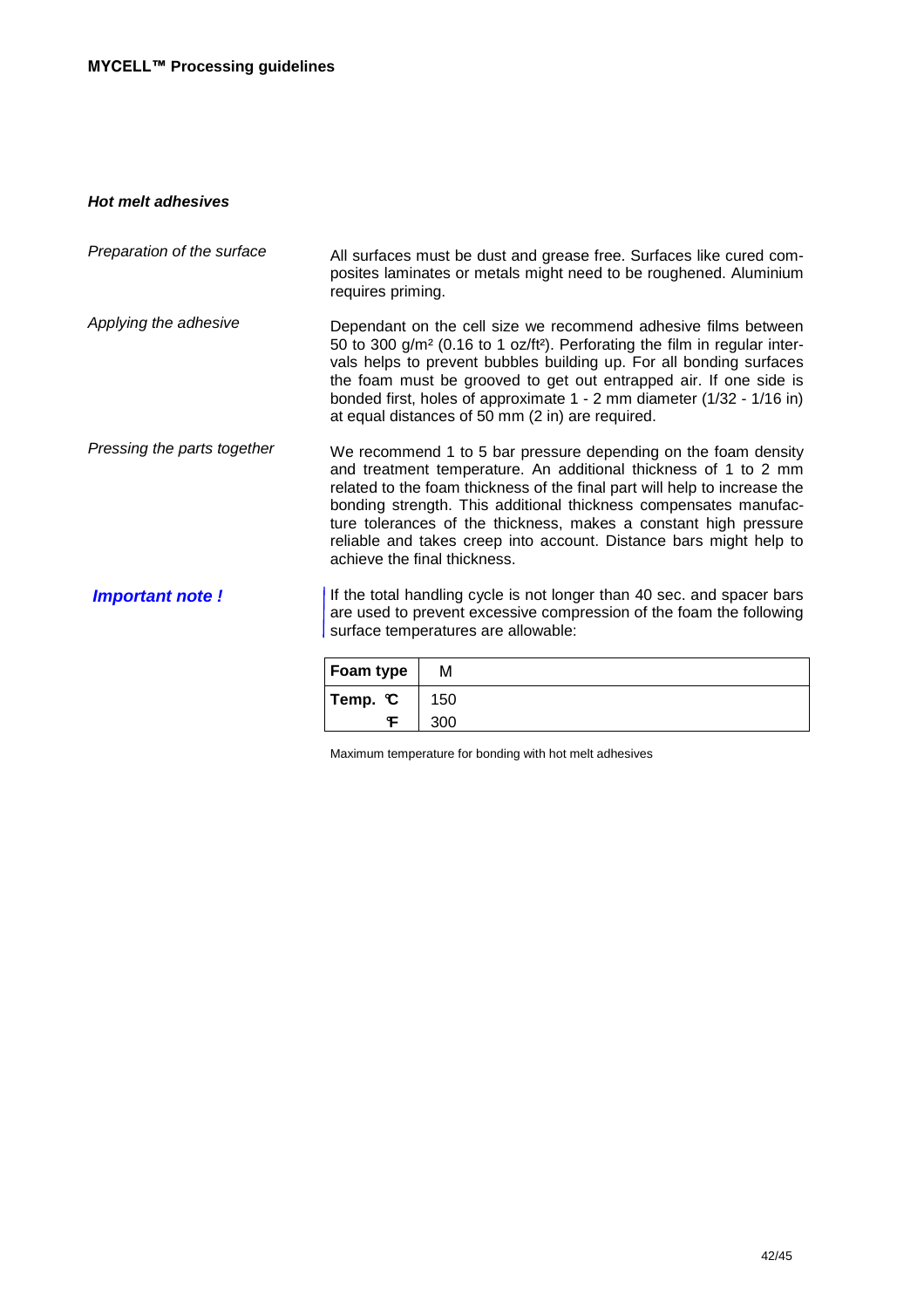### **Hot melt adhesives**

| Dependant on the cell size we recommend adhesive films between<br>50 to 300 g/m <sup>2</sup> (0.16 to 1 oz/ft <sup>2</sup> ). Perforating the film in regular inter-<br>vals helps to prevent bubbles building up. For all bonding surfaces<br>the foam must be grooved to get out entrapped air. If one side is<br>bonded first, holes of approximate 1 - 2 mm diameter (1/32 - 1/16 in)<br>at equal distances of 50 mm (2 in) are required.                |
|--------------------------------------------------------------------------------------------------------------------------------------------------------------------------------------------------------------------------------------------------------------------------------------------------------------------------------------------------------------------------------------------------------------------------------------------------------------|
| We recommend 1 to 5 bar pressure depending on the foam density<br>and treatment temperature. An additional thickness of 1 to 2 mm<br>related to the foam thickness of the final part will help to increase the<br>bonding strength. This additional thickness compensates manufac-<br>ture tolerances of the thickness, makes a constant high pressure<br>reliable and takes creep into account. Distance bars might help to<br>achieve the final thickness. |
| If the total handling cycle is not longer than 40 sec. and spacer bars<br>are used to prevent excessive compression of the foam the following<br>surface temperatures are allowable:                                                                                                                                                                                                                                                                         |
|                                                                                                                                                                                                                                                                                                                                                                                                                                                              |

| Foam type            | м   |
|----------------------|-----|
| Temp. $\mathfrak{C}$ | 150 |
|                      | 300 |

Maximum temperature for bonding with hot melt adhesives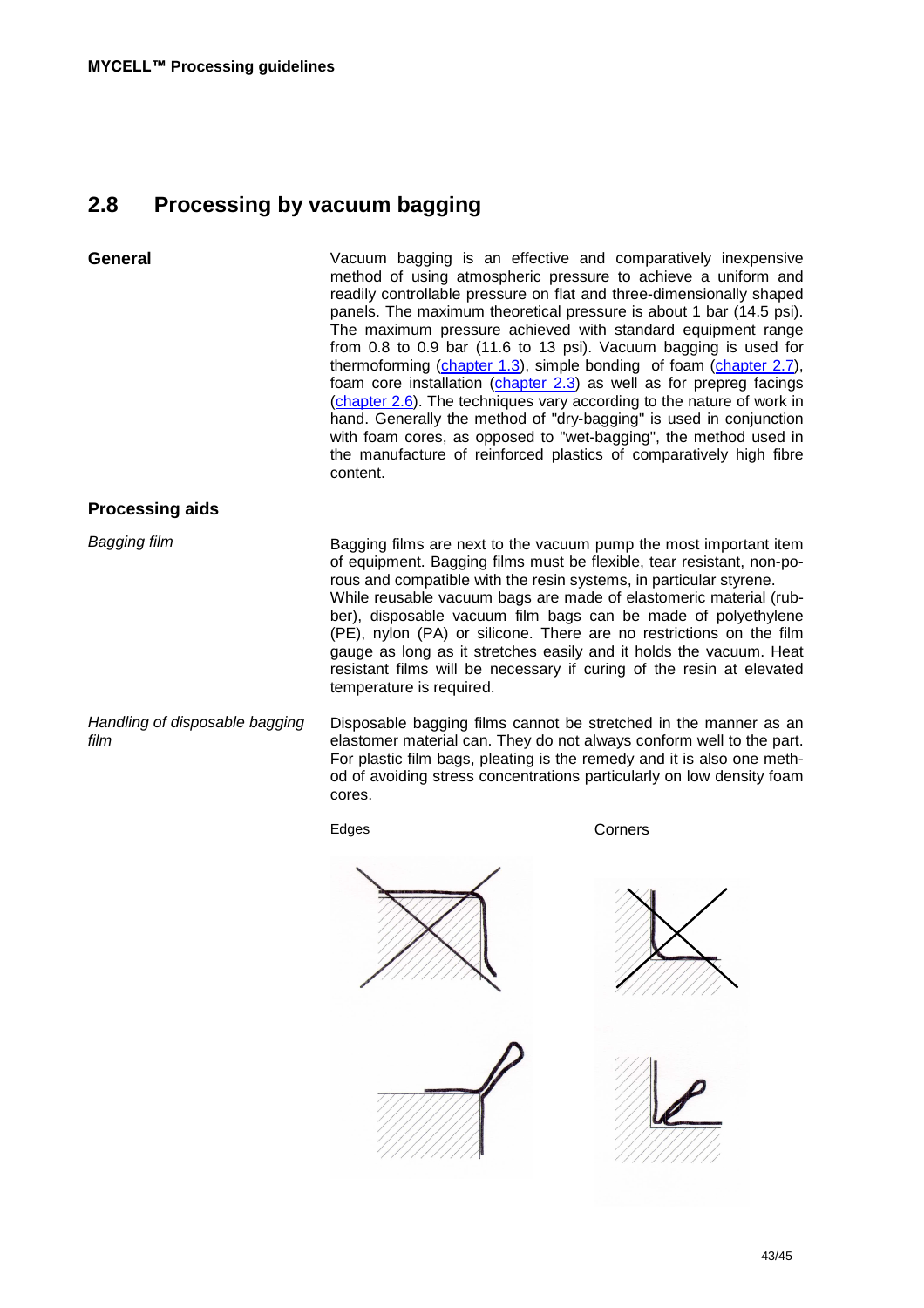## **2.8 Processing by vacuum bagging**

**General** Vacuum bagging is an effective and comparatively inexpensive method of using atmospheric pressure to achieve a uniform and readily controllable pressure on flat and three-dimensionally shaped panels. The maximum theoretical pressure is about 1 bar (14.5 psi). The maximum pressure achieved with standard equipment range from 0.8 to 0.9 bar (11.6 to 13 psi). Vacuum bagging is used for thermoforming (chapter 1.3), simple bonding of foam (chapter 2.7), foam core installation (chapter 2.3) as well as for prepreg facings (chapter 2.6). The techniques vary according to the nature of work in hand. Generally the method of "dry-bagging" is used in conjunction with foam cores, as opposed to "wet-bagging", the method used in the manufacture of reinforced plastics of comparatively high fibre content. **Processing aids** Bagging film Handling of disposable bagging film Bagging films are next to the vacuum pump the most important item of equipment. Bagging films must be flexible, tear resistant, non-porous and compatible with the resin systems, in particular styrene. While reusable vacuum bags are made of elastomeric material (rubber), disposable vacuum film bags can be made of polyethylene (PE), nylon (PA) or silicone. There are no restrictions on the film gauge as long as it stretches easily and it holds the vacuum. Heat resistant films will be necessary if curing of the resin at elevated temperature is required. Disposable bagging films cannot be stretched in the manner as an

elastomer material can. They do not always conform well to the part. For plastic film bags, pleating is the remedy and it is also one method of avoiding stress concentrations particularly on low density foam cores.

Edges Corners

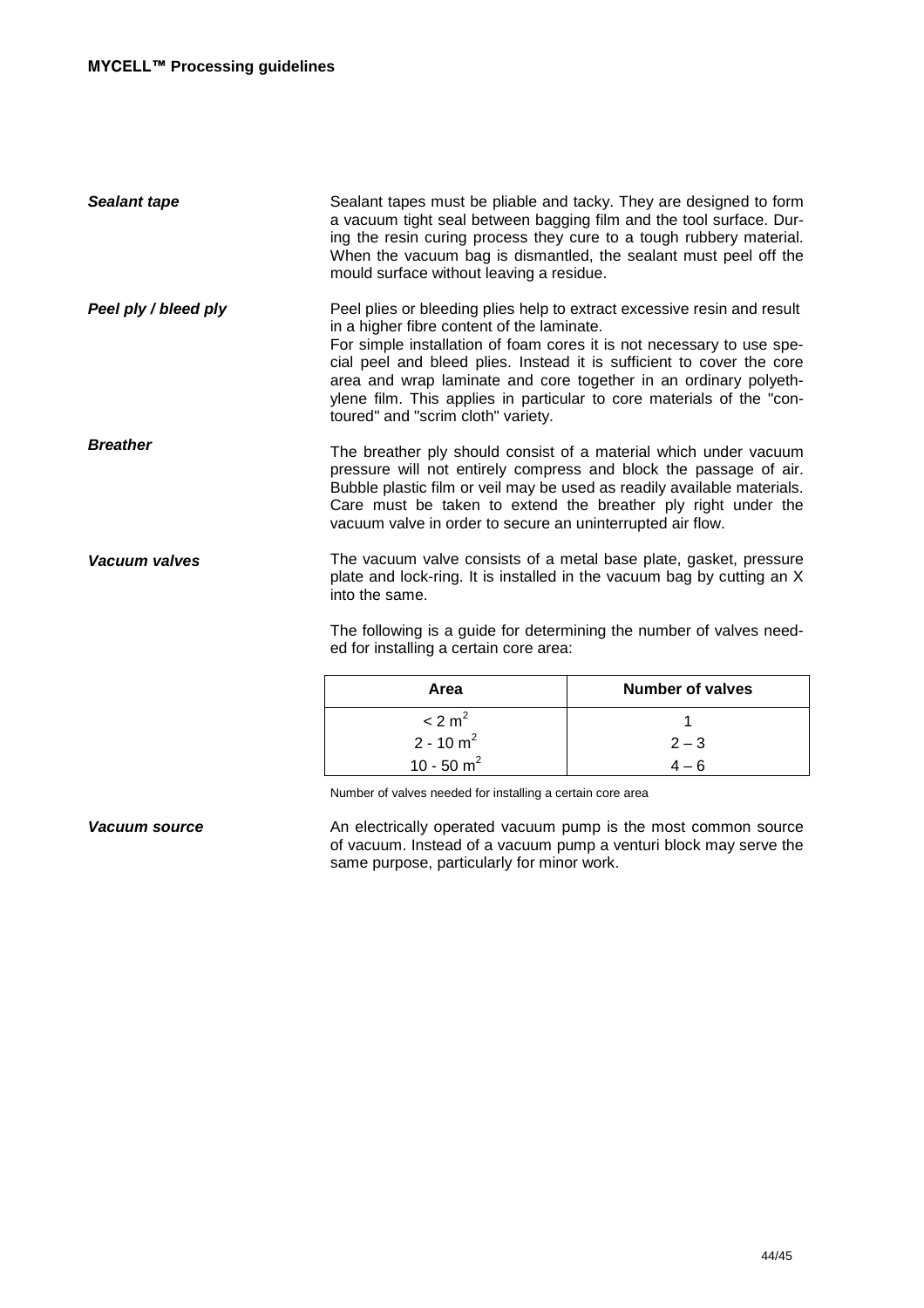| Sealant tape         | Sealant tapes must be pliable and tacky. They are designed to form<br>a vacuum tight seal between bagging film and the tool surface. Dur-<br>ing the resin curing process they cure to a tough rubbery material.<br>When the vacuum bag is dismantled, the sealant must peel off the<br>mould surface without leaving a residue.                                                                                                                           |
|----------------------|------------------------------------------------------------------------------------------------------------------------------------------------------------------------------------------------------------------------------------------------------------------------------------------------------------------------------------------------------------------------------------------------------------------------------------------------------------|
| Peel ply / bleed ply | Peel plies or bleeding plies help to extract excessive resin and result<br>in a higher fibre content of the laminate.<br>For simple installation of foam cores it is not necessary to use spe-<br>cial peel and bleed plies. Instead it is sufficient to cover the core<br>area and wrap laminate and core together in an ordinary polyeth-<br>ylene film. This applies in particular to core materials of the "con-<br>toured" and "scrim cloth" variety. |
| <b>Breather</b>      | The breather ply should consist of a material which under vacuum<br>pressure will not entirely compress and block the passage of air.<br>Bubble plastic film or veil may be used as readily available materials.<br>Care must be taken to extend the breather ply right under the<br>vacuum valve in order to secure an uninterrupted air flow.                                                                                                            |
| Vacuum valves        | The vacuum valve consists of a metal base plate, gasket, pressure<br>plate and lock-ring. It is installed in the vacuum bag by cutting an X<br>into the same.                                                                                                                                                                                                                                                                                              |
|                      | The following is a guide for determining the number of valves need-<br>ed for installing a certain core area:                                                                                                                                                                                                                                                                                                                                              |

| Area               | <b>Number of valves</b> |
|--------------------|-------------------------|
| < 2 m <sup>2</sup> |                         |
| $2 - 10 m2$        | $2 - 3$                 |
| 10 - 50 $m^2$      | $4-6$                   |

Number of valves needed for installing a certain core area

**Vacuum source An electrically operated vacuum pump is the most common source** of vacuum. Instead of a vacuum pump a venturi block may serve the same purpose, particularly for minor work.